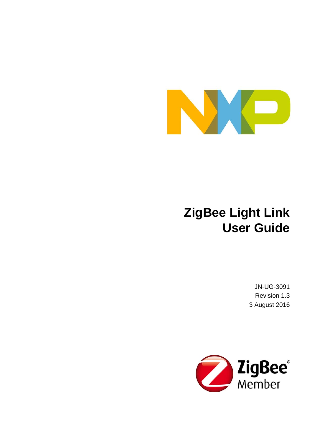

# **ZigBee Light Link User Guide**

JN-UG-3091 Revision 1.3 3 August 2016

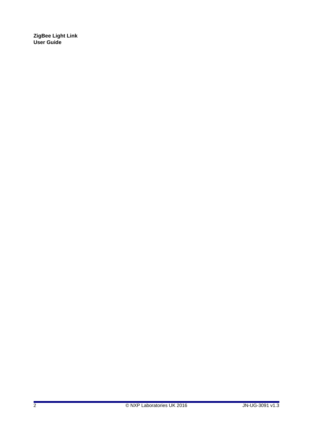**ZigBee Light Link User Guide**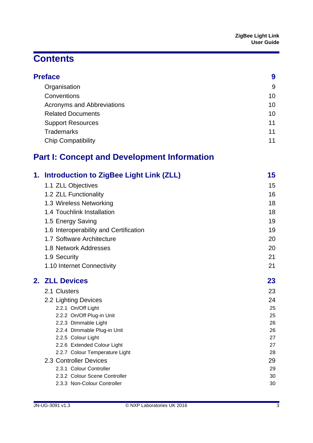# **Contents**

| <b>Preface</b>                    |    |
|-----------------------------------|----|
| Organisation                      | 9  |
| Conventions                       | 10 |
| <b>Acronyms and Abbreviations</b> | 10 |
| <b>Related Documents</b>          | 10 |
| <b>Support Resources</b>          | 11 |
| <b>Trademarks</b>                 | 11 |
| <b>Chip Compatibility</b>         | 11 |
|                                   |    |

# **[Part I: Concept and Development Information](#page-12-0)**

| 1. Introduction to ZigBee Light Link (ZLL) | 15 |
|--------------------------------------------|----|
| 1.1 ZLL Objectives                         | 15 |
| 1.2 ZLL Functionality                      | 16 |
| 1.3 Wireless Networking                    | 18 |
| 1.4 Touchlink Installation                 | 18 |
| 1.5 Energy Saving                          | 19 |
| 1.6 Interoperability and Certification     | 19 |
| 1.7 Software Architecture                  | 20 |
| 1.8 Network Addresses                      | 20 |
| 1.9 Security                               | 21 |
| 1.10 Internet Connectivity                 | 21 |
| 2. ZLL Devices                             | 23 |
| 2.1 Clusters                               | 23 |
| 2.2 Lighting Devices                       | 24 |
| 2.2.1 On/Off Light                         | 25 |
| 2.2.2 On/Off Plug-in Unit                  | 25 |
| 2.2.3 Dimmable Light                       | 26 |
| 2.2.4 Dimmable Plug-in Unit                | 26 |
| 2.2.5 Colour Light                         | 27 |
| 2.2.6 Extended Colour Light                | 27 |
| 2.2.7 Colour Temperature Light             | 28 |
| 2.3 Controller Devices                     | 29 |
| 2.3.1 Colour Controller                    | 29 |
| 2.3.2 Colour Scene Controller              | 30 |
| 2.3.3 Non-Colour Controller                | 30 |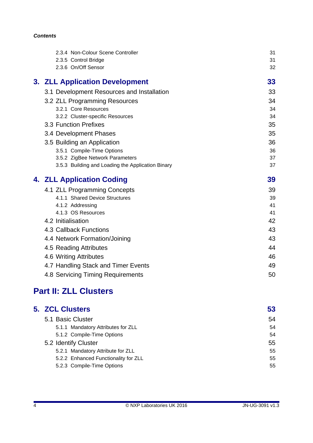| 2.3.4 Non-Colour Scene Controller<br>2.3.5 Control Bridge | 31<br>31 |
|-----------------------------------------------------------|----------|
| 2.3.6 On/Off Sensor                                       | 32       |
| <b>3. ZLL Application Development</b>                     | 33       |
| 3.1 Development Resources and Installation                | 33       |
| 3.2 ZLL Programming Resources                             | 34       |
| 3.2.1 Core Resources                                      | 34       |
| 3.2.2 Cluster-specific Resources                          | 34       |
| 3.3 Function Prefixes                                     | 35       |
| 3.4 Development Phases                                    | 35       |
| 3.5 Building an Application                               | 36       |
| 3.5.1 Compile-Time Options                                | 36       |
| 3.5.2 ZigBee Network Parameters                           | 37       |
| 3.5.3 Building and Loading the Application Binary         | 37       |
| <b>4. ZLL Application Coding</b>                          | 39       |
| 4.1 ZLL Programming Concepts                              | 39       |
| 4.1.1 Shared Device Structures                            | 39       |
| 4.1.2 Addressing                                          | 41       |
| 4.1.3 OS Resources                                        | 41       |
| 4.2 Initialisation                                        | 42       |
| 4.3 Callback Functions                                    | 43       |
| 4.4 Network Formation/Joining                             | 43       |
| 4.5 Reading Attributes                                    | 44       |
| 4.6 Writing Attributes                                    | 46       |
| 4.7 Handling Stack and Timer Events                       | 49       |
| 4.8 Servicing Timing Requirements                         | 50       |
|                                                           |          |

| <b>5. ZCL Clusters</b>               | 53 |
|--------------------------------------|----|
| 5.1 Basic Cluster                    | 54 |
| 5.1.1 Mandatory Attributes for ZLL   | 54 |
| 5.1.2 Compile-Time Options           | 54 |
| 5.2 Identify Cluster                 | 55 |
| 5.2.1 Mandatory Attribute for ZLL    | 55 |
| 5.2.2 Enhanced Functionality for ZLL | 55 |
| 5.2.3 Compile-Time Options           | 55 |
|                                      |    |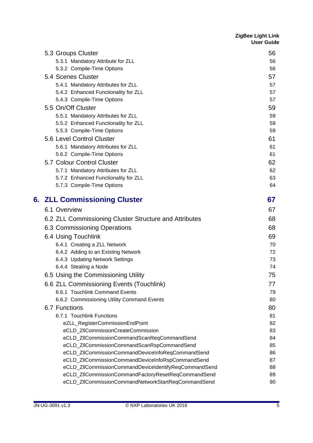| 5.3 Groups Cluster                                     | 56 |
|--------------------------------------------------------|----|
| 5.3.1 Mandatory Attribute for ZLL                      | 56 |
| 5.3.2 Compile-Time Options                             | 56 |
| 5.4 Scenes Cluster                                     | 57 |
| 5.4.1 Mandatory Attributes for ZLL                     | 57 |
| 5.4.2 Enhanced Functionality for ZLL                   | 57 |
| 5.4.3 Compile-Time Options                             | 57 |
| 5.5 On/Off Cluster                                     | 59 |
| 5.5.1 Mandatory Attributes for ZLL                     | 59 |
| 5.5.2 Enhanced Functionality for ZLL                   | 59 |
| 5.5.3 Compile-Time Options                             | 59 |
| 5.6 Level Control Cluster                              | 61 |
| 5.6.1 Mandatory Attributes for ZLL                     | 61 |
| 5.6.2 Compile-Time Options                             | 61 |
| 5.7 Colour Control Cluster                             | 62 |
| 5.7.1 Mandatory Attributes for ZLL                     | 62 |
| 5.7.2 Enhanced Functionality for ZLL                   | 63 |
| 5.7.3 Compile-Time Options                             | 64 |
| <b>6. ZLL Commissioning Cluster</b>                    | 67 |
| 6.1 Overview                                           | 67 |
| 6.2 ZLL Commissioning Cluster Structure and Attributes | 68 |
| 6.3 Commissioning Operations                           | 68 |
| 6.4 Using Touchlink                                    | 69 |
| 6.4.1 Creating a ZLL Network                           | 70 |
| 6.4.2 Adding to an Existing Network                    | 72 |
| 6.4.3 Updating Network Settings                        | 73 |
| 6.4.4 Stealing a Node                                  | 74 |
| 6.5 Using the Commissioning Utility                    | 75 |
| 6.6 ZLL Commissioning Events (Touchlink)               | 77 |
| 6.6.1 Touchlink Command Events                         | 79 |
| 6.6.2 Commissioning Utility Command Events             | 80 |
| 6.7 Functions                                          | 80 |
| 6.7.1 Touchlink Functions                              | 81 |
| eZLL_RegisterCommissionEndPoint                        | 82 |
| eCLD_ZIICommissionCreateCommission                     | 83 |
| eCLD_ZIICommissionCommandScanReqCommandSend            | 84 |
| eCLD_ZIICommissionCommandScanRspCommandSend            | 85 |
| eCLD_ZIICommissionCommandDeviceInfoReqCommandSend      | 86 |
| eCLD_ZIICommissionCommandDeviceInfoRspCommandSend      | 87 |
| eCLD_ZIICommissionCommandDeviceIdentifyReqCommandSend  | 88 |
| eCLD_ZIICommissionCommandFactoryResetReqCommandSend    | 89 |
| eCLD_ZIICommissionCommandNetworkStartReqCommandSend    | 90 |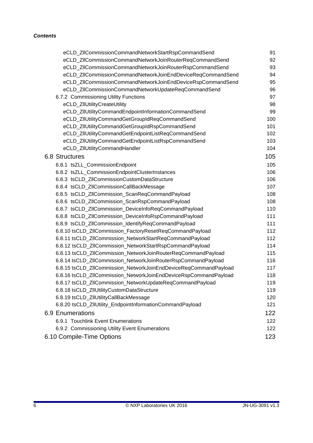#### *Contents*

| eCLD_ZIICommissionCommandNetworkStartRspCommandSend              | 91  |
|------------------------------------------------------------------|-----|
| eCLD_ZIICommissionCommandNetworkJoinRouterReqCommandSend         | 92  |
| eCLD_ZIICommissionCommandNetworkJoinRouterRspCommandSend         | 93  |
| eCLD_ZIICommissionCommandNetworkJoinEndDeviceReqCommandSend      | 94  |
| eCLD_ZIICommissionCommandNetworkJoinEndDeviceRspCommandSend      | 95  |
| eCLD_ZIICommissionCommandNetworkUpdateReqCommandSend             | 96  |
| 6.7.2 Commissioning Utility Functions                            | 97  |
| eCLD_ZIIUtilityCreateUtility                                     | 98  |
| eCLD_ZIIUtilityCommandEndpointInformationCommandSend             | 99  |
| eCLD_ZIIUtilityCommandGetGroupIdReqCommandSend                   | 100 |
| eCLD_ZIIUtilityCommandGetGroupIdRspCommandSend                   | 101 |
| eCLD_ZIIUtilityCommandGetEndpointListReqCommandSend              | 102 |
| eCLD_ZIIUtilityCommandGetEndpointListRspCommandSend              | 103 |
| eCLD_ZIIUtilityCommandHandler                                    | 104 |
| 6.8 Structures                                                   | 105 |
| 6.8.1 tsZLL_CommissionEndpoint                                   | 105 |
| 6.8.2 tsZLL_CommissionEndpointClusterInstances                   | 106 |
| 6.8.3 tsCLD_ZIICommissionCustomDataStructure                     | 106 |
| 6.8.4 tsCLD_ZIICommissionCallBackMessage                         | 107 |
| 6.8.5 tsCLD_ZIICommission_ScanReqCommandPayload                  | 108 |
| 6.8.6 tsCLD_ZIICommission_ScanRspCommandPayload                  | 108 |
| 6.8.7 tsCLD_ZIICommission_DeviceInfoReqCommandPayload            | 110 |
| 6.8.8 tsCLD_ZIICommission_DeviceInfoRspCommandPayload            | 111 |
| 6.8.9 tsCLD_ZIICommission_IdentifyReqCommandPayload              | 111 |
| 6.8.10 tsCLD_ZIICommission_FactoryResetReqCommandPayload         | 112 |
| 6.8.11 tsCLD_ZIICommission_NetworkStartReqCommandPayload         | 112 |
| 6.8.12 tsCLD_ZIICommission_NetworkStartRspCommandPayload         | 114 |
| 6.8.13 tsCLD_ZIICommission_NetworkJoinRouterReqCommandPayload    | 115 |
| 6.8.14 tsCLD_ZIICommission_NetworkJoinRouterRspCommandPayload    | 116 |
| 6.8.15 tsCLD_ZIICommission_NetworkJoinEndDeviceReqCommandPayload | 117 |
| 6.8.16 tsCLD_ZIICommission_NetworkJoinEndDeviceRspCommandPayload | 118 |
| 6.8.17 tsCLD_ZIICommission_NetworkUpdateReqCommandPayload        | 119 |
| 6.8.18 tsCLD_ZIIUtilityCustomDataStructure                       | 119 |
| 6.8.19 tsCLD_ZIIUtilityCallBackMessage                           | 120 |
| 6.8.20 tsCLD_ZIIUtility_EndpointInformationCommandPayload        | 121 |
| 6.9 Enumerations                                                 | 122 |
| 6.9.1 Touchlink Event Enumerations                               | 122 |
| 6.9.2 Commissioning Utility Event Enumerations                   | 122 |
| 6.10 Compile-Time Options                                        | 123 |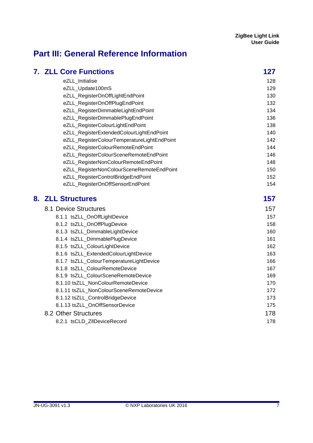# **[Part III: General Reference Information](#page-124-0)**

| <b>7. ZLL Core Functions</b>                | 127 |
|---------------------------------------------|-----|
| eZLL Initialise                             | 128 |
| eZLL_Update100mS                            | 129 |
| eZLL_RegisterOnOffLightEndPoint             | 130 |
| eZLL_RegisterOnOffPlugEndPoint              | 132 |
| eZLL_RegisterDimmableLightEndPoint          | 134 |
| eZLL_RegisterDimmablePlugEndPoint           | 136 |
| eZLL_RegisterColourLightEndPoint            | 138 |
| eZLL_RegisterExtendedColourLightEndPoint    | 140 |
| eZLL_RegisterColourTemperatureLightEndPoint | 142 |
| eZLL_RegisterColourRemoteEndPoint           | 144 |
| eZLL_RegisterColourSceneRemoteEndPoint      | 146 |
| eZLL_RegisterNonColourRemoteEndPoint        | 148 |
| eZLL_RegisterNonColourSceneRemoteEndPoint   | 150 |
| eZLL_RegisterControlBridgeEndPoint          | 152 |
| eZLL_RegisterOnOffSensorEndPoint            | 154 |
|                                             |     |
| 8. ZLL Structures                           | 157 |
| 8.1 Device Structures                       | 157 |
| 8.1.1 tsZLL_OnOffLightDevice                | 157 |
| 8.1.2 tsZLL_OnOffPlugDevice                 | 158 |
| 8.1.3 tsZLL_DimmableLightDevice             | 160 |
| 8.1.4 tsZLL_DimmablePlugDevice              | 161 |
| 8.1.5 tsZLL_ColourLightDevice               | 162 |
| 8.1.6 tsZLL_ExtendedColourLightDevice       | 163 |
| 8.1.7 tsZLL_ColourTemperatureLightDevice    | 166 |
| 8.1.8 tsZLL_ColourRemoteDevice              | 167 |
| 8.1.9 tsZLL_ColourSceneRemoteDevice         | 169 |
| 8.1.10 tsZLL_NonColourRemoteDevice          | 170 |
| 8.1.11 tsZLL_NonColourSceneRemoteDevice     | 172 |
| 8.1.12 tsZLL_ControlBridgeDevice            | 173 |
| 8.1.13 tsZLL_OnOffSensorDevice              | 175 |
| 8.2 Other Structures                        | 178 |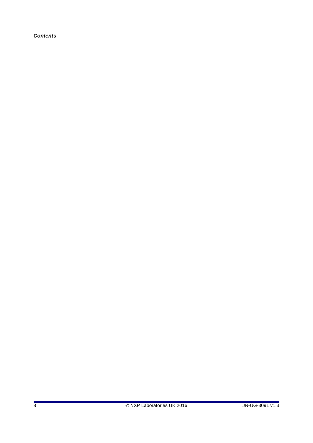#### *Contents*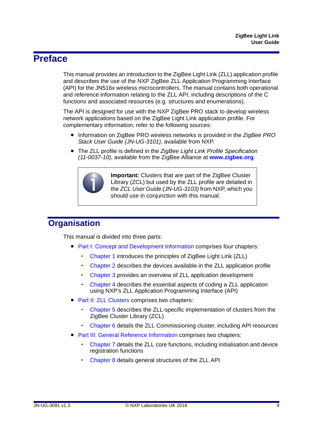# <span id="page-8-0"></span>**Preface**

This manual provides an introduction to the ZigBee Light Link (ZLL) application profile and describes the use of the NXP ZigBee ZLL Application Programming Interface (API) for the JN516x wireless microcontrollers. The manual contains both operational and reference information relating to the ZLL API, including descriptions of the C functions and associated resources (e.g. structures and enumerations).

The API is designed for use with the NXP ZigBee PRO stack to develop wireless network applications based on the ZigBee Light Link application profile. For complementary information, refer to the following sources:

- Information on ZigBee PRO wireless networks is provided in the *ZigBee PRO Stack User Guide (JN-UG-3101)*, available from NXP.
- The ZLL profile is defined in the *ZigBee Light Link Profile Specification (11-0037-10)*, available from the ZigBee Alliance at **www.zigbee.org**.



**Important:** Clusters that are part of the ZigBee Cluster Library (ZCL) but used by the ZLL profile are detailed in the *ZCL User Guide (JN-UG-3103)* from NXP, which you should use in conjunction with this manual.

# <span id="page-8-1"></span>**Organisation**

This manual is divided into three parts:

- **[Part I: Concept and Development Information](#page-12-1) comprises four chapters:** 
	- [Chapter 1](#page-14-2) introduces the principles of ZigBee Light Link (ZLL)
	- [Chapter 2](#page-22-2) describes the devices available in the ZLL application profile
	- [Chapter 3](#page-32-2) provides an overview of ZLL application development
	- [Chapter 4](#page-38-3) describes the essential aspects of coding a ZLL application using NXP's ZLL Application Programming Interface (API)
- **[Part II: ZLL Clusters](#page-50-1) comprises two chapters:** 
	- [Chapter 5](#page-52-1) describes the ZLL-specific implementation of clusters from the ZigBee Cluster Library (ZCL)
	- [Chapter 6](#page-66-2) details the ZLL Commissioning cluster, including API resources
- **[Part III: General Reference Information](#page-124-1) comprises two chapters:** 
	- [Chapter 7](#page-126-1) details the ZLL core functions, including initialisation and device registration functions
	- [Chapter 8](#page-156-3) details general structures of the ZLL API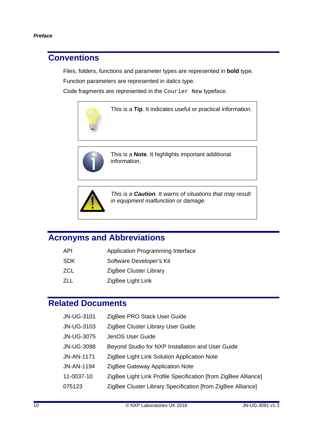# <span id="page-9-0"></span>**Conventions**

Files, folders, functions and parameter types are represented in **bold** type.

Function parameters are represented in *italics* type.

Code fragments are represented in the Courier New typeface.



This is a **Tip**. It indicates useful or practical information.



This is a **Note**. It highlights important additional information.



*This is a Caution. It warns of situations that may result in equipment malfunction or damage.*

# <span id="page-9-1"></span>**Acronyms and Abbreviations**

| <b>API</b> | <b>Application Programming Interface</b> |  |
|------------|------------------------------------------|--|
|            |                                          |  |

- SDK Software Developer's Kit
- ZCL ZigBee Cluster Library
- ZLL ZigBee Light Link

### <span id="page-9-2"></span>**Related Documents**

| <b>JN-UG-3101</b> | ZigBee PRO Stack User Guide                                    |
|-------------------|----------------------------------------------------------------|
| JN-UG-3103        | ZigBee Cluster Library User Guide                              |
| JN-UG-3075        | JenOS User Guide                                               |
| JN-UG-3098        | Beyond Studio for NXP Installation and User Guide              |
| <b>JN-AN-1171</b> | ZigBee Light Link Solution Application Note                    |
| JN-AN-1194        | ZigBee Gateway Application Note                                |
| 11-0037-10        | ZigBee Light Link Profile Specification [from ZigBee Alliance] |
| 075123            | ZigBee Cluster Library Specification [from ZigBee Alliance]    |
|                   |                                                                |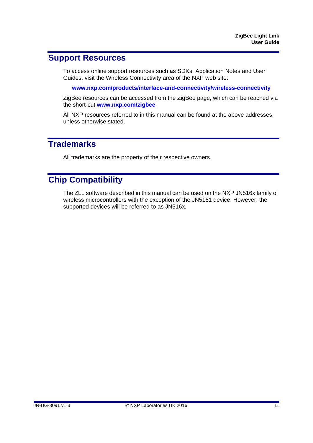### <span id="page-10-3"></span><span id="page-10-0"></span>**Support Resources**

To access online support resources such as SDKs, Application Notes and User Guides, visit the Wireless Connectivity area of the NXP web site:

**www.nxp.com/products/interface-and-connectivity/wireless-connectivity**

ZigBee resources can be accessed from the ZigBee page, which can be reached via the short-cut **www.nxp.com/zigbee**.

All NXP resources referred to in this manual can be found at the above addresses, unless otherwise stated.

## <span id="page-10-1"></span>**Trademarks**

All trademarks are the property of their respective owners.

# <span id="page-10-4"></span><span id="page-10-2"></span>**Chip Compatibility**

The ZLL software described in this manual can be used on the NXP JN516x family of wireless microcontrollers with the exception of the JN5161 device. However, the supported devices will be referred to as JN516x.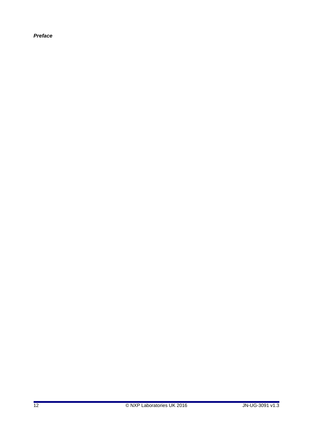*Preface*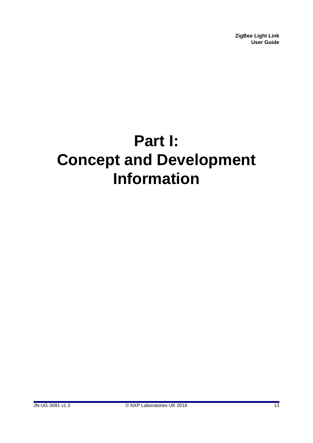# <span id="page-12-1"></span><span id="page-12-0"></span>**Part I: Concept and Development Information**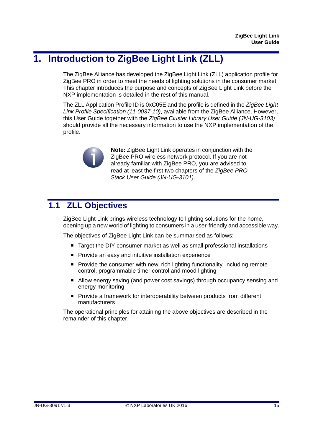# <span id="page-14-2"></span><span id="page-14-0"></span>**1. Introduction to ZigBee Light Link (ZLL)**

The ZigBee Alliance has developed the ZigBee Light Link (ZLL) application profile for ZigBee PRO in order to meet the needs of lighting solutions in the consumer market. This chapter introduces the purpose and concepts of ZigBee Light Link before the NXP implementation is detailed in the rest of this manual.

The ZLL Application Profile ID is 0xC05E and the profile is defined in the *ZigBee Light Link Profile Specification (11-0037-10)*, available from the ZigBee Alliance. However, this User Guide together with the *ZigBee Cluster Library User Guide (JN-UG-3103)* should provide all the necessary information to use the NXP implementation of the profile.



**Note:** ZigBee Light Link operates in conjunction with the ZigBee PRO wireless network protocol. If you are not already familiar with ZigBee PRO, you are advised to read at least the first two chapters of the *ZigBee PRO Stack User Guide (JN-UG-3101)*.

# <span id="page-14-1"></span>**1.1 ZLL Objectives**

ZigBee Light Link brings wireless technology to lighting solutions for the home, opening up a new world of lighting to consumers in a user-friendly and accessible way.

The objectives of ZigBee Light Link can be summarised as follows:

- Target the DIY consumer market as well as small professional installations
- **Provide an easy and intuitive installation experience**
- **Provide the consumer with new, rich lighting functionality, including remote** control, programmable timer control and mood lighting
- Allow energy saving (and power cost savings) through occupancy sensing and energy monitoring
- Provide a framework for interoperability between products from different manufacturers

The operational principles for attaining the above objectives are described in the remainder of this chapter.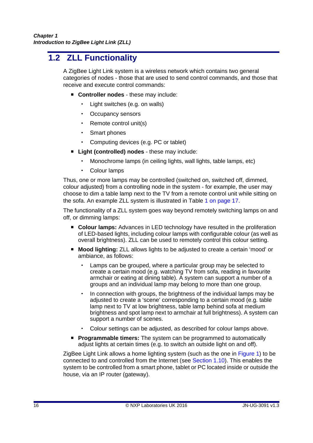# <span id="page-15-0"></span>**1.2 ZLL Functionality**

A ZigBee Light Link system is a wireless network which contains two general categories of nodes - those that are used to send control commands, and those that receive and execute control commands:

- **Controller nodes** these may include:
	- Light switches (e.g. on walls)
	- Occupancy sensors
	- Remote control unit(s)
	- Smart phones
	- Computing devices (e.g. PC or tablet)
- **Light (controlled) nodes** these may include:
	- Monochrome lamps (in ceiling lights, wall lights, table lamps, etc)
	- Colour lamps

Thus, one or more lamps may be controlled (switched on, switched off, dimmed, colour adjusted) from a controlling node in the system - for example, the user may choose to dim a table lamp next to the TV from a remote control unit while sitting on the sofa. An example ZLL system is illustrated in [Table 1 on page 17.](#page-16-0)

The functionality of a ZLL system goes way beyond remotely switching lamps on and off, or dimming lamps:

- **Colour lamps:** Advances in LED technology have resulted in the proliferation of LED-based lights, including colour lamps with configurable colour (as well as overall brightness). ZLL can be used to remotely control this colour setting.
- **Mood lighting:** ZLL allows lights to be adjusted to create a certain 'mood' or ambiance, as follows:
	- Lamps can be grouped, where a particular group may be selected to create a certain mood (e.g. watching TV from sofa, reading in favourite armchair or eating at dining table). A system can support a number of a groups and an individual lamp may belong to more than one group.
	- In connection with groups, the brightness of the individual lamps may be adjusted to create a 'scene' corresponding to a certain mood (e.g. table lamp next to TV at low brightness, table lamp behind sofa at medium brightness and spot lamp next to armchair at full brightness). A system can support a number of scenes.
	- Colour settings can be adjusted, as described for colour lamps above.
- **Programmable timers:** The system can be programmed to automatically adjust lights at certain times (e.g. to switch an outside light on and off).

ZigBee Light Link allows a home lighting system (such as the one in [Figure 1](#page-16-0)) to be connected to and controlled from the Internet (see [Section 1.10\)](#page-20-1). This enables the system to be controlled from a smart phone, tablet or PC located inside or outside the house, via an IP router (gateway).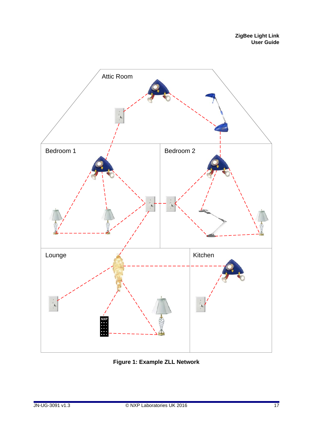

<span id="page-16-0"></span>**Figure 1: Example ZLL Network**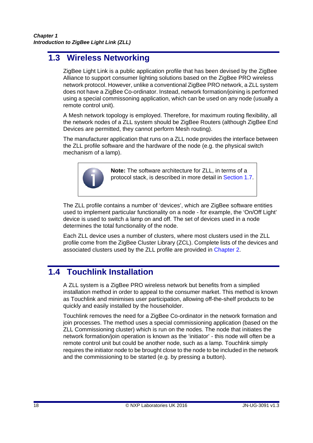# <span id="page-17-0"></span>**1.3 Wireless Networking**

ZigBee Light Link is a public application profile that has been devised by the ZigBee Alliance to support consumer lighting solutions based on the ZigBee PRO wireless network protocol. However, unlike a conventional ZigBee PRO network, a ZLL system does not have a ZigBee Co-ordinator. Instead, network formation/joining is performed using a special commissoning application, which can be used on any node (usually a remote control unit).

A Mesh network topology is employed. Therefore, for maximum routing flexibility, all the network nodes of a ZLL system should be ZigBee Routers (although ZigBee End Devices are permitted, they cannot perform Mesh routing).

The manufacturer application that runs on a ZLL node provides the interface between the ZLL profile software and the hardware of the node (e.g. the physical switch mechanism of a lamp).



**Note:** The software architecture for ZLL, in terms of a protocol stack, is described in more detail in [Section 1.7.](#page-19-0)

The ZLL profile contains a number of 'devices', which are ZigBee software entities used to implement particular functionality on a node - for example, the 'On/Off Light' device is used to switch a lamp on and off. The set of devices used in a node determines the total functionality of the node.

Each ZLL device uses a number of clusters, where most clusters used in the ZLL profile come from the ZigBee Cluster Library (ZCL). Complete lists of the devices and associated clusters used by the ZLL profile are provided in [Chapter 2.](#page-22-2)

# <span id="page-17-1"></span>**1.4 Touchlink Installation**

A ZLL system is a ZigBee PRO wireless network but benefits from a simplied installation method in order to appeal to the consumer market. This method is known as Touchlink and minimises user participation, allowing off-the-shelf products to be quickly and easily installed by the householder.

Touchlink removes the need for a ZigBee Co-ordinator in the network formation and join processes. The method uses a special commissioning application (based on the ZLL Commissioning cluster) which is run on the nodes. The node that initiates the network formation/join operation is known as the 'initiator' - this node will often be a remote control unit but could be another node, such as a lamp. Touchlink simply requires the initiator node to be brought close to the node to be included in the network and the commissioning to be started (e.g. by pressing a button).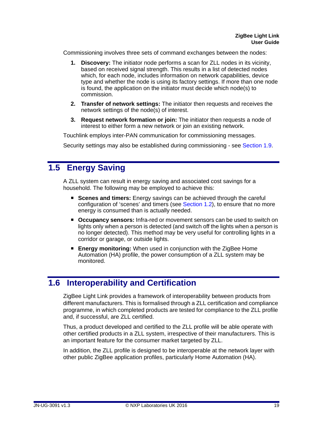Commissioning involves three sets of command exchanges between the nodes:

- **1. Discovery:** The initiator node performs a scan for ZLL nodes in its vicinity, based on received signal strength. This results in a list of detected nodes which, for each node, includes information on network capabilities, device type and whether the node is using its factory settings. If more than one node is found, the application on the initiator must decide which node(s) to commission.
- **2. Transfer of network settings:** The initiator then requests and receives the network settings of the node(s) of interest.
- **3. Request network formation or join:** The initiator then requests a node of interest to either form a new network or join an existing network.

Touchlink employs inter-PAN communication for commissioning messages.

Security settings may also be established during commissioning - see [Section 1.9.](#page-20-0)

# <span id="page-18-0"></span>**1.5 Energy Saving**

A ZLL system can result in energy saving and associated cost savings for a household. The following may be employed to achieve this:

- **Scenes and timers:** Energy savings can be achieved through the careful configuration of 'scenes' and timers (see [Section 1.2](#page-15-0)), to ensure that no more energy is consumed than is actually needed.
- **Occupancy sensors:** Infra-red or movement sensors can be used to switch on lights only when a person is detected (and switch off the lights when a person is no longer detected). This method may be very useful for controlling lights in a corridor or garage, or outside lights.
- **Energy monitoring:** When used in conjunction with the ZigBee Home Automation (HA) profile, the power consumption of a ZLL system may be monitored.

### <span id="page-18-1"></span>**1.6 Interoperability and Certification**

ZigBee Light Link provides a framework of interoperability between products from different manufacturers. This is formalised through a ZLL certification and compliance programme, in which completed products are tested for compliance to the ZLL profile and, if successful, are ZLL certified.

Thus, a product developed and certified to the ZLL profile will be able operate with other certified products in a ZLL system, irrespective of their manufacturers. This is an important feature for the consumer market targeted by ZLL.

In addition, the ZLL profile is designed to be interoperable at the network layer with other public ZigBee application profiles, particularly Home Automation (HA).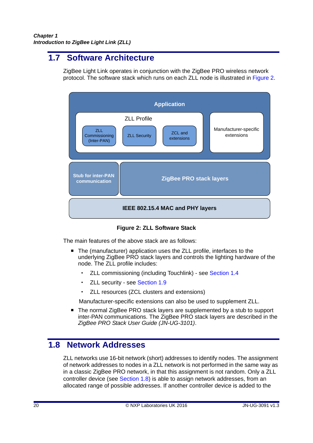# <span id="page-19-0"></span>**1.7 Software Architecture**

ZigBee Light Link operates in conjunction with the ZigBee PRO wireless network protocol. The software stack which runs on each ZLL node is illustrated in [Figure 2.](#page-19-2)



**Figure 2: ZLL Software Stack**

<span id="page-19-2"></span>The main features of the above stack are as follows:

- The (manufacturer) application uses the ZLL profile, interfaces to the underlying ZigBee PRO stack layers and controls the lighting hardware of the node. The ZLL profile includes:
	- ZLL commissioning (including Touchlink) see [Section 1.4](#page-17-1)
	- ZLL security see [Section 1.9](#page-20-0)
	- ZLL resources (ZCL clusters and extensions)

Manufacturer-specific extensions can also be used to supplement ZLL.

■ The normal ZigBee PRO stack layers are supplemented by a stub to support inter-PAN communications. The ZigBee PRO stack layers are described in the *ZigBee PRO Stack User Guide (JN-UG-3101)*.

### <span id="page-19-1"></span>**1.8 Network Addresses**

ZLL networks use 16-bit network (short) addresses to identify nodes. The assignment of network addresses to nodes in a ZLL network is not performed in the same way as in a classic ZigBee PRO network, in that this assignment is not random. Only a ZLL controller device (see [Section 1.8\)](#page-19-1) is able to assign network addresses, from an allocated range of possible addresses. If another controller device is added to the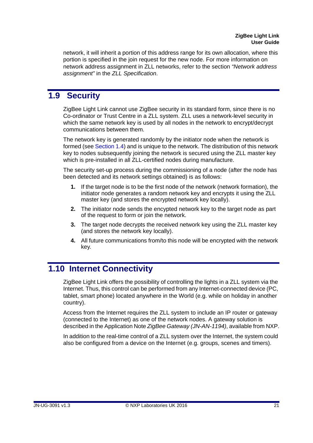network, it will inherit a portion of this address range for its own allocation, where this portion is specified in the join request for the new node. For more information on network address assignment in ZLL networks, refer to the section *"Network address assignment"* in the *ZLL Specification*.

# <span id="page-20-0"></span>**1.9 Security**

ZigBee Light Link cannot use ZigBee security in its standard form, since there is no Co-ordinator or Trust Centre in a ZLL system. ZLL uses a network-level security in which the same network key is used by all nodes in the network to encrypt/decrypt communications between them.

The network key is generated randomly by the initiator node when the network is formed (see [Section 1.4](#page-17-1)) and is unique to the network. The distribution of this network key to nodes subsequently joining the network is secured using the ZLL master key which is pre-installed in all ZLL-certified nodes during manufacture.

The security set-up process during the commissioning of a node (after the node has been detected and its network settings obtained) is as follows:

- **1.** If the target node is to be the first node of the network (network formation), the initiator node generates a random network key and encrypts it using the ZLL master key (and stores the encrypted network key locally).
- **2.** The initiator node sends the encypted network key to the target node as part of the request to form or join the network.
- **3.** The target node decrypts the received network key using the ZLL master key (and stores the network key locally).
- **4.** All future communications from/to this node will be encrypted with the network key.

# <span id="page-20-1"></span>**1.10 Internet Connectivity**

ZigBee Light Link offers the possibility of controlling the lights in a ZLL system via the Internet. Thus, this control can be performed from any Internet-connected device (PC, tablet, smart phone) located anywhere in the World (e.g. while on holiday in another country).

Access from the Internet requires the ZLL system to include an IP router or gateway (connected to the Internet) as one of the network nodes. A gateway solution is described in the Application Note *ZigBee Gateway (JN-AN-1194)*, available from NXP.

In addition to the real-time control of a ZLL system over the Internet, the system could also be configured from a device on the Internet (e.g. groups, scenes and timers).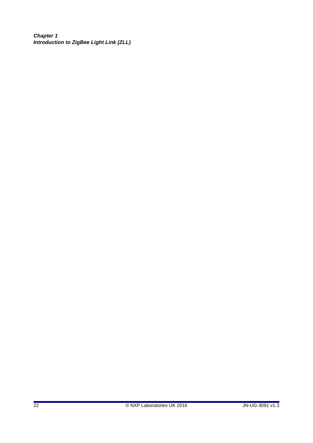*Chapter 1 Introduction to ZigBee Light Link (ZLL)*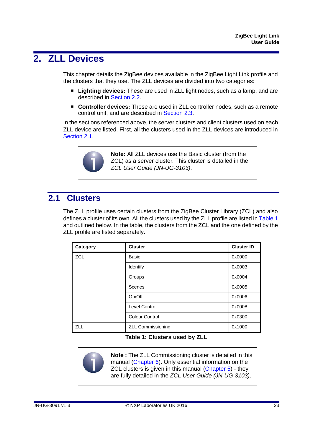# <span id="page-22-2"></span><span id="page-22-0"></span>**2. ZLL Devices**

This chapter details the ZigBee devices available in the ZigBee Light Link profile and the clusters that they use. The ZLL devices are divided into two categories:

- **Lighting devices:** These are used in ZLL light nodes, such as a lamp, and are described in [Section 2.2.](#page-23-0)
- **Controller devices:** These are used in ZLL controller nodes, such as a remote control unit, and are described in [Section 2.3](#page-28-0).

In the sections referenced above, the server clusters and client clusters used on each ZLL device are listed. First, all the clusters used in the ZLL devices are introduced in [Section 2.1](#page-22-1).



**Note:** All ZLL devices use the Basic cluster (from the ZCL) as a server cluster. This cluster is detailed in the *ZCL User Guide (JN-UG-3103)*.

# <span id="page-22-1"></span>**2.1 Clusters**

The ZLL profile uses certain clusters from the ZigBee Cluster Library (ZCL) and also defines a cluster of its own. All the clusters used by the ZLL profile are listed in Table 1 and outlined below. In the table, the clusters from the ZCL and the one defined by the ZLL profile are listed separately.

| Category   | <b>Cluster</b>           | <b>Cluster ID</b> |
|------------|--------------------------|-------------------|
| <b>ZCL</b> | <b>Basic</b>             | 0x0000            |
|            | Identify                 | 0x0003            |
|            | Groups                   | 0x0004            |
|            | Scenes                   | 0x0005            |
|            | On/Off                   | 0x0006            |
|            | Level Control            | 0x0008            |
|            | Colour Control           | 0x0300            |
| ZLL.       | <b>ZLL Commissioning</b> | 0x1000            |

#### **Table 1: Clusters used by ZLL**



**Note :** The ZLL Commissioning cluster is detailed in this manual ([Chapter 6\)](#page-66-2). Only essential information on the ZCL clusters is given in this manual [\(Chapter 5\)](#page-52-1) - they are fully detailed in the *ZCL User Guide (JN-UG-3103)*.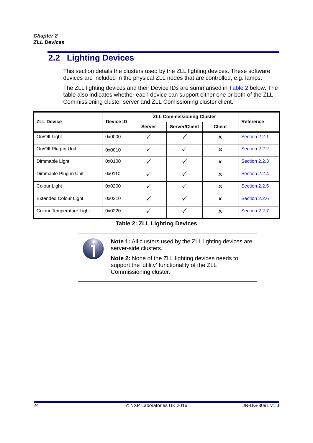# <span id="page-23-0"></span>**2.2 Lighting Devices**

This section details the clusters used by the ZLL lighting devices. These software devices are included in the physical ZLL nodes that are controlled, e.g. lamps.

The ZLL lighting devices and their Device IDs are summarised in [Table 2](#page-23-1) below. The table also indicates whether each device can support either one or both of the ZLL Commissioning cluster server and ZLL Comissioning cluster client.

| <b>ZLL Device</b><br><b>Device ID</b> |        | <b>ZLL Commissioning Cluster</b> |                      |                           | <b>Reference</b> |
|---------------------------------------|--------|----------------------------------|----------------------|---------------------------|------------------|
|                                       |        | <b>Server</b>                    | <b>Server/Client</b> | <b>Client</b>             |                  |
| On/Off Light                          | 0x0000 |                                  |                      | x                         | Section 2.2.1    |
| On/Off Plug-in Unit                   | 0x0010 |                                  |                      | $\boldsymbol{\mathsf{x}}$ | Section 2.2.2    |
| Dimmable Light                        | 0x0100 | ✓                                |                      | $\mathbf x$               | Section 2.2.3    |
| Dimmable Plug-in Unit                 | 0x0110 |                                  |                      | $\boldsymbol{\mathsf{x}}$ | Section 2.2.4    |
| Colour Light                          | 0x0200 |                                  |                      | $\mathbf x$               | Section 2.2.5    |
| <b>Extended Colour Light</b>          | 0x0210 | ✓                                |                      | $\boldsymbol{\mathsf{x}}$ | Section 2.2.6    |
| Colour Temperature Light              | 0x0220 |                                  |                      | x                         | Section 2.2.7    |

**Table 2: ZLL Lighting Devices**

<span id="page-23-1"></span>

**Note 1:** All clusters used by the ZLL lighting devices are server-side clusters.

**Note 2:** None of the ZLL lighting devices needs to support the 'utility' functionality of the ZLL Commissioning cluster.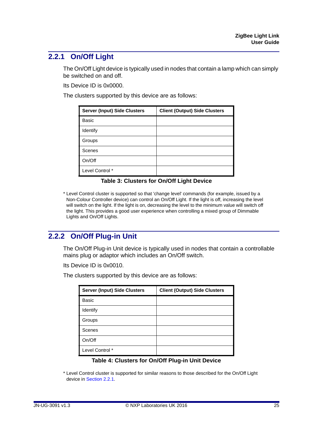### <span id="page-24-0"></span>**2.2.1 On/Off Light**

The On/Off Light device is typically used in nodes that contain a lamp which can simply be switched on and off.

Its Device ID is 0x0000.

The clusters supported by this device are as follows:

| <b>Server (Input) Side Clusters</b> | <b>Client (Output) Side Clusters</b> |
|-------------------------------------|--------------------------------------|
| Basic                               |                                      |
| Identify                            |                                      |
| Groups                              |                                      |
| Scenes                              |                                      |
| On/Off                              |                                      |
| Level Control *                     |                                      |

**Table 3: Clusters for On/Off Light Device**

\* Level Control cluster is supported so that 'change level' commands (for example, issued by a Non-Colour Controller device) can control an On/Off Light. If the light is off, increasing the level will switch on the light. If the light is on, decreasing the level to the minimum value will switch off the light. This provides a good user experience when controlling a mixed group of Dimmable Lights and On/Off Lights.

### <span id="page-24-1"></span>**2.2.2 On/Off Plug-in Unit**

The On/Off Plug-in Unit device is typically used in nodes that contain a controllable mains plug or adaptor which includes an On/Off switch.

Its Device ID is 0x0010.

The clusters supported by this device are as follows:

| <b>Server (Input) Side Clusters</b> | <b>Client (Output) Side Clusters</b> |
|-------------------------------------|--------------------------------------|
| <b>Basic</b>                        |                                      |
| Identify                            |                                      |
| Groups                              |                                      |
| Scenes                              |                                      |
| On/Off                              |                                      |
| Level Control *                     |                                      |

#### **Table 4: Clusters for On/Off Plug-in Unit Device**

\* Level Control cluster is supported for similar reasons to those described for the On/Off Light device in [Section 2.2.1.](#page-24-0)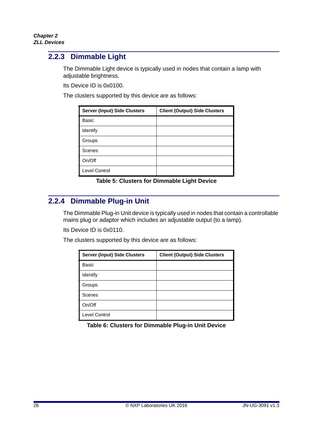### <span id="page-25-0"></span>**2.2.3 Dimmable Light**

The Dimmable Light device is typically used in nodes that contain a lamp with adjustable brightness.

Its Device ID is 0x0100.

The clusters supported by this device are as follows:

| <b>Server (Input) Side Clusters</b> | <b>Client (Output) Side Clusters</b> |
|-------------------------------------|--------------------------------------|
| <b>Basic</b>                        |                                      |
| Identify                            |                                      |
| Groups                              |                                      |
| Scenes                              |                                      |
| On/Off                              |                                      |
| Level Control                       |                                      |

**Table 5: Clusters for Dimmable Light Device**

### <span id="page-25-1"></span>**2.2.4 Dimmable Plug-in Unit**

The Dimmable Plug-in Unit device is typically used in nodes that contain a controllable mains plug or adaptor which includes an adjustable output (to a lamp).

Its Device ID is 0x0110.

The clusters supported by this device are as follows:

| <b>Server (Input) Side Clusters</b> | <b>Client (Output) Side Clusters</b> |
|-------------------------------------|--------------------------------------|
| Basic                               |                                      |
| Identify                            |                                      |
| Groups                              |                                      |
| Scenes                              |                                      |
| On/Off                              |                                      |
| Level Control                       |                                      |

**Table 6: Clusters for Dimmable Plug-in Unit Device**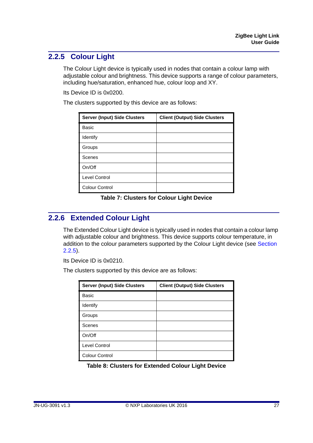### <span id="page-26-0"></span>**2.2.5 Colour Light**

The Colour Light device is typically used in nodes that contain a colour lamp with adjustable colour and brightness. This device supports a range of colour parameters, including hue/saturation, enhanced hue, colour loop and XY.

Its Device ID is 0x0200.

The clusters supported by this device are as follows:

| <b>Server (Input) Side Clusters</b> | <b>Client (Output) Side Clusters</b> |
|-------------------------------------|--------------------------------------|
| <b>Basic</b>                        |                                      |
| Identify                            |                                      |
| Groups                              |                                      |
| Scenes                              |                                      |
| On/Off                              |                                      |
| <b>Level Control</b>                |                                      |
| <b>Colour Control</b>               |                                      |

**Table 7: Clusters for Colour Light Device**

### <span id="page-26-1"></span>**2.2.6 Extended Colour Light**

The Extended Colour Light device is typically used in nodes that contain a colour lamp with adjustable colour and brightness. This device supports colour temperature, in addition to the colour parameters supported by the Colour Light device (see [Section](#page-26-0)  [2.2.5\)](#page-26-0).

Its Device ID is 0x0210.

The clusters supported by this device are as follows:

| <b>Server (Input) Side Clusters</b> | <b>Client (Output) Side Clusters</b> |
|-------------------------------------|--------------------------------------|
| Basic                               |                                      |
| Identify                            |                                      |
| Groups                              |                                      |
| Scenes                              |                                      |
| On/Off                              |                                      |
| Level Control                       |                                      |
| <b>Colour Control</b>               |                                      |

**Table 8: Clusters for Extended Colour Light Device**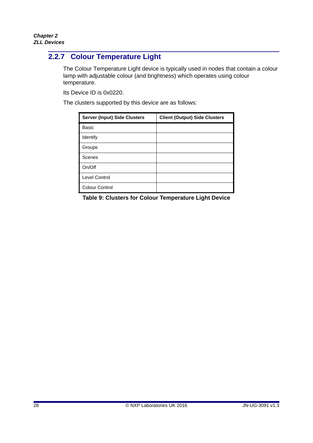### <span id="page-27-0"></span>**2.2.7 Colour Temperature Light**

The Colour Temperature Light device is typically used in nodes that contain a colour lamp with adjustable colour (and brightness) which operates using colour temperature.

Its Device ID is 0x0220.

The clusters supported by this device are as follows:

| Server (Input) Side Clusters | <b>Client (Output) Side Clusters</b> |
|------------------------------|--------------------------------------|
| <b>Basic</b>                 |                                      |
| Identify                     |                                      |
| Groups                       |                                      |
| Scenes                       |                                      |
| On/Off                       |                                      |
| <b>Level Control</b>         |                                      |
| <b>Colour Control</b>        |                                      |

**Table 9: Clusters for Colour Temperature Light Device**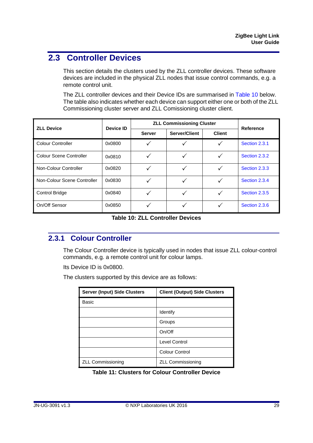### <span id="page-28-0"></span>**2.3 Controller Devices**

This section details the clusters used by the ZLL controller devices. These software devices are included in the physical ZLL nodes that issue control commands, e.g. a remote control unit.

The ZLL controller devices and their Device IDs are summarised in [Table 10](#page-28-2) below. The table also indicates whether each device can support either one or both of the ZLL Commissioning cluster server and ZLL Comissioning cluster client.

| <b>ZLL Device</b>           | Device ID | <b>ZLL Commissioning Cluster</b> |               |               | Reference     |
|-----------------------------|-----------|----------------------------------|---------------|---------------|---------------|
|                             |           | <b>Server</b>                    | Server/Client | <b>Client</b> |               |
| <b>Colour Controller</b>    | 0x0800    |                                  |               |               | Section 2.3.1 |
| Colour Scene Controller     | 0x0810    | ✓                                |               | ✓             | Section 2.3.2 |
| Non-Colour Controller       | 0x0820    |                                  |               | ✓             | Section 2.3.3 |
| Non-Colour Scene Controller | 0x0830    |                                  |               | ✓             | Section 2.3.4 |
| <b>Control Bridge</b>       | 0x0840    |                                  |               | ✓             | Section 2.3.5 |
| On/Off Sensor               | 0x0850    |                                  |               |               | Section 2.3.6 |

**Table 10: ZLL Controller Devices**

### <span id="page-28-2"></span><span id="page-28-1"></span>**2.3.1 Colour Controller**

The Colour Controller device is typically used in nodes that issue ZLL colour-control commands, e.g. a remote control unit for colour lamps.

Its Device ID is 0x0800.

The clusters supported by this device are as follows:

| <b>Server (Input) Side Clusters</b> | <b>Client (Output) Side Clusters</b> |
|-------------------------------------|--------------------------------------|
| Basic                               |                                      |
|                                     | Identify                             |
|                                     | Groups                               |
|                                     | On/Off                               |
|                                     | Level Control                        |
|                                     | <b>Colour Control</b>                |
| <b>ZLL Commissioning</b>            | <b>ZLL Commissioning</b>             |

#### **Table 11: Clusters for Colour Controller Device**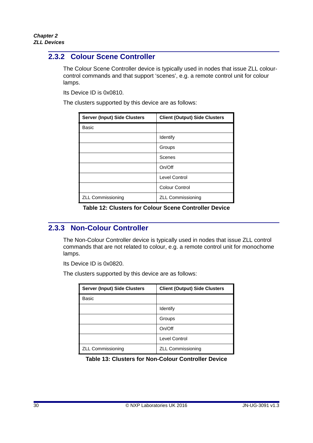### <span id="page-29-0"></span>**2.3.2 Colour Scene Controller**

The Colour Scene Controller device is typically used in nodes that issue ZLL colourcontrol commands and that support 'scenes', e.g. a remote control unit for colour lamps.

Its Device ID is 0x0810.

The clusters supported by this device are as follows:

| <b>Server (Input) Side Clusters</b> | <b>Client (Output) Side Clusters</b> |
|-------------------------------------|--------------------------------------|
| <b>Basic</b>                        |                                      |
|                                     | Identify                             |
|                                     | Groups                               |
|                                     | Scenes                               |
|                                     | On/Off                               |
|                                     | Level Control                        |
|                                     | Colour Control                       |
| <b>ZLL Commissioning</b>            | <b>ZLL Commissioning</b>             |

**Table 12: Clusters for Colour Scene Controller Device**

### <span id="page-29-1"></span>**2.3.3 Non-Colour Controller**

The Non-Colour Controller device is typically used in nodes that issue ZLL control commands that are not related to colour, e.g. a remote control unit for monochome lamps.

Its Device ID is 0x0820.

The clusters supported by this device are as follows:

| <b>Server (Input) Side Clusters</b> | <b>Client (Output) Side Clusters</b> |
|-------------------------------------|--------------------------------------|
| Basic                               |                                      |
|                                     | <b>Identify</b>                      |
|                                     | Groups                               |
|                                     | On/Off                               |
|                                     | Level Control                        |
| <b>ZLL Commissioning</b>            | <b>ZLL Commissioning</b>             |

**Table 13: Clusters for Non-Colour Controller Device**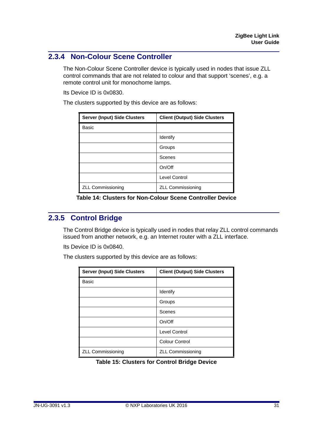### <span id="page-30-0"></span>**2.3.4 Non-Colour Scene Controller**

The Non-Colour Scene Controller device is typically used in nodes that issue ZLL control commands that are not related to colour and that support 'scenes', e.g. a remote control unit for monochome lamps.

Its Device ID is 0x0830.

The clusters supported by this device are as follows:

| <b>Server (Input) Side Clusters</b> | <b>Client (Output) Side Clusters</b> |
|-------------------------------------|--------------------------------------|
| <b>Basic</b>                        |                                      |
|                                     | Identify                             |
|                                     | Groups                               |
|                                     | Scenes                               |
|                                     | On/Off                               |
|                                     | Level Control                        |
| <b>ZLL Commissioning</b>            | <b>ZLL Commissioning</b>             |

**Table 14: Clusters for Non-Colour Scene Controller Device**

### <span id="page-30-1"></span>**2.3.5 Control Bridge**

The Control Bridge device is typically used in nodes that relay ZLL control commands issued from another network, e.g. an Internet router with a ZLL interface.

Its Device ID is 0x0840.

The clusters supported by this device are as follows:

| <b>Server (Input) Side Clusters</b> | <b>Client (Output) Side Clusters</b> |
|-------------------------------------|--------------------------------------|
| Basic                               |                                      |
|                                     | Identify                             |
|                                     | Groups                               |
|                                     | Scenes                               |
|                                     | On/Off                               |
|                                     | Level Control                        |
|                                     | Colour Control                       |
| <b>ZLL Commissioning</b>            | <b>ZLL Commissioning</b>             |

#### **Table 15: Clusters for Control Bridge Device**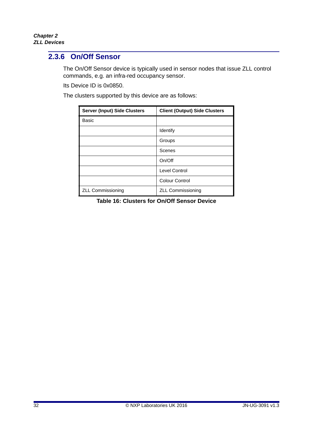### <span id="page-31-0"></span>**2.3.6 On/Off Sensor**

The On/Off Sensor device is typically used in sensor nodes that issue ZLL control commands, e.g. an infra-red occupancy sensor.

Its Device ID is 0x0850.

The clusters supported by this device are as follows:

| <b>Server (Input) Side Clusters</b> | <b>Client (Output) Side Clusters</b> |
|-------------------------------------|--------------------------------------|
| <b>Basic</b>                        |                                      |
|                                     | Identify                             |
|                                     | Groups                               |
|                                     | Scenes                               |
|                                     | On/Off                               |
|                                     | Level Control                        |
|                                     | <b>Colour Control</b>                |
| <b>ZLL Commissioning</b>            | <b>ZLL Commissioning</b>             |

**Table 16: Clusters for On/Off Sensor Device**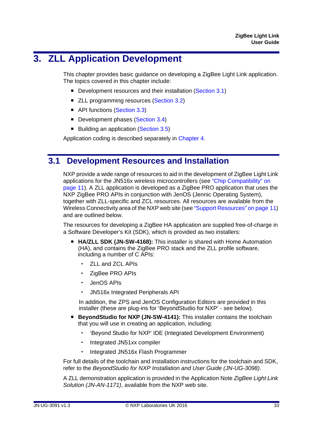# <span id="page-32-2"></span><span id="page-32-0"></span>**3. ZLL Application Development**

This chapter provides basic guidance on developing a ZigBee Light Link application. The topics covered in this chapter include:

- Development resources and their installation ([Section 3.1\)](#page-32-1)
- ZLL programming resources [\(Section 3.2](#page-33-0))
- API functions [\(Section 3.3](#page-34-0))
- Development phases ([Section 3.4\)](#page-34-1)
- Building an application [\(Section 3.5](#page-35-0))

Application coding is described separately in [Chapter 4.](#page-38-3)

### <span id="page-32-1"></span>**3.1 Development Resources and Installation**

NXP provide a wide range of resources to aid in the development of ZigBee Light Link applications for the JN516x wireless microcontrollers (see ["Chip Compatibility" on](#page-10-4)  [page 11](#page-10-4)). A ZLL application is developed as a ZigBee PRO application that uses the NXP ZigBee PRO APIs in conjunction with JenOS (Jennic Operating System), together with ZLL-specific and ZCL resources. All resources are available from the Wireless Connectivity area of the NXP web site (see ["Support Resources" on page 11\)](#page-10-3) and are outlined below.

The resources for developing a ZigBee HA application are supplied free-of-charge in a Software Developer's Kit (SDK), which is provided as two installers:

- **HA/ZLL SDK (JN-SW-4168):** This installer is shared with Home Automation (HA), and contains the ZigBee PRO stack and the ZLL profile software, including a number of C APIs:
	- ZLL and ZCL APIs
	- ZigBee PRO APIs
	- JenOS APIs
	- JN516x Integrated Peripherals API

In addition, the ZPS and JenOS Configuration Editors are provided in this installer (these are plug-ins for 'BeyondStudio for NXP' - see below).

- **BeyondStudio for NXP (JN-SW-4141):** This installer contains the toolchain that you will use in creating an application, including:
	- 'Beyond Studio for NXP' IDE (Integrated Development Environment)
	- Integrated JN51xx compiler
	- Integrated JN516x Flash Programmer

For full details of the toolchain and installation instructions for the toolchain and SDK, refer to the *BeyondStudio for NXP Installation and User Guide (JN-UG-3098)*.

A ZLL demonstration application is provided in the Application Note *ZigBee Light Link Solution (JN-AN-1171)*, available from the NXP web site.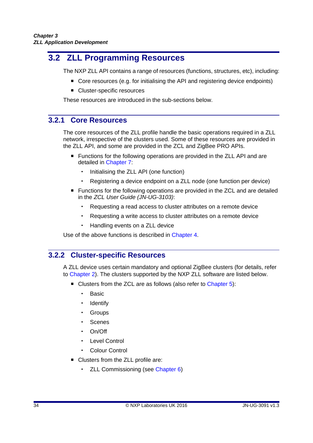# <span id="page-33-0"></span>**3.2 ZLL Programming Resources**

The NXP ZLL API contains a range of resources (functions, structures, etc), including:

- Core resources (e.g. for initialising the API and registering device endpoints)
- Cluster-specific resources

These resources are introduced in the sub-sections below.

#### <span id="page-33-1"></span>**3.2.1 Core Resources**

The core resources of the ZLL profile handle the basic operations required in a ZLL network, irrespective of the clusters used. Some of these resources are provided in the ZLL API, and some are provided in the ZCL and ZigBee PRO APIs.

- Functions for the following operations are provided in the ZLL API and are detailed in [Chapter 7:](#page-126-1)
	- **Initialising the ZLL API (one function)**
	- Registering a device endpoint on a ZLL node (one function per device)
- Functions for the following operations are provided in the ZCL and are detailed in the *ZCL User Guide (JN-UG-3103)*:
	- Requesting a read access to cluster attributes on a remote device
	- Requesting a write access to cluster attributes on a remote device
	- Handling events on a ZLL device

Use of the above functions is described in [Chapter 4.](#page-38-3)

#### <span id="page-33-2"></span>**3.2.2 Cluster-specific Resources**

A ZLL device uses certain mandatory and optional ZigBee clusters (for details, refer to [Chapter 2\)](#page-22-2). The clusters supported by the NXP ZLL software are listed below.

- Clusters from the ZCL are as follows (also refer to [Chapter 5](#page-52-1)):
	- Basic
	- Identify
	- Groups
	- Scenes
	- On/Off
	- **·** Level Control
	- Colour Control
- Clusters from the ZLL profile are:
	- ZLL Commissioning (see [Chapter 6](#page-66-2))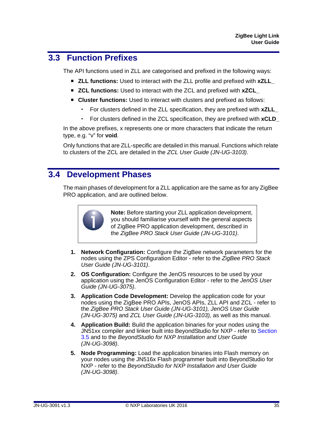### <span id="page-34-0"></span>**3.3 Function Prefixes**

The API functions used in ZLL are categorised and prefixed in the following ways:

- **ZLL functions:** Used to interact with the ZLL profile and prefixed with **xZLL\_**
- **ZCL functions:** Used to interact with the ZCL and prefixed with **xZCL**
- **Cluster functions:** Used to interact with clusters and prefixed as follows:
	- For clusters defined in the ZLL specification, they are prefixed with **xZLL\_**
	- For clusters defined in the ZCL specification, they are prefixed with **xCLD\_**

In the above prefixes, x represents one or more characters that indicate the return type, e.g. "v" for **void**.

Only functions that are ZLL-specific are detailed in this manual. Functions which relate to clusters of the ZCL are detailed in the *ZCL User Guide (JN-UG-3103)*.

### <span id="page-34-1"></span>**3.4 Development Phases**

The main phases of development for a ZLL application are the same as for any ZigBee PRO application, and are outlined below.



**Note:** Before starting your ZLL application development, you should familiarise yourself with the general aspects of ZigBee PRO application development, described in the *ZigBee PRO Stack User Guide (JN-UG-3101)*.

- **1. Network Configuration:** Configure the ZigBee network parameters for the nodes using the ZPS Configuration Editor - refer to the *ZigBee PRO Stack User Guide (JN-UG-3101)*.
- **2. OS Configuration:** Configure the JenOS resources to be used by your application using the JenOS Configuration Editor - refer to the *JenOS User Guide (JN-UG-3075)*.
- **3. Application Code Development:** Develop the application code for your nodes using the ZigBee PRO APIs, JenOS APIs, ZLL API and ZCL - refer to the *ZigBee PRO Stack User Guide (JN-UG-3101), JenOS User Guide (JN-UG-3075)* and *ZCL User Guide (JN-UG-3103),* as well as this manual.
- **4. Application Build:** Build the application binaries for your nodes using the JN51xx compiler and linker built into BeyondStudio for NXP - refer to [Section](#page-35-0)  [3.5](#page-35-0) and to the *BeyondStudio for NXP Installation and User Guide (JN-UG-3098)*.
- **5. Node Programming:** Load the application binaries into Flash memory on your nodes using the JN516x Flash programmer built into BeyondStudio for NXP - refer to the *BeyondStudio for NXP Installation and User Guide (JN-UG-3098)*.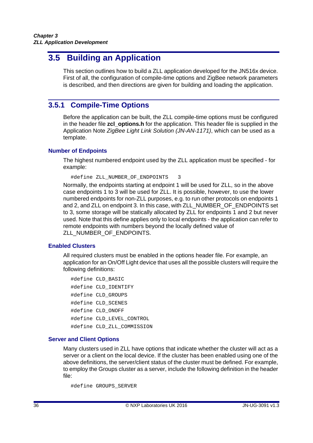# <span id="page-35-0"></span>**3.5 Building an Application**

This section outlines how to build a ZLL application developed for the JN516x device. First of all, the configuration of compile-time options and ZigBee network parameters is described, and then directions are given for building and loading the application.

### <span id="page-35-1"></span>**3.5.1 Compile-Time Options**

Before the application can be built, the ZLL compile-time options must be configured in the header file **zcl\_options.h** for the application. This header file is supplied in the Application Note *ZigBee Light Link Solution (JN-AN-1171)*, which can be used as a template.

#### **Number of Endpoints**

The highest numbered endpoint used by the ZLL application must be specified - for example:

```
#define ZLL_NUMBER_OF_ENDPOINTS 3
```
Normally, the endpoints starting at endpoint 1 will be used for ZLL, so in the above case endpoints 1 to 3 will be used for ZLL. It is possible, however, to use the lower numbered endpoints for non-ZLL purposes, e.g. to run other protocols on endpoints 1 and 2, and ZLL on endpoint 3. In this case, with ZLL\_NUMBER\_OF\_ENDPOINTS set to 3, some storage will be statically allocated by ZLL for endpoints 1 and 2 but never used. Note that this define applies only to local endpoints - the application can refer to remote endpoints with numbers beyond the locally defined value of ZLL\_NUMBER\_OF\_ENDPOINTS.

#### **Enabled Clusters**

All required clusters must be enabled in the options header file. For example, an application for an On/Off Light device that uses all the possible clusters will require the following definitions:

```
#define CLD_BASIC
#define CLD_IDENTIFY
#define CLD_GROUPS
#define CLD_SCENES
#define CLD_ONOFF
#define CLD_LEVEL_CONTROL
#define CLD_ZLL_COMMISSION
```
#### **Server and Client Options**

Many clusters used in ZLL have options that indicate whether the cluster will act as a server or a client on the local device. If the cluster has been enabled using one of the above definitions, the server/client status of the cluster must be defined. For example, to employ the Groups cluster as a server, include the following definition in the header file:

```
#define GROUPS_SERVER
```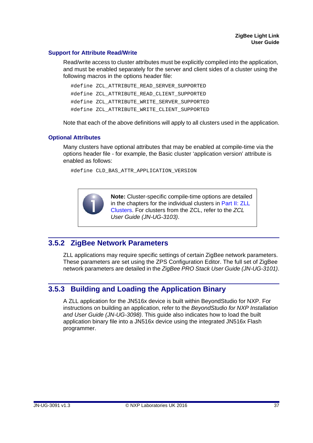#### **Support for Attribute Read/Write**

Read/write access to cluster attributes must be explicitly compiled into the application, and must be enabled separately for the server and client sides of a cluster using the following macros in the options header file:

#define ZCL\_ATTRIBUTE\_READ\_SERVER\_SUPPORTED #define ZCL\_ATTRIBUTE\_READ\_CLIENT\_SUPPORTED #define ZCL ATTRIBUTE WRITE SERVER SUPPORTED #define ZCL ATTRIBUTE WRITE CLIENT SUPPORTED

Note that each of the above definitions will apply to all clusters used in the application.

#### **Optional Attributes**

Many clusters have optional attributes that may be enabled at compile-time via the options header file - for example, the Basic cluster 'application version' attribute is enabled as follows:

#define CLD\_BAS\_ATTR\_APPLICATION\_VERSION



**Note:** Cluster-specific compile-time options are detailed in the chapters for the individual clusters in [Part II: ZLL](#page-50-0)  [Clusters](#page-50-0). For clusters from the ZCL, refer to the *ZCL User Guide (JN-UG-3103)*.

## **3.5.2 ZigBee Network Parameters**

ZLL applications may require specific settings of certain ZigBee network parameters. These parameters are set using the ZPS Configuration Editor. The full set of ZigBee network parameters are detailed in the *ZigBee PRO Stack User Guide (JN-UG-3101)*.

# **3.5.3 Building and Loading the Application Binary**

A ZLL application for the JN516x device is built within BeyondStudio for NXP. For instructions on building an application, refer to the *BeyondStudio for NXP Installation and User Guide (JN-UG-3098)*. This guide also indicates how to load the built application binary file into a JN516x device using the integrated JN516x Flash programmer.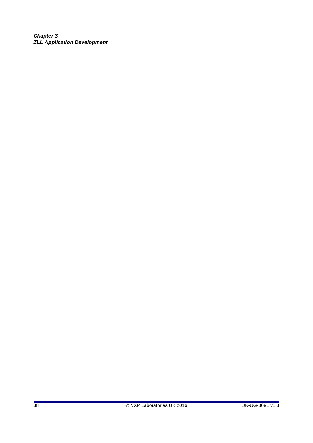*Chapter 3 ZLL Application Development*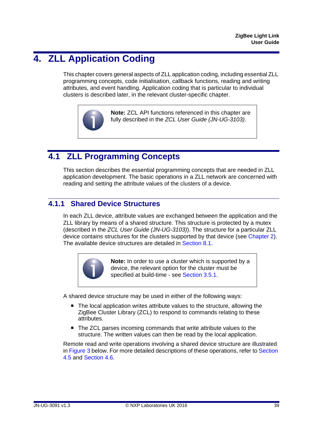# **4. ZLL Application Coding**

This chapter covers general aspects of ZLL application coding, including essential ZLL programming concepts, code initialisation, callback functions, reading and writing attributes, and event handling. Application coding that is particular to individual clusters is described later, in the relevant cluster-specific chapter.



**Note:** ZCL API functions referenced in this chapter are fully described in the *ZCL User Guide (JN-UG-3103)*.

# **4.1 ZLL Programming Concepts**

This section describes the essential programming concepts that are needed in ZLL application development. The basic operations in a ZLL network are concerned with reading and setting the attribute values of the clusters of a device.

# <span id="page-38-0"></span>**4.1.1 Shared Device Structures**

In each ZLL device, attribute values are exchanged between the application and the ZLL library by means of a shared structure. This structure is protected by a mutex (described in the *ZCL User Guide (JN-UG-3103)*). The structure for a particular ZLL device contains structures for the clusters supported by that device (see [Chapter 2\)](#page-22-0). The available device structures are detailed in [Section 8.1.](#page-156-0)



**Note:** In order to use a cluster which is supported by a device, the relevant option for the cluster must be specified at build-time - see [Section 3.5.1.](#page-35-0)

A shared device structure may be used in either of the following ways:

- The local application writes attribute values to the structure, allowing the ZigBee Cluster Library (ZCL) to respond to commands relating to these attributes.
- The ZCL parses incoming commands that write attribute values to the structure. The written values can then be read by the local application.

Remote read and write operations involving a shared device structure are illustrated in [Figure 3](#page-39-0) below. For more detailed descriptions of these operations, refer to [Section](#page-43-0)  [4.5](#page-43-0) and [Section 4.6.](#page-45-0)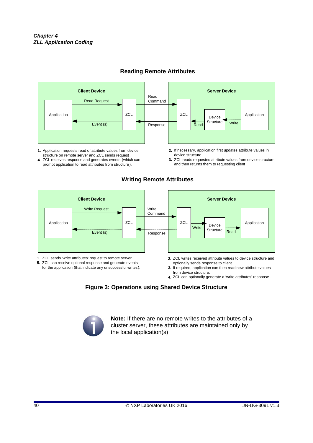

#### **Reading Remote Attributes**

- Application requests read of attribute values from device **1.** structure on remote server and ZCL sends request.
- 4. ZCL receives response and generates events (which can prompt application to read attributes from structure).



3. ZCL reads requested attribute values from device structure and then returns them to requesting client.



## **Writing Remote Attributes**

1. ZCL sends 'write attributes' request to remote server.

<span id="page-39-0"></span>5. ZCL can receive optional response and generate events for the application (that indicate any unsuccessful writes). ZCL writes received attribute values to device structure and **2.** optionally sends response to client.

If required, application can then read new attribute values **3.** from device structure.

4. ZCL can optionally generate a 'write attributes' response.

## **Figure 3: Operations using Shared Device Structure**

**Note:** If there are no remote writes to the attributes of a cluster server, these attributes are maintained only by the local application(s).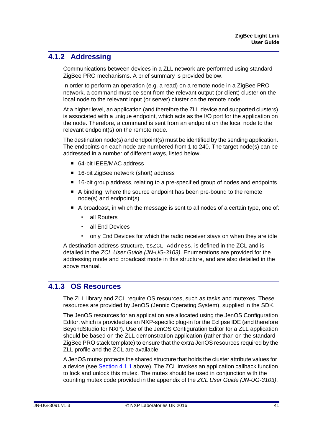## **4.1.2 Addressing**

Communications between devices in a ZLL network are performed using standard ZigBee PRO mechanisms. A brief summary is provided below.

In order to perform an operation (e.g. a read) on a remote node in a ZigBee PRO network, a command must be sent from the relevant output (or client) cluster on the local node to the relevant input (or server) cluster on the remote node.

At a higher level, an application (and therefore the ZLL device and supported clusters) is associated with a unique endpoint, which acts as the I/O port for the application on the node. Therefore, a command is sent from an endpoint on the local node to the relevant endpoint(s) on the remote node.

The destination node(s) and endpoint(s) must be identified by the sending application. The endpoints on each node are numbered from 1 to 240. The target node(s) can be addressed in a number of different ways, listed below.

- 64-bit IEEE/MAC address
- 16-bit ZigBee network (short) address
- 16-bit group address, relating to a pre-specified group of nodes and endpoints
- A binding, where the source endpoint has been pre-bound to the remote node(s) and endpoint(s)
- A broadcast, in which the message is sent to all nodes of a certain type, one of:
	- · all Routers
	- all End Devices
	- only End Devices for which the radio receiver stays on when they are idle

A destination address structure, tsZCL\_Address, is defined in the ZCL and is detailed in the *ZCL User Guide (JN-UG-3103)*. Enumerations are provided for the addressing mode and broadcast mode in this structure, and are also detailed in the above manual.

## **4.1.3 OS Resources**

The ZLL library and ZCL require OS resources, such as tasks and mutexes. These resources are provided by JenOS (Jennic Operating System), supplied in the SDK.

The JenOS resources for an application are allocated using the JenOS Configuration Editor, which is provided as an NXP-specific plug-in for the Eclipse IDE (and therefore BeyondStudio for NXP). Use of the JenOS Configuration Editor for a ZLL application should be based on the ZLL demonstration application (rather than on the standard ZigBee PRO stack template) to ensure that the extra JenOS resources required by the ZLL profile and the ZCL are available.

A JenOS mutex protects the shared structure that holds the cluster attribute values for a device (see [Section 4.1.1](#page-38-0) above). The ZCL invokes an application callback function to lock and unlock this mutex. The mutex should be used in conjunction with the counting mutex code provided in the appendix of the *ZCL User Guide (JN-UG-3103)*.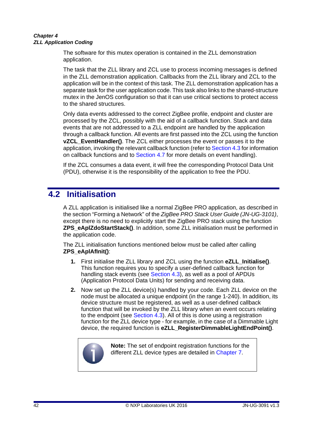The software for this mutex operation is contained in the ZLL demonstration application.

The task that the ZLL library and ZCL use to process incoming messages is defined in the ZLL demonstration application. Callbacks from the ZLL library and ZCL to the application will be in the context of this task. The ZLL demonstration application has a separate task for the user application code. This task also links to the shared-structure mutex in the JenOS configuration so that it can use critical sections to protect access to the shared structures.

Only data events addressed to the correct ZigBee profile, endpoint and cluster are processed by the ZCL, possibly with the aid of a callback function. Stack and data events that are not addressed to a ZLL endpoint are handled by the application through a callback function. All events are first passed into the ZCL using the function **vZCL\_EventHandler()**. The ZCL either processes the event or passes it to the application, invoking the relevant callback function (refer to [Section 4.3](#page-42-0) for information on callback functions and to [Section 4.7](#page-48-0) for more details on event handling).

If the ZCL consumes a data event, it will free the corresponding Protocol Data Unit (PDU), otherwise it is the responsibility of the application to free the PDU.

# <span id="page-41-0"></span>**4.2 Initialisation**

A ZLL application is initialised like a normal ZigBee PRO application, as described in the section "Forming a Network" of the *ZigBee PRO Stack User Guide (JN-UG-3101)*, except there is no need to explicitly start the ZigBee PRO stack using the function **ZPS** eAplZdoStartStack(). In addition, some ZLL initialisation must be performed in the application code.

The ZLL initialisation functions mentioned below must be called after calling **ZPS\_eAplAfInit()**:

- **1.** First initialise the ZLL library and ZCL using the function **eZLL\_Initialise()**. This function requires you to specify a user-defined callback function for handling stack events (see [Section 4.3](#page-42-0)), as well as a pool of APDUs (Application Protocol Data Units) for sending and receiving data.
- **2.** Now set up the ZLL device(s) handled by your code. Each ZLL device on the node must be allocated a unique endpoint (in the range 1-240). In addition, its device structure must be registered, as well as a user-defined callback function that will be invoked by the ZLL library when an event occurs relating to the endpoint (see [Section 4.3](#page-42-0)). All of this is done using a registration function for the ZLL device type - for example, in the case of a Dimmable Light device, the required function is **eZLL\_RegisterDimmableLightEndPoint()**.



**Note:** The set of endpoint registration functions for the different ZLL device types are detailed in [Chapter 7.](#page-126-0)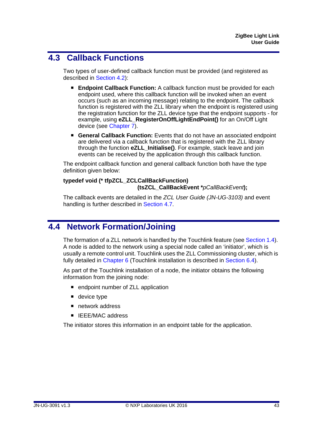# <span id="page-42-0"></span>**4.3 Callback Functions**

Two types of user-defined callback function must be provided (and registered as described in [Section 4.2\)](#page-41-0):

- **Endpoint Callback Function:** A callback function must be provided for each endpoint used, where this callback function will be invoked when an event occurs (such as an incoming message) relating to the endpoint. The callback function is registered with the ZLL library when the endpoint is registered using the registration function for the ZLL device type that the endpoint supports - for example, using **eZLL\_RegisterOnOffLightEndPoint()** for an On/Off Light device (see [Chapter 7](#page-126-0)).
- **General Callback Function:** Events that do not have an associated endpoint are delivered via a callback function that is registered with the ZLL library through the function **eZLL\_Initialise()**. For example, stack leave and join events can be received by the application through this callback function.

The endpoint callback function and general callback function both have the type definition given below:

## **typedef void (\* tfpZCL\_ZCLCallBackFunction) (tsZCL\_CallBackEvent \****pCallBackEvent***);**

The callback events are detailed in the *ZCL User Guide (JN-UG-3103)* and event handling is further described in [Section 4.7.](#page-48-0)

# **4.4 Network Formation/Joining**

The formation of a ZLL network is handled by the Touchlink feature (see [Section 1.4](#page-17-0)). A node is added to the network using a special node called an 'initiator', which is usually a remote control unit. Touchlink uses the ZLL Commissioning cluster, which is fully detailed in [Chapter 6](#page-66-0) (Touchlink installation is described in [Section 6.4](#page-68-0)).

As part of the Touchlink installation of a node, the initiator obtains the following information from the joining node:

- endpoint number of ZLL application
- device type
- network address
- IEEE/MAC address

The initiator stores this information in an endpoint table for the application.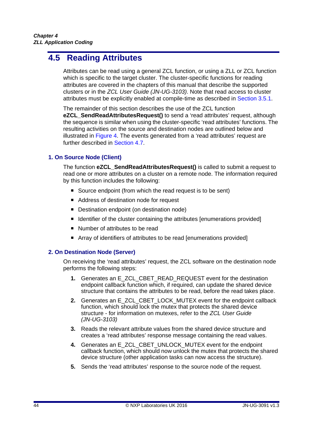# <span id="page-43-0"></span>**4.5 Reading Attributes**

Attributes can be read using a general ZCL function, or using a ZLL or ZCL function which is specific to the target cluster. The cluster-specific functions for reading attributes are covered in the chapters of this manual that describe the supported clusters or in the *ZCL User Guide (JN-UG-3103)*. Note that read access to cluster attributes must be explicitly enabled at compile-time as described in [Section 3.5.1.](#page-35-0)

The remainder of this section describes the use of the ZCL function **eZCL\_SendReadAttributesRequest()** to send a 'read attributes' request, although the sequence is similar when using the cluster-specific 'read attributes' functions. The resulting activities on the source and destination nodes are outlined below and illustrated in [Figure 4](#page-44-0). The events generated from a 'read attributes' request are further described in [Section 4.7](#page-48-0).

## **1. On Source Node (Client)**

The function **eZCL\_SendReadAttributesRequest()** is called to submit a request to read one or more attributes on a cluster on a remote node. The information required by this function includes the following:

- Source endpoint (from which the read request is to be sent)
- Address of destination node for request
- Destination endpoint (on destination node)
- If Identifier of the cluster containing the attributes [enumerations provided]
- Number of attributes to be read
- Array of identifiers of attributes to be read [enumerations provided]

#### **2. On Destination Node (Server)**

On receiving the 'read attributes' request, the ZCL software on the destination node performs the following steps:

- **1.** Generates an E\_ZCL\_CBET\_READ\_REQUEST event for the destination endpoint callback function which, if required, can update the shared device structure that contains the attributes to be read, before the read takes place.
- **2.** Generates an E\_ZCL\_CBET\_LOCK\_MUTEX event for the endpoint callback function, which should lock the mutex that protects the shared device structure - for information on mutexes, refer to the *ZCL User Guide (JN-UG-3103)*
- **3.** Reads the relevant attribute values from the shared device structure and creates a 'read attributes' response message containing the read values.
- **4.** Generates an E\_ZCL\_CBET\_UNLOCK\_MUTEX event for the endpoint callback function, which should now unlock the mutex that protects the shared device structure (other application tasks can now access the structure).
- **5.** Sends the 'read attributes' response to the source node of the request.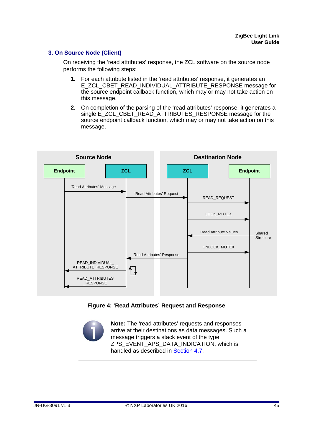#### **3. On Source Node (Client)**

On receiving the 'read attributes' response, the ZCL software on the source node performs the following steps:

- **1.** For each attribute listed in the 'read attributes' response, it generates an E\_ZCL\_CBET\_READ\_INDIVIDUAL\_ATTRIBUTE\_RESPONSE message for the source endpoint callback function, which may or may not take action on this message.
- **2.** On completion of the parsing of the 'read attributes' response, it generates a single E\_ZCL\_CBET\_READ\_ATTRIBUTES\_RESPONSE message for the source endpoint callback function, which may or may not take action on this message.



<span id="page-44-0"></span>

**Note:** The 'read attributes' requests and responses arrive at their destinations as data messages. Such a message triggers a stack event of the type ZPS\_EVENT\_APS\_DATA\_INDICATION, which is handled as described in [Section 4.7.](#page-48-0)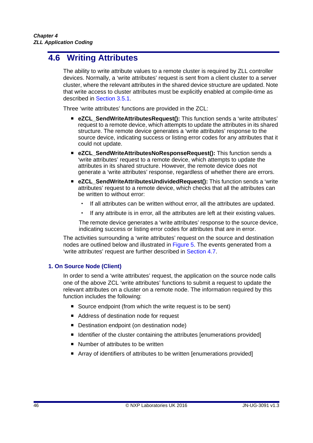# <span id="page-45-0"></span>**4.6 Writing Attributes**

The ability to write attribute values to a remote cluster is required by ZLL controller devices. Normally, a 'write attributes' request is sent from a client cluster to a server cluster, where the relevant attributes in the shared device structure are updated. Note that write access to cluster attributes must be explicitly enabled at compile-time as described in [Section 3.5.1.](#page-35-0)

Three 'write attributes' functions are provided in the ZCL:

- eZCL SendWriteAttributesRequest(): This function sends a 'write attributes' request to a remote device, which attempts to update the attributes in its shared structure. The remote device generates a 'write attributes' response to the source device, indicating success or listing error codes for any attributes that it could not update.
- eZCL\_SendWriteAttributesNoResponseRequest(): This function sends a 'write attributes' request to a remote device, which attempts to update the attributes in its shared structure. However, the remote device does not generate a 'write attributes' response, regardless of whether there are errors.
- **EXCL\_SendWriteAttributesUndividedRequest():** This function sends a 'write attributes' request to a remote device, which checks that all the attributes can be written to without error:
	- If all attributes can be written without error, all the attributes are updated.
	- If any attribute is in error, all the attributes are left at their existing values.

The remote device generates a 'write attributes' response to the source device, indicating success or listing error codes for attributes that are in error.

The activities surrounding a 'write attributes' request on the source and destination nodes are outlined below and illustrated in [Figure 5.](#page-47-0) The events generated from a 'write attributes' request are further described in [Section 4.7](#page-48-0).

#### **1. On Source Node (Client)**

In order to send a 'write attributes' request, the application on the source node calls one of the above ZCL 'write attributes' functions to submit a request to update the relevant attributes on a cluster on a remote node. The information required by this function includes the following:

- Source endpoint (from which the write request is to be sent)
- Address of destination node for request
- Destination endpoint (on destination node)
- I Identifier of the cluster containing the attributes [enumerations provided]
- Number of attributes to be written
- Array of identifiers of attributes to be written [enumerations provided]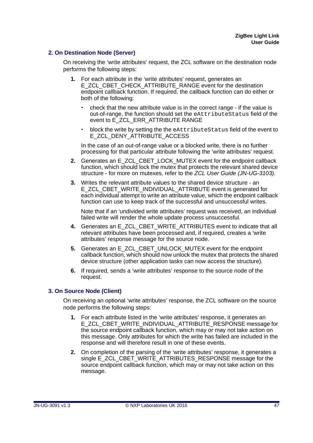#### **2. On Destination Node (Server)**

On receiving the 'write attributes' request, the ZCL software on the destination node performs the following steps:

- **1.** For each attribute in the 'write attributes' request, generates an E\_ZCL\_CBET\_CHECK\_ATTRIBUTE\_RANGE event for the destination endpoint callback function. If required, the callback function can do either or both of the following:
	- check that the new attribute value is in the correct range if the value is out-of-range, the function should set the eAttributeStatus field of the event to E\_ZCL\_ERR\_ATTRIBUTE RANGE
	- block the write by setting the the eAttributeStatus field of the event to E\_ZCL\_DENY\_ATTRIBUTE\_ACCESS

In the case of an out-of-range value or a blocked write, there is no further processing for that particular attribute following the 'write attributes' request.

- **2.** Generates an E\_ZCL\_CBET\_LOCK\_MUTEX event for the endpoint callback function, which should lock the mutex that protects the relevant shared device structure - for more on mutexes, refer to the *ZCL User Guide (JN-UG-3103).*
- **3.** Writes the relevant attribute values to the shared device structure an E\_ZCL\_CBET\_WRITE\_INDIVIDUAL\_ATTRIBUTE event is generated for each individual attempt to write an attribute value, which the endpoint callback function can use to keep track of the successful and unsuccessful writes.

Note that if an 'undivided write attributes' request was received, an individual failed write will render the whole update process unsuccessful.

- **4.** Generates an E\_ZCL\_CBET\_WRITE\_ATTRIBUTES event to indicate that all relevant attributes have been processed and, if required, creates a 'write attributes' response message for the source node.
- **5.** Generates an E\_ZCL\_CBET\_UNLOCK\_MUTEX event for the endpoint callback function, which should now unlock the mutex that protects the shared device structure (other application tasks can now access the structure).
- **6.** If required, sends a 'write attributes' response to the source node of the request.

#### **3. On Source Node (Client)**

On receiving an optional 'write attributes' response, the ZCL software on the source node performs the following steps:

- **1.** For each attribute listed in the 'write attributes' response, it generates an E\_ZCL\_CBET\_WRITE\_INDIVIDUAL\_ATTRIBUTE\_RESPONSE message for the source endpoint callback function, which may or may not take action on this message. Only attributes for which the write has failed are included in the response and will therefore result in one of these events.
- **2.** On completion of the parsing of the 'write attributes' response, it generates a single E\_ZCL\_CBET\_WRITE\_ATTRIBUTES\_RESPONSE message for the source endpoint callback function, which may or may not take action on this message.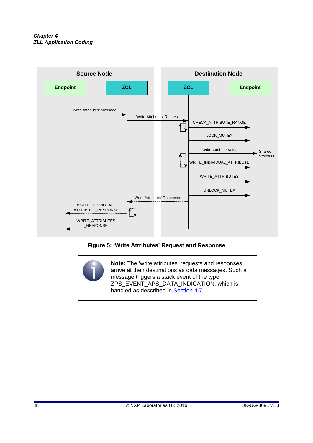

<span id="page-47-0"></span>**Figure 5: 'Write Attributes' Request and Response**

**Note:** The 'write attributes' requests and responses arrive at their destinations as data messages. Such a message triggers a stack event of the type ZPS\_EVENT\_APS\_DATA\_INDICATION, which is handled as described in [Section 4.7.](#page-48-0)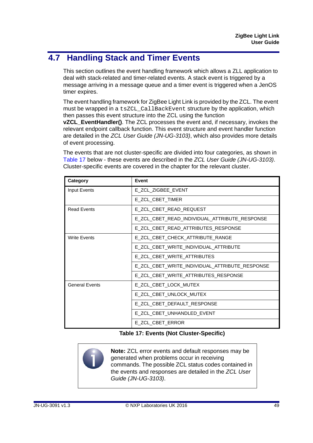# <span id="page-48-0"></span>**4.7 Handling Stack and Timer Events**

This section outlines the event handling framework which allows a ZLL application to deal with stack-related and timer-related events. A stack event is triggered by a message arriving in a message queue and a timer event is triggered when a JenOS timer expires.

The event handling framework for ZigBee Light Link is provided by the ZCL. The event must be wrapped in a tsZCL\_CallBackEvent structure by the application, which then passes this event structure into the ZCL using the function

**vZCL\_EventHandler()**. The ZCL processes the event and, if necessary, invokes the relevant endpoint callback function. This event structure and event handler function are detailed in the *ZCL User Guide (JN-UG-3103)*, which also provides more details of event processing.

The events that are not cluster-specific are divided into four categories, as shown in Table 17 below - these events are described in the *ZCL User Guide (JN-UG-3103)*. Cluster-specific events are covered in the chapter for the relevant cluster.

| Category              | Event                                          |
|-----------------------|------------------------------------------------|
| Input Events          | E ZCL ZIGBEE EVENT                             |
|                       | E_ZCL_CBET_TIMER                               |
| <b>Read Events</b>    | E ZCL CBET READ REQUEST                        |
|                       | E ZCL CBET READ INDIVIDUAL ATTRIBUTE RESPONSE  |
|                       | E ZCL CBET READ ATTRIBUTES RESPONSE            |
| <b>Write Events</b>   | E ZCL CBET CHECK ATTRIBUTE RANGE               |
|                       | E ZCL CBET WRITE INDIVIDUAL ATTRIBUTE          |
|                       | E_ZCL_CBET_WRITE_ATTRIBUTES                    |
|                       | E_ZCL_CBET_WRITE_INDIVIDUAL_ATTRIBUTE_RESPONSE |
|                       | E_ZCL_CBET_WRITE_ATTRIBUTES_RESPONSE           |
| <b>General Events</b> | E_ZCL_CBET_LOCK_MUTEX                          |
|                       | E_ZCL_CBET_UNLOCK_MUTEX                        |
|                       | E ZCL CBET DEFAULT RESPONSE                    |
|                       | E_ZCL_CBET_UNHANDLED_EVENT                     |
|                       | E ZCL CBET ERROR                               |

#### **Table 17: Events (Not Cluster-Specific)**



**Note:** ZCL error events and default responses may be generated when problems occur in receiving commands. The possible ZCL status codes contained in the events and responses are detailed in the *ZCL User Guide (JN-UG-3103)*.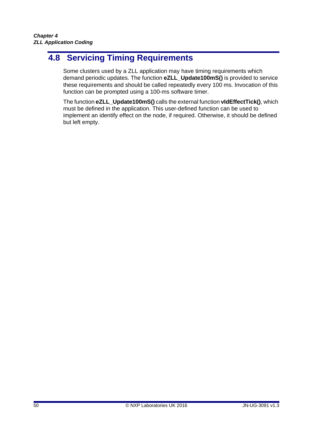# **4.8 Servicing Timing Requirements**

Some clusters used by a ZLL application may have timing requirements which demand periodic updates. The function **eZLL\_Update100mS()** is provided to service these requirements and should be called repeatedly every 100 ms. Invocation of this function can be prompted using a 100-ms software timer.

The function **eZLL\_Update100mS()** calls the external function **vIdEffectTick()**, which must be defined in the application. This user-defined function can be used to implement an identify effect on the node, if required. Otherwise, it should be defined but left empty.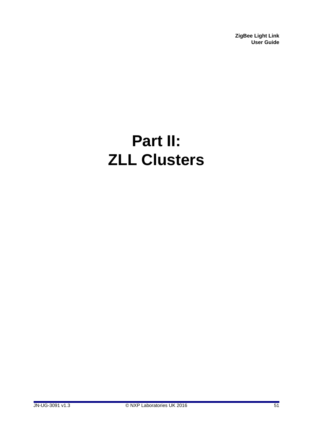# <span id="page-50-0"></span>**Part II: ZLL Clusters**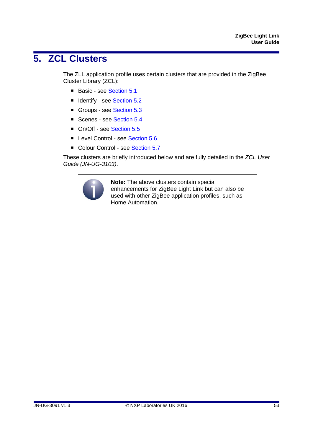# **5. ZCL Clusters**

The ZLL application profile uses certain clusters that are provided in the ZigBee Cluster Library (ZCL):

- Basic see [Section 5.1](#page-53-0)
- Identify see [Section 5.2](#page-54-0)
- Groups see [Section 5.3](#page-55-0)
- Scenes see [Section 5.4](#page-56-0)
- On/Off see [Section 5.5](#page-58-0)
- Level Control see [Section 5.6](#page-60-0)
- Colour Control see [Section 5.7](#page-61-0)

These clusters are briefly introduced below and are fully detailed in the *ZCL User Guide (JN-UG-3103)*.



**Note:** The above clusters contain special enhancements for ZigBee Light Link but can also be used with other ZigBee application profiles, such as Home Automation.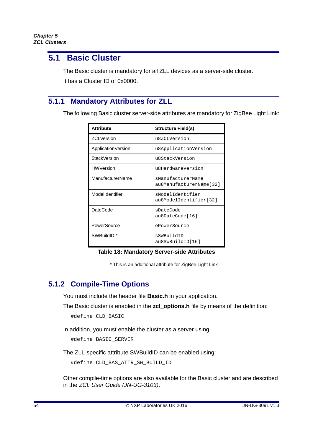# <span id="page-53-0"></span>**5.1 Basic Cluster**

The Basic cluster is mandatory for all ZLL devices as a server-side cluster. It has a Cluster ID of 0x0000.

# **5.1.1 Mandatory Attributes for ZLL**

The following Basic cluster server-side attributes are mandatory for ZigBee Light Link:

| <b>Attribute</b>       | <b>Structure Field(s)</b>                    |
|------------------------|----------------------------------------------|
| <b>ZCLVersion</b>      | u8ZCLVersion                                 |
| ApplicationVersion     | u8ApplicationVersion                         |
| <b>StackVersion</b>    | u8StackVersion                               |
| <b>HWVersion</b>       | u8HardwareVersion                            |
| ManufacturerName       | sManufacturerName<br>au8ManufacturerName[32] |
| ModelIdentifier        | sModelIdentifier<br>au8ModelIdentifier[32]   |
| <b>DateCode</b>        | sDateCode<br>au8DateCode[16]                 |
| PowerSource            | ePowerSource                                 |
| SWBuildID <sup>*</sup> | sSWBuildID<br>au8SWBuildID[16]               |

**Table 18: Mandatory Server-side Attributes**

\* This is an additional attribute for ZigBee Light Link

# **5.1.2 Compile-Time Options**

You must include the header file **Basic.h** in your application.

The Basic cluster is enabled in the **zcl\_options.h** file by means of the definition:

```
#define CLD_BASIC
```
In addition, you must enable the cluster as a server using:

#define BASIC\_SERVER

The ZLL-specific attribute SWBuildID can be enabled using:

#define CLD\_BAS\_ATTR\_SW\_BUILD\_ID

Other compile-time options are also available for the Basic cluster and are described in the *ZCL User Guide (JN-UG-3103)*.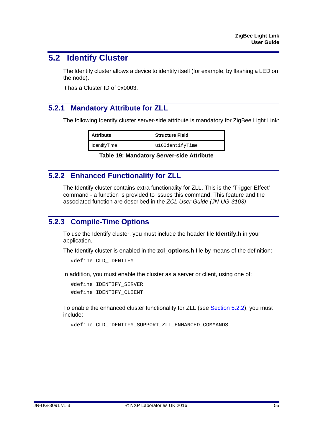# <span id="page-54-0"></span>**5.2 Identify Cluster**

The Identify cluster allows a device to identify itself (for example, by flashing a LED on the node).

It has a Cluster ID of 0x0003.

# **5.2.1 Mandatory Attribute for ZLL**

The following Identify cluster server-side attribute is mandatory for ZigBee Light Link:

| <b>Attribute</b>    | <b>Structure Field</b> |
|---------------------|------------------------|
| <b>IdentifyTime</b> | u16IdentifyTime        |

|  | Table 19: Mandatory Server-side Attribute |  |
|--|-------------------------------------------|--|
|  |                                           |  |

# <span id="page-54-1"></span>**5.2.2 Enhanced Functionality for ZLL**

The Identify cluster contains extra functionality for ZLL. This is the 'Trigger Effect' command - a function is provided to issues this command. This feature and the associated function are described in the *ZCL User Guide (JN-UG-3103)*.

# **5.2.3 Compile-Time Options**

To use the Identify cluster, you must include the header file **Identify.h** in your application.

The Identify cluster is enabled in the **zcl\_options.h** file by means of the definition:

```
#define CLD_IDENTIFY
```
In addition, you must enable the cluster as a server or client, using one of:

#define IDENTIFY\_SERVER #define IDENTIFY\_CLIENT

To enable the enhanced cluster functionality for ZLL (see [Section 5.2.2\)](#page-54-1), you must include:

```
#define CLD_IDENTIFY_SUPPORT_ZLL_ENHANCED_COMMANDS
```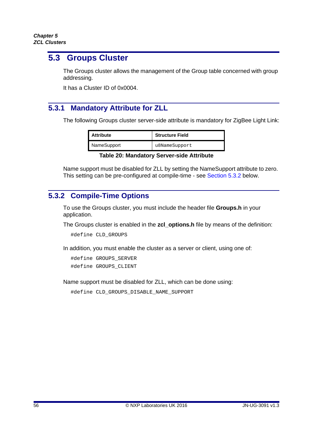# <span id="page-55-0"></span>**5.3 Groups Cluster**

The Groups cluster allows the management of the Group table concerned with group addressing.

It has a Cluster ID of 0x0004.

# **5.3.1 Mandatory Attribute for ZLL**

The following Groups cluster server-side attribute is mandatory for ZigBee Light Link:

| <b>Attribute</b>   | <b>Structure Field</b> |
|--------------------|------------------------|
| <b>NameSupport</b> | u8NameSupport          |

**Table 20: Mandatory Server-side Attribute**

Name support must be disabled for ZLL by setting the NameSupport attribute to zero. This setting can be pre-configured at compile-time - see [Section 5.3.2](#page-55-1) below.

# <span id="page-55-1"></span>**5.3.2 Compile-Time Options**

To use the Groups cluster, you must include the header file **Groups.h** in your application.

The Groups cluster is enabled in the **zcl\_options.h** file by means of the definition:

#define CLD\_GROUPS

In addition, you must enable the cluster as a server or client, using one of:

#define GROUPS\_SERVER #define GROUPS\_CLIENT

Name support must be disabled for ZLL, which can be done using:

#define CLD\_GROUPS\_DISABLE\_NAME\_SUPPORT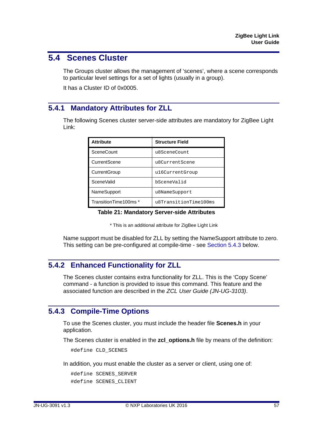# <span id="page-56-0"></span>**5.4 Scenes Cluster**

The Groups cluster allows the management of 'scenes', where a scene corresponds to particular level settings for a set of lights (usually in a group).

It has a Cluster ID of 0x0005.

# **5.4.1 Mandatory Attributes for ZLL**

The following Scenes cluster server-side attributes are mandatory for ZigBee Light Link:

| <b>Attribute</b>      | <b>Structure Field</b> |
|-----------------------|------------------------|
| SceneCount            | u8SceneCount           |
| CurrentScene          | u8CurrentScene         |
| CurrentGroup          | u16CurrentGroup        |
| SceneValid            | bSceneValid            |
| NameSupport           | u8NameSupport          |
| TransitionTime100ms * | u8TransitionTime100ms  |

**Table 21: Mandatory Server-side Attributes**

\* This is an additional attribute for ZigBee Light Link

Name support must be disabled for ZLL by setting the NameSupport attribute to zero. This setting can be pre-configured at compile-time - see [Section 5.4.3](#page-56-1) below.

# <span id="page-56-2"></span>**5.4.2 Enhanced Functionality for ZLL**

The Scenes cluster contains extra functionality for ZLL. This is the 'Copy Scene' command - a function is provided to issue this command. This feature and the associated function are described in the *ZCL User Guide (JN-UG-3103)*.

## <span id="page-56-1"></span>**5.4.3 Compile-Time Options**

To use the Scenes cluster, you must include the header file **Scenes.h** in your application.

The Scenes cluster is enabled in the **zcl\_options.h** file by means of the definition:

#define CLD\_SCENES

In addition, you must enable the cluster as a server or client, using one of:

#define SCENES\_SERVER #define SCENES\_CLIENT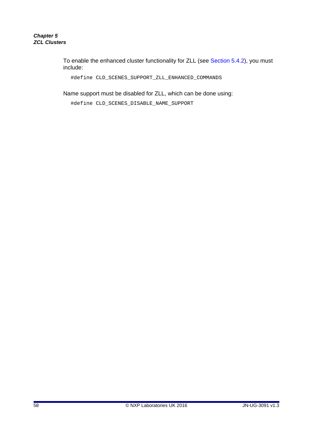To enable the enhanced cluster functionality for ZLL (see [Section 5.4.2\)](#page-56-2), you must include:

#define CLD\_SCENES\_SUPPORT\_ZLL\_ENHANCED\_COMMANDS

Name support must be disabled for ZLL, which can be done using:

#define CLD\_SCENES\_DISABLE\_NAME\_SUPPORT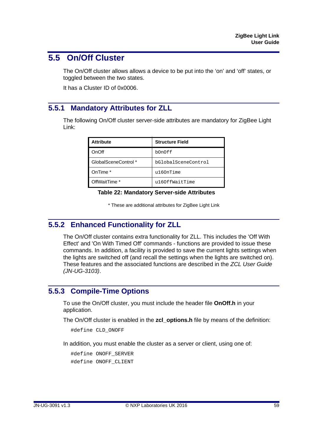# <span id="page-58-0"></span>**5.5 On/Off Cluster**

The On/Off cluster allows allows a device to be put into the 'on' and 'off' states, or toggled between the two states.

It has a Cluster ID of 0x0006.

# **5.5.1 Mandatory Attributes for ZLL**

The following On/Off cluster server-side attributes are mandatory for ZigBee Light Link:

| <b>Attribute</b>     | <b>Structure Field</b> |
|----------------------|------------------------|
| OnOff                | b0n0ff                 |
| GlobalSceneControl * | bGlobalSceneControl    |
| OnTime *             | u160nTime              |
| OffWaitTime *        | u16OffWaitTime         |

**Table 22: Mandatory Server-side Attributes**

\* These are additional attributes for ZigBee Light Link

## <span id="page-58-1"></span>**5.5.2 Enhanced Functionality for ZLL**

The On/Off cluster contains extra functionality for ZLL. This includes the 'Off With Effect' and 'On With Timed Off' commands - functions are provided to issue these commands. In addition, a facility is provided to save the current lights settings when the lights are switched off (and recall the settings when the lights are switched on). These features and the associated functions are described in the *ZCL User Guide (JN-UG-3103)*.

## **5.5.3 Compile-Time Options**

To use the On/Off cluster, you must include the header file **OnOff.h** in your application.

The On/Off cluster is enabled in the **zcl\_options.h** file by means of the definition:

```
#define CLD_ONOFF
```
In addition, you must enable the cluster as a server or client, using one of:

#define ONOFF\_SERVER #define ONOFF\_CLIENT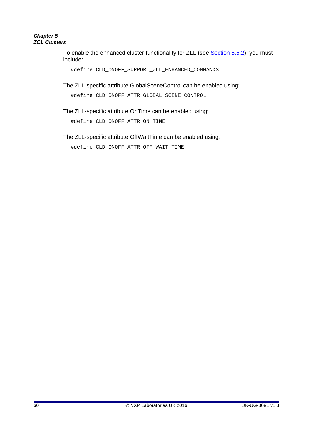To enable the enhanced cluster functionality for ZLL (see [Section 5.5.2\)](#page-58-1), you must include:

#define CLD\_ONOFF\_SUPPORT\_ZLL\_ENHANCED\_COMMANDS

#### The ZLL-specific attribute GlobalSceneControl can be enabled using:

#define CLD\_ONOFF\_ATTR\_GLOBAL\_SCENE\_CONTROL

#### The ZLL-specific attribute OnTime can be enabled using:

#define CLD\_ONOFF\_ATTR\_ON\_TIME

#### The ZLL-specific attribute OffWaitTime can be enabled using:

#define CLD\_ONOFF\_ATTR\_OFF\_WAIT\_TIME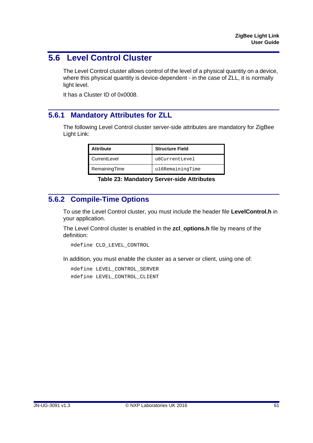# <span id="page-60-0"></span>**5.6 Level Control Cluster**

The Level Control cluster allows control of the level of a physical quantity on a device, where this physical quantity is device-dependent - in the case of ZLL, it is normally light level.

It has a Cluster ID of 0x0008.

# **5.6.1 Mandatory Attributes for ZLL**

The following Level Control cluster server-side attributes are mandatory for ZigBee Light Link:

| <b>Attribute</b> | <b>Structure Field</b> |  |
|------------------|------------------------|--|
| CurrentLevel     | u8CurrentLevel         |  |
| RemainingTime    | u16RemainingTime       |  |

**Table 23: Mandatory Server-side Attributes**

# **5.6.2 Compile-Time Options**

To use the Level Control cluster, you must include the header file **LevelControl.h** in your application.

The Level Control cluster is enabled in the **zcl\_options.h** file by means of the definition:

```
#define CLD_LEVEL_CONTROL
```
In addition, you must enable the cluster as a server or client, using one of:

#define LEVEL\_CONTROL\_SERVER #define LEVEL\_CONTROL\_CLIENT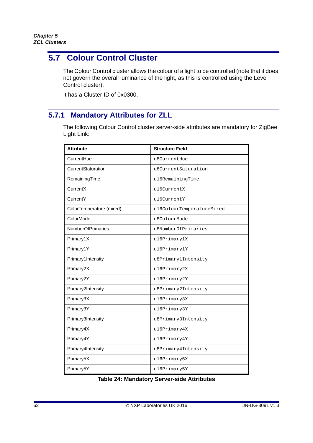# <span id="page-61-0"></span>**5.7 Colour Control Cluster**

The Colour Control cluster allows the colour of a light to be controlled (note that it does not govern the overall luminance of the light, as this is controlled using the Level Control cluster).

It has a Cluster ID of 0x0300.

# **5.7.1 Mandatory Attributes for ZLL**

The following Colour Control cluster server-side attributes are mandatory for ZigBee Light Link:

| <b>Attribute</b>         | <b>Structure Field</b>    |  |
|--------------------------|---------------------------|--|
| CurrentHue               | u8CurrentHue              |  |
| CurrentStaturation       | u8CurrentSaturation       |  |
| RemainingTime            | u16RemainingTime          |  |
| CurrentX                 | u16CurrentX               |  |
| CurrentY                 | u16CurrentY               |  |
| ColorTemperature (mired) | u16ColourTemperatureMired |  |
| ColorMode                | u8ColourMode              |  |
| <b>NumberOfPrimaries</b> | u8NumberOfPrimaries       |  |
| Primary1X                | u16Primary1X              |  |
| Primary1Y                | u16Primary1Y              |  |
| Primary1Intensity        | u8Primary1Intensity       |  |
| Primary2X                | u16Primary2X              |  |
| Primary2Y                | u16Primary2Y              |  |
| Primary2Intensity        | u8Primary2Intensity       |  |
| Primary3X                | u16Primary3X              |  |
| Primary3Y                | u16Primary3Y              |  |
| Primary3Intensity        | u8Primary3Intensity       |  |
| Primary4X                | u16Primary4X              |  |
| Primary4Y                | u16Primary4Y              |  |
| Primary4Intensity        | u8Primary4Intensity       |  |
| Primary5X                | u16Primary5X              |  |
| Primary5Y                | u16Primary5Y              |  |

#### **Table 24: Mandatory Server-side Attributes**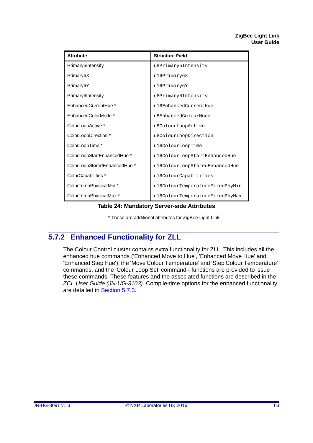| <b>Attribute</b>             | <b>Structure Field</b>          |
|------------------------------|---------------------------------|
| Primary5Intensity            | u8Primary5Intensity             |
| Primary6X                    | $u16$ Primary $6X$              |
| Primary6Y                    | u16Primary6Y                    |
| Primary6Intensity            | u8Primary6Intensity             |
| EnhancedCurrentHue *         | u16EnhancedCurrentHue           |
| EnhancedColorMode *          | u8EnhancedColourMode            |
| ColorLoopActive *            | u8ColourLoopActive              |
| ColorLoopDirection *         | u8ColourLoopDirection           |
| ColorLoopTime *              | u16ColourLoopTime               |
| ColorLoopStartEnhancedHue *  | u16ColourLoopStartEnhancedHue   |
| ColorLoopStoredEnhancedHue * | u16ColourLoopStoredEnhancedHue  |
| ColorCapabilities *          | u16ColourCapabilities           |
| ColorTempPhysicalMin *       | u16ColourTemperatureMiredPhyMin |
| ColorTempPhysicalMax *       | u16ColourTemperatureMiredPhyMax |

#### **Table 24: Mandatory Server-side Attributes**

\* These are additional attributes for ZigBee Light Link

# <span id="page-62-0"></span>**5.7.2 Enhanced Functionality for ZLL**

The Colour Control cluster contains extra functionality for ZLL. This includes all the enhanced hue commands ('Enhanced Move to Hue', 'Enhanced Move Hue' and 'Enhanced Step Hue'), the 'Move Colour Temperature' and 'Step Colour Temperature' commands, and the 'Colour Loop Set' command - functions are provided to issue these commands. These features and the associated functions are described in the *ZCL User Guide (JN-UG-3103)*. Compile-time options for the enhanced functionality are detailed in [Section 5.7.3](#page-63-0).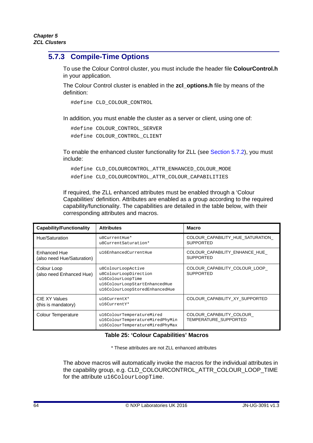# <span id="page-63-0"></span>**5.7.3 Compile-Time Options**

To use the Colour Control cluster, you must include the header file **ColourControl.h** in your application.

The Colour Control cluster is enabled in the **zcl\_options.h** file by means of the definition:

#define CLD\_COLOUR\_CONTROL

In addition, you must enable the cluster as a server or client, using one of:

```
#define COLOUR_CONTROL_SERVER
#define COLOUR_CONTROL_CLIENT
```
To enable the enhanced cluster functionality for ZLL (see [Section 5.7.2\)](#page-62-0), you must include:

#define CLD\_COLOURCONTROL\_ATTR\_ENHANCED\_COLOUR\_MODE #define CLD\_COLOURCONTROL\_ATTR\_COLOUR\_CAPABILITIES

If required, the ZLL enhanced attributes must be enabled through a 'Colour Capabilities' definition. Attributes are enabled as a group according to the required capability/functionality. The capabilities are detailed in the table below, with their corresponding attributes and macros.

| <b>Capability/Functionality</b>                   | <b>Attributes</b>                                                                                                                   | <b>Macro</b>                                         |
|---------------------------------------------------|-------------------------------------------------------------------------------------------------------------------------------------|------------------------------------------------------|
| Hue/Saturation                                    | u8CurrentHue*<br>u8CurrentSaturation*                                                                                               | COLOUR CAPABILITY HUE SATURATION<br><b>SUPPORTED</b> |
| <b>Enhanced Hue</b><br>(also need Hue/Saturation) | u16EnhancedCurrentHue                                                                                                               | COLOUR_CAPABILITY_ENHANCE_HUE_<br><b>SUPPORTED</b>   |
| Colour Loop<br>(also need Enhanced Hue)           | u8ColourLoopActive<br>u8ColourLoopDirection<br>u16ColourLoopTime<br>u16ColourLoopStartEnhancedHue<br>u16ColourLoopStoredEnhancedHue | COLOUR_CAPABILITY_COLOUR_LOOP_<br><b>SUPPORTED</b>   |
| CIE XY Values<br>(this is mandatory)              | u16CurrentX*<br>u16CurrentY*                                                                                                        | COLOUR CAPABILITY XY SUPPORTED                       |
| Colour Temperature                                | u16ColourTemperatureMired<br>u16ColourTemperatureMiredPhyMin<br>u16ColourTemperatureMiredPhyMax                                     | COLOUR CAPABILITY COLOUR<br>TEMPERATURE SUPPORTED    |

#### **Table 25: 'Colour Capabilities' Macros**

\* These attributes are not ZLL enhanced attributes

The above macros will automatically invoke the macros for the individual attributes in the capability group, e.g. CLD\_COLOURCONTROL\_ATTR\_COLOUR\_LOOP\_TIME for the attribute u16ColourLoopTime.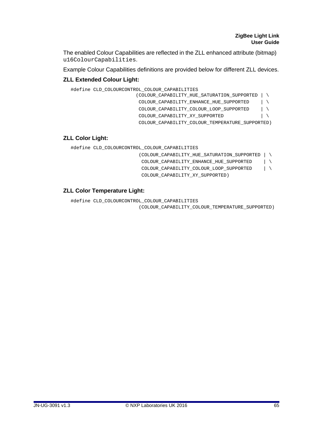The enabled Colour Capabilities are reflected in the ZLL enhanced attribute (bitmap) u16ColourCapabilities.

Example Colour Capabilities definitions are provided below for different ZLL devices.

#### **ZLL Extended Colour Light:**

```
#define CLD_COLOURCONTROL_COLOUR_CAPABILITIES 
                      (COLOUR_CAPABILITY_HUE_SATURATION_SUPPORTED | \
                       COLOUR_CAPABILITY_ENHANCE_HUE_SUPPORTED | \
                        COLOUR_CAPABILITY_COLOUR_LOOP_SUPPORTED | \
                        COLOUR_CAPABILITY_XY_SUPPORTED | \
                        COLOUR_CAPABILITY_COLOUR_TEMPERATURE_SUPPORTED)
```
#### **ZLL Color Light:**

#define CLD\_COLOURCONTROL\_COLOUR\_CAPABILITIES

 (COLOUR\_CAPABILITY\_HUE\_SATURATION\_SUPPORTED | \ COLOUR\_CAPABILITY\_ENHANCE\_HUE\_SUPPORTED | \ COLOUR\_CAPABILITY\_COLOUR\_LOOP\_SUPPORTED | \ COLOUR\_CAPABILITY\_XY\_SUPPORTED)

## **ZLL Color Temperature Light:**

#define CLD\_COLOURCONTROL\_COLOUR\_CAPABILITIES

(COLOUR\_CAPABILITY\_COLOUR\_TEMPERATURE\_SUPPORTED)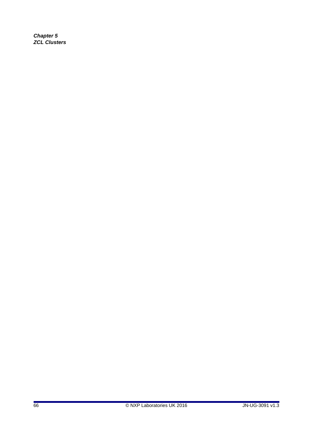*Chapter 5 ZCL Clusters*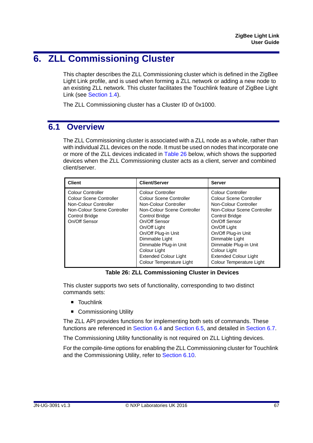# <span id="page-66-0"></span>**6. ZLL Commissioning Cluster**

This chapter describes the ZLL Commissioning cluster which is defined in the ZigBee Light Link profile, and is used when forming a ZLL network or adding a new node to an existing ZLL network. This cluster facilitates the Touchlink feature of ZigBee Light Link (see [Section 1.4\)](#page-17-0).

The ZLL Commissioning cluster has a Cluster ID of 0x1000.

# **6.1 Overview**

The ZLL Commissioning cluster is associated with a ZLL node as a whole, rather than with individual ZLL devices on the node. It must be used on nodes that incorporate one or more of the ZLL devices indicated in [Table 26](#page-66-1) below, which shows the supported devices when the ZLL Commissioning cluster acts as a client, server and combined client/server.

| <b>Client</b>                                                                                                                           | <b>Client/Server</b>                                                                                                                                                                                                                                                                                  | <b>Server</b>                                                                                                                                                                                                                                                                                         |
|-----------------------------------------------------------------------------------------------------------------------------------------|-------------------------------------------------------------------------------------------------------------------------------------------------------------------------------------------------------------------------------------------------------------------------------------------------------|-------------------------------------------------------------------------------------------------------------------------------------------------------------------------------------------------------------------------------------------------------------------------------------------------------|
| Colour Controller<br>Colour Scene Controller<br>Non-Colour Controller<br>Non-Colour Scene Controller<br>Control Bridge<br>On/Off Sensor | Colour Controller<br>Colour Scene Controller<br>Non-Colour Controller<br>Non-Colour Scene Controller<br>Control Bridge<br>On/Off Sensor<br>On/Off Light<br>On/Off Plug-in Unit<br>Dimmable Light<br>Dimmable Plug-in Unit<br>Colour Light<br><b>Extended Colour Light</b><br>Colour Temperature Light | Colour Controller<br>Colour Scene Controller<br>Non-Colour Controller<br>Non-Colour Scene Controller<br>Control Bridge<br>On/Off Sensor<br>On/Off Light<br>On/Off Plug-in Unit<br>Dimmable Light<br>Dimmable Plug-in Unit<br>Colour Light<br><b>Extended Colour Light</b><br>Colour Temperature Light |

#### **Table 26: ZLL Commissioning Cluster in Devices**

<span id="page-66-1"></span>This cluster supports two sets of functionality, corresponding to two distinct commands sets:

- **Touchlink**
- Commissioning Utility

The ZLL API provides functions for implementing both sets of commands. These functions are referenced in [Section 6.4](#page-68-1) and [Section 6.5,](#page-74-0) and detailed in [Section 6.7](#page-79-0).

The Commissioning Utility functionality is not required on ZLL Lighting devices.

For the compile-time options for enabling the ZLL Commissioning cluster for Touchlink and the Commissioning Utility, refer to [Section 6.10](#page-122-0).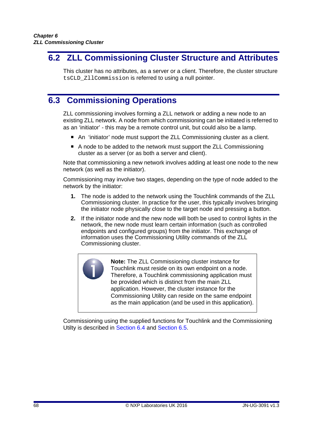# **6.2 ZLL Commissioning Cluster Structure and Attributes**

This cluster has no attributes, as a server or a client. Therefore, the cluster structure tsCLD\_ZllCommission is referred to using a null pointer.

# **6.3 Commissioning Operations**

ZLL commissioning involves forming a ZLL network or adding a new node to an existing ZLL network. A node from which commissioning can be initiated is referred to as an 'initiator' - this may be a remote control unit, but could also be a lamp.

- An 'initiator' node must support the ZLL Commissioning cluster as a client.
- A node to be added to the network must support the ZLL Commissioning cluster as a server (or as both a server and client).

Note that commissioning a new network involves adding at least one node to the new network (as well as the initiator).

Commissioning may involve two stages, depending on the type of node added to the network by the initiator:

- **1.** The node is added to the network using the Touchlink commands of the ZLL Commissioning cluster. In practice for the user, this typically involves bringing the initiator node physically close to the target node and pressing a button.
- **2.** If the initiator node and the new node will both be used to control lights in the network, the new node must learn certain information (such as controlled endpoints and configured groups) from the initiator. This exchange of information uses the Commissioning Utility commands of the ZLL Commissioning cluster.



**Note:** The ZLL Commissioning cluster instance for Touchlink must reside on its own endpoint on a node. Therefore, a Touchlink commissioning application must be provided which is distinct from the main ZLL application. However, the cluster instance for the Commissioning Utility can reside on the same endpoint as the main application (and be used in this application).

Commissioning using the supplied functions for Touchlink and the Commissioning Utilty is described in [Section 6.4](#page-68-1) and [Section 6.5](#page-74-0).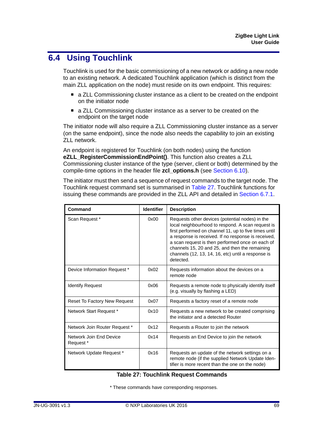# <span id="page-68-1"></span><span id="page-68-0"></span>**6.4 Using Touchlink**

Touchlink is used for the basic commissioning of a new network or adding a new node to an existing network. A dedicated Touchlink application (which is distinct from the main ZLL application on the node) must reside on its own endpoint. This requires:

- a ZLL Commissioning cluster instance as a client to be created on the endpoint on the initiator node
- a ZLL Commissioning cluster instance as a server to be created on the endpoint on the target node

The initiator node will also require a ZLL Commissioning cluster instance as a server (on the same endpoint), since the node also needs the capability to join an existing ZLL network.

An endpoint is registered for Touchlink (on both nodes) using the function **eZLL\_RegisterCommissionEndPoint()**. This function also creates a ZLL Commissioning cluster instance of the type (server, client or both) determined by the compile-time options in the header file **zcl\_options.h** (see [Section 6.10](#page-122-0)).

The initiator must then send a sequence of request commands to the target node. The Touchlink request command set is summarised in [Table 27](#page-68-2). Touchlink functions for issuing these commands are provided in the ZLL API and detailed in [Section 6.7.1.](#page-80-0)

| Command                              | <b>Identifier</b> | <b>Description</b>                                                                                                                                                                                                                                                                                                                                                                            |
|--------------------------------------|-------------------|-----------------------------------------------------------------------------------------------------------------------------------------------------------------------------------------------------------------------------------------------------------------------------------------------------------------------------------------------------------------------------------------------|
| Scan Request *                       | 0x00              | Requests other devices (potential nodes) in the<br>local neighbourhood to respond. A scan request is<br>first performed on channel 11, up to five times until<br>a response is received. If no response is received,<br>a scan request is then performed once on each of<br>channels 15, 20 and 25, and then the remaining<br>channels (12, 13, 14, 16, etc) until a response is<br>detected. |
| Device Information Request *         | 0x02              | Requests information about the devices on a<br>remote node                                                                                                                                                                                                                                                                                                                                    |
| <b>Identify Request</b>              | 0x06              | Requests a remote node to physically identify itself<br>(e.g. visually by flashing a LED)                                                                                                                                                                                                                                                                                                     |
| Reset To Factory New Request         | 0x07              | Requests a factory reset of a remote node                                                                                                                                                                                                                                                                                                                                                     |
| Network Start Request *              | 0x10              | Requests a new network to be created comprising<br>the initiator and a detected Router                                                                                                                                                                                                                                                                                                        |
| Network Join Router Request *        | 0x12              | Requests a Router to join the network                                                                                                                                                                                                                                                                                                                                                         |
| Network Join End Device<br>Request * | 0x14              | Requests an End Device to join the network                                                                                                                                                                                                                                                                                                                                                    |
| Network Update Request *             | 0x16              | Requests an update of the network settings on a<br>remote node (if the supplied Network Update Iden-<br>tifier is more recent than the one on the node)                                                                                                                                                                                                                                       |

#### **Table 27: Touchlink Request Commands**

<span id="page-68-2"></span>\* These commands have corresponding responses.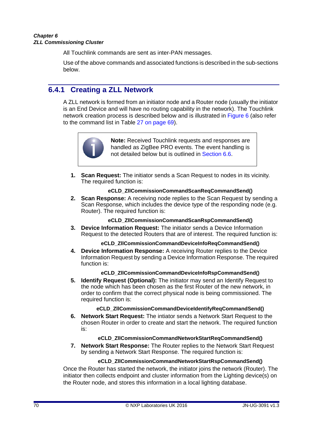All Touchlink commands are sent as inter-PAN messages.

Use of the above commands and associated functions is described in the sub-sections below.

# <span id="page-69-0"></span>**6.4.1 Creating a ZLL Network**

A ZLL network is formed from an initiator node and a Router node (usually the initiator is an End Device and will have no routing capability in the network). The Touchlink network creation process is described below and is illustrated in [Figure 6](#page-70-0) (also refer to the command list in [Table 27 on page 69\)](#page-68-2).



**Note:** Received Touchlink requests and responses are handled as ZigBee PRO events. The event handling is not detailed below but is outlined in [Section 6.6.](#page-76-0)

**1. Scan Request:** The initiator sends a Scan Request to nodes in its vicinity. The required function is:

#### **eCLD\_ZllCommissionCommandScanReqCommandSend()**

- **2. Scan Response:** A receiving node replies to the Scan Request by sending a Scan Response, which includes the device type of the responding node (e.g. Router). The required function is:
	- **eCLD\_ZllCommissionCommandScanRspCommandSend()**
- **3. Device Information Request:** The initiator sends a Device Information Request to the detected Routers that are of interest. The required function is:

#### **eCLD\_ZllCommissionCommandDeviceInfoReqCommandSend()**

**4. Device Information Response:** A receiving Router replies to the Device Information Request by sending a Device Information Response. The required function is:

#### **eCLD\_ZllCommissionCommandDeviceInfoRspCommandSend()**

**5. Identify Request (Optional):** The initiator may send an Identify Request to the node which has been chosen as the first Router of the new network, in order to confirm that the correct physical node is being commissioned. The required function is:

#### **eCLD\_ZllCommissionCommandDeviceIdentifyReqCommandSend()**

**6. Network Start Request:** The intiator sends a Network Start Request to the chosen Router in order to create and start the network. The required function is:

#### **eCLD\_ZllCommissionCommandNetworkStartReqCommandSend()**

**7. Network Start Response:** The Router replies to the Network Start Request by sending a Network Start Response. The required function is:

#### **eCLD\_ZllCommissionCommandNetworkStartRspCommandSend()**

Once the Router has started the network, the initiator joins the network (Router). The initiator then collects endpoint and cluster information from the Lighting device(s) on the Router node, and stores this information in a local lighting database.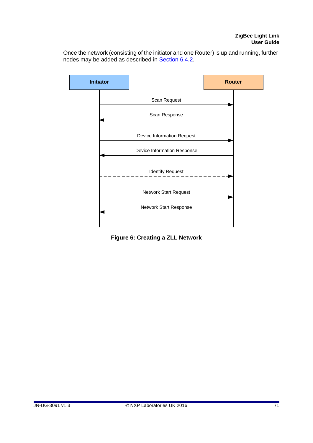Once the network (consisting of the initiator and one Router) is up and running, further nodes may be added as described in [Section 6.4.2](#page-71-0).



<span id="page-70-0"></span>**Figure 6: Creating a ZLL Network**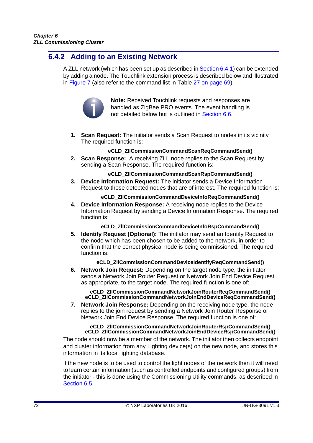# <span id="page-71-0"></span>**6.4.2 Adding to an Existing Network**

A ZLL network (which has been set up as described in [Section 6.4.1](#page-69-0)) can be extended by adding a node. The Touchlink extension process is described below and illustrated in [Figure 7](#page-72-0) (also refer to the command list in [Table 27 on page 69](#page-68-2)).



**Note:** Received Touchlink requests and responses are handled as ZigBee PRO events. The event handling is not detailed below but is outlined in [Section 6.6.](#page-76-0)

**1. Scan Request:** The initiator sends a Scan Request to nodes in its vicinity. The required function is:

#### **eCLD\_ZllCommissionCommandScanReqCommandSend()**

**2. Scan Response:** A receiving ZLL node replies to the Scan Request by sending a Scan Response. The required function is:

#### **eCLD\_ZllCommissionCommandScanRspCommandSend()**

**3. Device Information Request:** The initiator sends a Device Information Request to those detected nodes that are of interest. The required function is:

#### **eCLD\_ZllCommissionCommandDeviceInfoReqCommandSend()**

**4. Device Information Response:** A receiving node replies to the Device Information Request by sending a Device Information Response. The required function is:

#### **eCLD\_ZllCommissionCommandDeviceInfoRspCommandSend()**

**5. Identify Request (Optional):** The initiator may send an Identify Request to the node which has been chosen to be added to the network, in order to confirm that the correct physical node is being commissioned. The required function is:

#### **eCLD\_ZllCommissionCommandDeviceIdentifyReqCommandSend()**

**6. Network Join Request:** Depending on the target node type, the initiator sends a Network Join Router Request or Network Join End Device Request, as appropriate, to the target node. The required function is one of:

#### **eCLD\_ZllCommissionCommandNetworkJoinRouterReqCommandSend() eCLD\_ZllCommissionCommandNetworkJoinEndDeviceReqCommandSend()**

**7. Network Join Response:** Depending on the receiving node type, the node replies to the join request by sending a Network Join Router Response or Network Join End Device Response. The required function is one of:

#### **eCLD\_ZllCommissionCommandNetworkJoinRouterRspCommandSend() eCLD\_ZllCommissionCommandNetworkJoinEndDeviceRspCommandSend()**

The node should now be a member of the network. The initiator then collects endpoint and cluster information from any Lighting device(s) on the new node, and stores this information in its local lighting database.

If the new node is to be used to control the light nodes of the network then it will need to learn certain information (such as controlled endpoints and configured groups) from the initiator - this is done using the Commissioning Utility commands, as described in [Section 6.5](#page-74-0).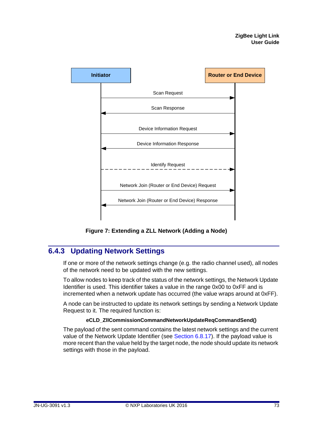

**Figure 7: Extending a ZLL Network (Adding a Node)**

# **6.4.3 Updating Network Settings**

If one or more of the network settings change (e.g. the radio channel used), all nodes of the network need to be updated with the new settings.

To allow nodes to keep track of the status of the network settings, the Network Update Identifier is used. This identifier takes a value in the range 0x00 to 0xFF and is incremented when a network update has occurred (the value wraps around at 0xFF).

A node can be instructed to update its network settings by sending a Network Update Request to it. The required function is:

# **eCLD\_ZllCommissionCommandNetworkUpdateReqCommandSend()**

The payload of the sent command contains the latest network settings and the current value of the Network Update Identifier (see [Section 6.8.17\)](#page-118-0). If the payload value is more recent than the value held by the target node, the node should update its network settings with those in the payload.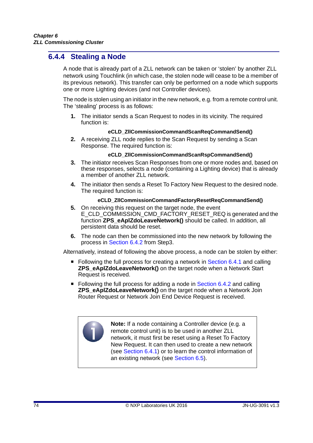# **6.4.4 Stealing a Node**

A node that is already part of a ZLL network can be taken or 'stolen' by another ZLL network using Touchlink (in which case, the stolen node will cease to be a member of its previous network). This transfer can only be performed on a node which supports one or more Lighting devices (and not Controller devices).

The node is stolen using an initiator in the new network, e.g. from a remote control unit. The 'stealing' process is as follows:

**1.** The initiator sends a Scan Request to nodes in its vicinity. The required function is:

# **eCLD\_ZllCommissionCommandScanReqCommandSend()**

**2.** A receiving ZLL node replies to the Scan Request by sending a Scan Response. The required function is:

# **eCLD\_ZllCommissionCommandScanRspCommandSend()**

- **3.** The initiator receives Scan Responses from one or more nodes and, based on these responses, selects a node (containing a Lighting device) that is already a member of another ZLL network.
- **4.** The initiator then sends a Reset To Factory New Request to the desired node. The required function is:

#### **eCLD\_ZllCommissionCommandFactoryResetReqCommandSend()**

- **5.** On receiving this request on the target node, the event E\_CLD\_COMMISSION\_CMD\_FACTORY\_RESET\_REQ is generated and the function **ZPS** eAplZdoLeaveNetwork() should be called. In addition, all persistent data should be reset.
- **6.** The node can then be commissioned into the new network by following the process in [Section 6.4.2](#page-71-0) from Step3.

Alternatively, instead of following the above process, a node can be stolen by either:

- Following the full process for creating a network in [Section 6.4.1](#page-69-0) and calling **ZPS\_eAplZdoLeaveNetwork()** on the target node when a Network Start Request is received.
- Following the full process for adding a node in Section  $6.4.2$  and calling **ZPS\_eAplZdoLeaveNetwork()** on the target node when a Network Join Router Request or Network Join End Device Request is received.

**Note:** If a node containing a Controller device (e.g. a remote control unit) is to be used in another ZLL network, it must first be reset using a Reset To Factory New Request. It can then used to create a new network (see [Section 6.4.1](#page-69-0)) or to learn the control information of an existing network (see [Section 6.5](#page-74-0)).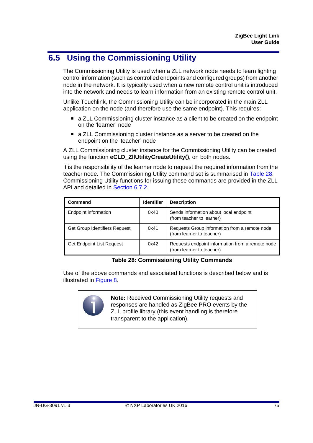# <span id="page-74-0"></span>**6.5 Using the Commissioning Utility**

The Commissioning Utility is used when a ZLL network node needs to learn lighting control information (such as controlled endpoints and configured groups) from another node in the network. It is typically used when a new remote control unit is introduced into the network and needs to learn information from an existing remote control unit.

Unlike Touchlink, the Commissioning Utility can be incorporated in the main ZLL application on the node (and therefore use the same endpoint). This requires:

- a ZLL Commissioning cluster instance as a client to be created on the endpoint on the 'learner' node
- a ZLL Commissioning cluster instance as a server to be created on the endpoint on the 'teacher' node

A ZLL Commissioning cluster instance for the Commissioning Utility can be created using the function **eCLD\_ZllUtilityCreateUtility()**, on both nodes.

It is the responsibility of the learner node to request the required information from the teacher node. The Commissioning Utility command set is summarised in [Table 28.](#page-74-1) Commissioning Utility functions for issuing these commands are provided in the ZLL API and detailed in [Section 6.7.2.](#page-96-0)

| Command                              | <b>Identifier</b> | <b>Description</b>                                                            |
|--------------------------------------|-------------------|-------------------------------------------------------------------------------|
| Endpoint information                 | 0x40              | Sends information about local endpoint<br>(from teacher to learner)           |
| <b>Get Group Identifiers Request</b> | 0x41              | Requests Group information from a remote node<br>(from learner to teacher)    |
| <b>Get Endpoint List Request</b>     | 0x42              | Requests endpoint information from a remote node<br>(from learner to teacher) |

# **Table 28: Commissioning Utility Commands**

<span id="page-74-1"></span>Use of the above commands and associated functions is described below and is illustrated in [Figure 8](#page-75-0).



**Note:** Received Commissioning Utility requests and responses are handled as ZigBee PRO events by the ZLL profile library (this event handling is therefore transparent to the application).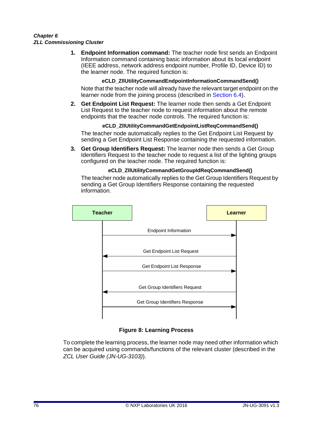**1. Endpoint Information command:** The teacher node first sends an Endpoint Information command containing basic information about its local endpoint (IEEE address, network address endpoint number, Profile ID, Device ID) to the learner node. The required function is:

### **eCLD\_ZllUtilityCommandEndpointInformationCommandSend()**

Note that the teacher node will already have the relevant target endpoint on the learner node from the joining process (described in [Section 6.4\)](#page-68-0).

**2. Get Endpoint List Request:** The learner node then sends a Get Endpoint List Request to the teacher node to request information about the remote endpoints that the teacher node controls. The required function is:

# **eCLD\_ZllUtilityCommandGetEndpointListReqCommandSend()**

The teacher node automatically replies to the Get Endpoint List Request by sending a Get Endpoint List Response containing the requested information.

**3. Get Group Identifiers Request:** The learner node then sends a Get Group Identifiers Request to the teacher node to request a list of the lighting groups configured on the teacher node. The required function is:

# **eCLD\_ZllUtilityCommandGetGroupIdReqCommandSend()**

The teacher node automatically replies to the Get Group Identifiers Request by sending a Get Group Identifiers Response containing the requested information.



# **Figure 8: Learning Process**

<span id="page-75-0"></span>To complete the learning process, the learner node may need other information which can be acquired using commands/functions of the relevant cluster (described in the *ZCL User Guide (JN-UG-3103)*).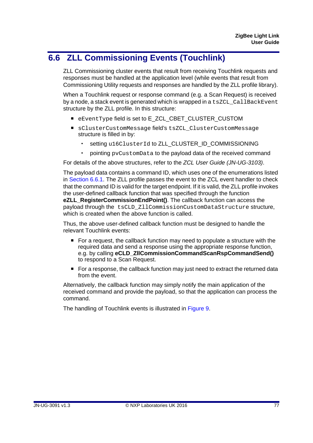# **6.6 ZLL Commissioning Events (Touchlink)**

ZLL Commissioning cluster events that result from receiving Touchlink requests and responses must be handled at the application level (while events that result from Commissioning Utility requests and responses are handled by the ZLL profile library).

When a Touchlink request or response command (e.g. a Scan Request) is received by a node, a stack event is generated which is wrapped in a  $tsZCL$  CallBackEvent structure by the ZLL profile. In this structure:

- E eEventType field is set to E\_ZCL\_CBET\_CLUSTER\_CUSTOM
- sClusterCustomMessage field's tsZCL\_ClusterCustomMessage structure is filled in by:
	- setting u16ClusterId to ZLL CLUSTER ID COMMISSIONING
	- pointing pvCustomData to the payload data of the received command

For details of the above structures, refer to the *ZCL User Guide (JN-UG-3103)*.

The payload data contains a command ID, which uses one of the enumerations listed in [Section 6.6.1.](#page-78-0) The ZLL profile passes the event to the ZCL event handler to check that the command ID is valid for the target endpoint. If it is valid, the ZLL profile invokes the user-defined callback function that was specified through the function **eZLL\_RegisterCommissionEndPoint()**. The callback function can access the payload through the tsCLD\_ZllCommissionCustomDataStructure structure, which is created when the above function is called.

Thus, the above user-defined callback function must be designed to handle the relevant Touchlink events:

- For a request, the callback function may need to populate a structure with the required data and send a response using the appropriate response function, e.g. by calling **eCLD\_ZllCommissionCommandScanRspCommandSend()** to respond to a Scan Request.
- For a response, the callback function may just need to extract the returned data from the event.

Alternatively, the callback function may simply notify the main application of the received command and provide the payload, so that the application can process the command.

The handling of Touchlink events is illustrated in [Figure 9.](#page-77-0)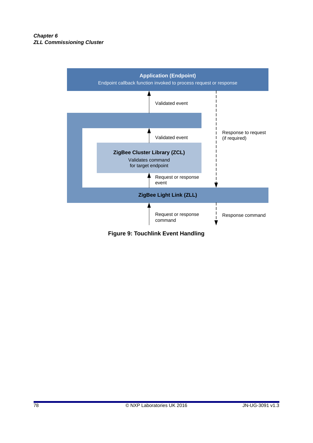

<span id="page-77-0"></span>**Figure 9: Touchlink Event Handling**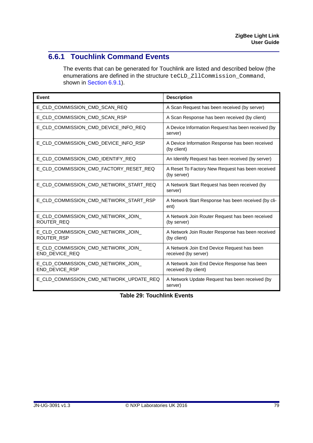# <span id="page-78-0"></span>**6.6.1 Touchlink Command Events**

The events that can be generated for Touchlink are listed and described below (the enumerations are defined in the structure teCLD\_ZllCommission\_Command, shown in [Section 6.9.1\)](#page-121-0).

| Event                                                | <b>Description</b>                                                  |
|------------------------------------------------------|---------------------------------------------------------------------|
| E_CLD_COMMISSION_CMD_SCAN_REQ                        | A Scan Request has been received (by server)                        |
| E_CLD_COMMISSION_CMD_SCAN_RSP                        | A Scan Response has been received (by client)                       |
| E_CLD_COMMISSION_CMD_DEVICE_INFO_REQ                 | A Device Information Request has been received (by<br>server)       |
| E_CLD_COMMISSION_CMD_DEVICE_INFO_RSP                 | A Device Information Response has been received<br>(by client)      |
| E_CLD_COMMISSION_CMD_IDENTIFY_REQ                    | An Identify Request has been received (by server)                   |
| E_CLD_COMMISSION_CMD_FACTORY_RESET_REQ               | A Reset To Factory New Request has been received<br>(by server)     |
| E_CLD_COMMISSION_CMD_NETWORK_START_REQ               | A Network Start Request has been received (by<br>server)            |
| E_CLD_COMMISSION_CMD_NETWORK_START_RSP               | A Network Start Response has been received (by cli-<br>ent)         |
| E_CLD_COMMISSION_CMD_NETWORK_JOIN_<br>ROUTER_REQ     | A Network Join Router Request has been received<br>(by server)      |
| E_CLD_COMMISSION_CMD_NETWORK_JOIN_<br>ROUTER_RSP     | A Network Join Router Response has been received<br>(by client)     |
| E_CLD_COMMISSION_CMD_NETWORK_JOIN_<br>END_DEVICE_REQ | A Network Join End Device Request has been<br>received (by server)  |
| E_CLD_COMMISSION_CMD_NETWORK_JOIN_<br>END_DEVICE_RSP | A Network Join End Device Response has been<br>received (by client) |
| E_CLD_COMMISSION_CMD_NETWORK_UPDATE_REQ              | A Network Update Request has been received (by<br>server)           |

**Table 29: Touchlink Events**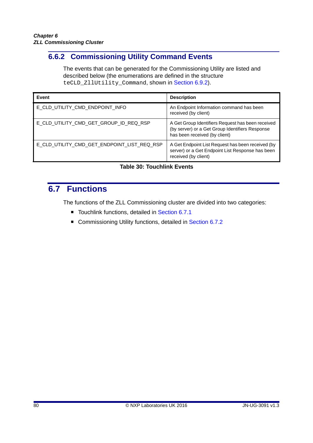# **6.6.2 Commissioning Utility Command Events**

The events that can be generated for the Commissioning Utility are listed and described below (the enumerations are defined in the structure teCLD\_ZllUtility\_Command, shown in [Section 6.9.2](#page-121-1)).

| Event                                       | <b>Description</b>                                                                                                                    |
|---------------------------------------------|---------------------------------------------------------------------------------------------------------------------------------------|
| E_CLD_UTILITY_CMD_ENDPOINT_INFO             | An Endpoint Information command has been<br>received (by client)                                                                      |
| E_CLD_UTILITY_CMD_GET_GROUP_ID_REQ_RSP      | A Get Group Identifiers Request has been received<br>(by server) or a Get Group Identifiers Response<br>has been received (by client) |
| E CLD UTILITY CMD GET ENDPOINT LIST REQ RSP | A Get Endpoint List Request has been received (by<br>server) or a Get Endpoint List Response has been<br>received (by client)         |

# **Table 30: Touchlink Events**

# **6.7 Functions**

The functions of the ZLL Commissioning cluster are divided into two categories:

- Touchlink functions, detailed in [Section 6.7.1](#page-80-0)
- Commissioning Utility functions, detailed in [Section 6.7.2](#page-96-0)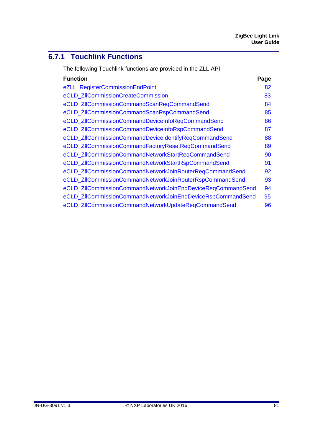# <span id="page-80-0"></span>**6.7.1 Touchlink Functions**

The following Touchlink functions are provided in the ZLL API:

| <b>Function</b>                                             | Page |
|-------------------------------------------------------------|------|
| eZLL_RegisterCommissionEndPoint                             | 82   |
| eCLD ZIICommissionCreateCommission                          | 83   |
| eCLD_ZIICommissionCommandScanReqCommandSend                 | 84   |
| eCLD_ZIICommissionCommandScanRspCommandSend                 | 85   |
| eCLD_ZIICommissionCommandDeviceInfoReqCommandSend           | 86   |
| eCLD_ZIICommissionCommandDeviceInfoRspCommandSend           | 87   |
| eCLD_ZIICommissionCommandDeviceIdentifyReqCommandSend       | 88   |
| eCLD_ZIICommissionCommandFactoryResetReqCommandSend         | 89   |
| eCLD_ZIICommissionCommandNetworkStartReqCommandSend         | 90   |
| eCLD_ZIICommissionCommandNetworkStartRspCommandSend         | 91   |
| eCLD ZIICommissionCommandNetworkJoinRouterRegCommandSend    | 92   |
| eCLD_ZIICommissionCommandNetworkJoinRouterRspCommandSend    | 93   |
| eCLD_ZIICommissionCommandNetworkJoinEndDeviceReqCommandSend | 94   |
| eCLD_ZIICommissionCommandNetworkJoinEndDeviceRspCommandSend | 95   |
| eCLD_ZIICommissionCommandNetworkUpdateReqCommandSend        | 96   |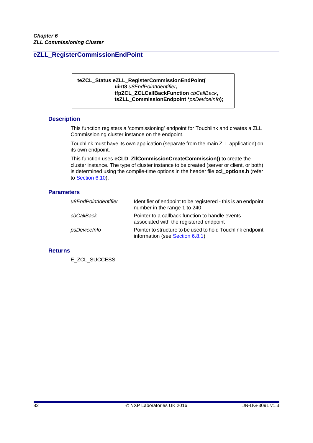# <span id="page-81-0"></span>**eZLL\_RegisterCommissionEndPoint**

**teZCL\_Status eZLL\_RegisterCommissionEndPoint( uint8** *u8EndPointIdentifier***, tfpZCL\_ZCLCallBackFunction** *cbCallBack***, tsZLL\_CommissionEndpoint \****psDeviceInfo***);**

# **Description**

This function registers a 'commissioning' endpoint for Touchlink and creates a ZLL Commissioning cluster instance on the endpoint.

Touchlink must have its own application (separate from the main ZLL application) on its own endpoint.

This function uses **eCLD\_ZllCommissionCreateCommission()** to create the cluster instance. The type of cluster instance to be created (server or client, or both) is determined using the compile-time options in the header file **zcl\_options.h** (refer to [Section 6.10](#page-122-0)).

# **Parameters**

| u8EndPointIdentifier | Identifier of endpoint to be registered - this is an endpoint<br>number in the range 1 to 240 |
|----------------------|-----------------------------------------------------------------------------------------------|
| cbCallBack           | Pointer to a callback function to handle events<br>associated with the registered endpoint    |
| psDeviceInfo         | Pointer to structure to be used to hold Touchlink endpoint<br>information (see Section 6.8.1) |

# **Returns**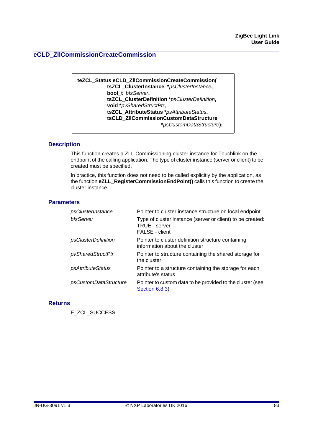# <span id="page-82-0"></span>**eCLD\_ZllCommissionCreateCommission**

| teZCL_Status eCLD_ZIICommissionCreateCommission( |
|--------------------------------------------------|
| tsZCL_ClusterInstance *psClusterInstance,        |
| bool_t blsServer,                                |
| tsZCL_ClusterDefinition *psClusterDefinition,    |
| void *pvSharedStructPtr,                         |
| tsZCL_AttributeStatus *psAttributeStatus,        |
| tsCLD ZIICommissionCustomDataStructure           |
| *psCustomDataStructure);                         |
|                                                  |

# **Description**

This function creates a ZLL Commissioning cluster instance for Touchlink on the endpoint of the calling application. The type of cluster instance (server or client) to be created must be specified.

In practice, this function does not need to be called explicitly by the application, as the function **eZLL\_RegisterCommissionEndPoint()** calls this function to create the cluster instance.

# **Parameters**

| psClusterInstance     | Pointer to cluster instance structure on local endpoint                                              |
|-----------------------|------------------------------------------------------------------------------------------------------|
| blsServer             | Type of cluster instance (server or client) to be created:<br><b>TRUE</b> - server<br>FALSE - client |
| psClusterDefinition   | Pointer to cluster definition structure containing<br>information about the cluster                  |
| pvSharedStructPtr     | Pointer to structure containing the shared storage for<br>the cluster                                |
| psAttributeStatus     | Pointer to a structure containing the storage for each<br>attribute's status                         |
| psCustomDataStructure | Pointer to custom data to be provided to the cluster (see<br>Section 6.8.3)                          |

# **Returns**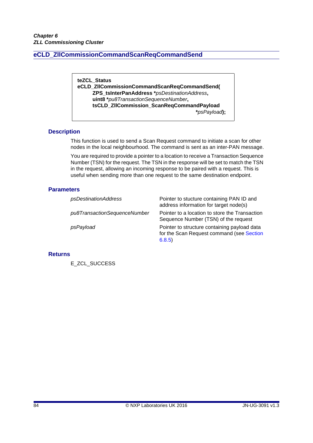# <span id="page-83-0"></span>**eCLD\_ZllCommissionCommandScanReqCommandSend**

**teZCL\_Status** 

**eCLD\_ZllCommissionCommandScanReqCommandSend( ZPS\_tsInterPanAddress \****psDestinationAddress***, uint8 \****pu8TransactionSequenceNumber***, tsCLD\_ZllCommission\_ScanReqCommandPayload \****psPayload***);**

# **Description**

This function is used to send a Scan Request command to initiate a scan for other nodes in the local neighbourhood. The command is sent as an inter-PAN message.

You are required to provide a pointer to a location to receive a Transaction Sequence Number (TSN) for the request. The TSN in the response will be set to match the TSN in the request, allowing an incoming response to be paired with a request. This is useful when sending more than one request to the same destination endpoint.

### **Parameters**

| psDestinationAddress         | Pointer to stucture containing PAN ID and<br>address information for target node(s)                 |
|------------------------------|-----------------------------------------------------------------------------------------------------|
| pu8TransactionSequenceNumber | Pointer to a location to store the Transaction<br>Sequence Number (TSN) of the request              |
| psPayload                    | Pointer to structure containing payload data<br>for the Scan Request command (see Section<br>6.8.5) |

#### **Returns**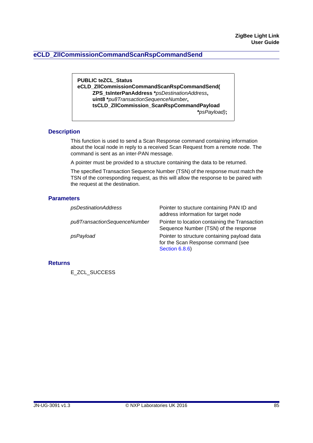# <span id="page-84-0"></span>**eCLD\_ZllCommissionCommandScanRspCommandSend**

**PUBLIC teZCL\_Status** 

**eCLD\_ZllCommissionCommandScanRspCommandSend( ZPS\_tsInterPanAddress \****psDestinationAddress***, uint8 \****pu8TransactionSequenceNumber***, tsCLD\_ZllCommission\_ScanRspCommandPayload \****psPayload)***;**

# **Description**

This function is used to send a Scan Response command containing information about the local node in reply to a received Scan Request from a remote node. The command is sent as an inter-PAN message.

A pointer must be provided to a structure containing the data to be returned.

The specified Transaction Sequence Number (TSN) of the response must match the TSN of the corresponding request, as this will allow the response to be paired with the request at the destination.

# **Parameters**

| psDestinationAddress         | Pointer to stucture containing PAN ID and<br>address information for target node                     |
|------------------------------|------------------------------------------------------------------------------------------------------|
| pu8TransactionSequenceNumber | Pointer to location containing the Transaction<br>Sequence Number (TSN) of the response              |
| psPayload                    | Pointer to structure containing payload data<br>for the Scan Response command (see<br>Section 6.8.6) |

# **Returns**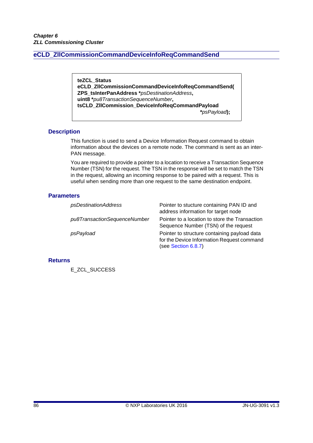# <span id="page-85-0"></span>**eCLD\_ZllCommissionCommandDeviceInfoReqCommandSend**

**teZCL\_Status eCLD\_ZllCommissionCommandDeviceInfoReqCommandSend( ZPS\_tsInterPanAddress \****psDestinationAddress***, uint8 \****pu8TransactionSequenceNumber***, tsCLD\_ZllCommission\_DeviceInfoReqCommandPayload \****psPayload***);**

# **Description**

This function is used to send a Device Information Request command to obtain information about the devices on a remote node. The command is sent as an inter-PAN message.

You are required to provide a pointer to a location to receive a Transaction Sequence Number (TSN) for the request. The TSN in the response will be set to match the TSN in the request, allowing an incoming response to be paired with a request. This is useful when sending more than one request to the same destination endpoint.

# **Parameters**

| psDestinationAddress         | Pointer to stucture containing PAN ID and<br>address information for target node                                  |
|------------------------------|-------------------------------------------------------------------------------------------------------------------|
| pu8TransactionSequenceNumber | Pointer to a location to store the Transaction<br>Sequence Number (TSN) of the request                            |
| psPayload                    | Pointer to structure containing payload data<br>for the Device Information Request command<br>(see Section 6.8.7) |

# **Returns**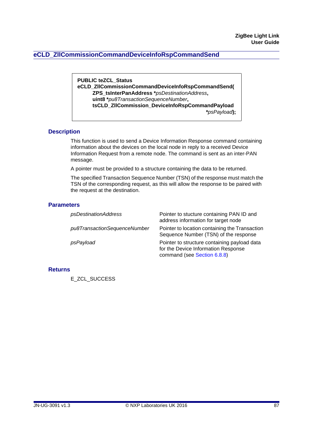# <span id="page-86-0"></span>**eCLD\_ZllCommissionCommandDeviceInfoRspCommandSend**

**PUBLIC teZCL\_Status** 

**eCLD\_ZllCommissionCommandDeviceInfoRspCommandSend( ZPS\_tsInterPanAddress \****psDestinationAddress***, uint8 \****pu8TransactionSequenceNumber***, tsCLD\_ZllCommission\_DeviceInfoRspCommandPayload \****psPayload***);**

# **Description**

This function is used to send a Device Information Response command containing information about the devices on the local node in reply to a received Device Information Request from a remote node. The command is sent as an inter-PAN message.

A pointer must be provided to a structure containing the data to be returned.

The specified Transaction Sequence Number (TSN) of the response must match the TSN of the corresponding request, as this will allow the response to be paired with the request at the destination.

# **Parameters**

| psDestinationAddress         | Pointer to stucture containing PAN ID and<br>address information for target node                                   |
|------------------------------|--------------------------------------------------------------------------------------------------------------------|
| pu8TransactionSequenceNumber | Pointer to location containing the Transaction<br>Sequence Number (TSN) of the response                            |
| psPayload                    | Pointer to structure containing payload data<br>for the Device Information Response<br>command (see Section 6.8.8) |

# **Returns**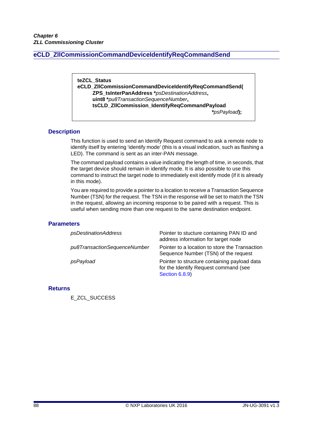# <span id="page-87-0"></span>**eCLD\_ZllCommissionCommandDeviceIdentifyReqCommandSend**

**teZCL\_Status** 

**eCLD\_ZllCommissionCommandDeviceIdentifyReqCommandSend( ZPS\_tsInterPanAddress \****psDestinationAddress***, uint8 \****pu8TransactionSequenceNumber***, tsCLD\_ZllCommission\_IdentifyReqCommandPayload \****psPayload***);**

# **Description**

This function is used to send an Identify Request command to ask a remote node to identify itself by entering 'identify mode' (this is a visual indication, such as flashing a LED). The command is sent as an inter-PAN message.

The command payload contains a value indicating the length of time, in seconds, that the target device should remain in identify mode. It is also possible to use this command to instruct the target node to immediately exit identify mode (if it is already in this mode).

You are required to provide a pointer to a location to receive a Transaction Sequence Number (TSN) for the request. The TSN in the response will be set to match the TSN in the request, allowing an incoming response to be paired with a request. This is useful when sending more than one request to the same destination endpoint.

#### **Parameters**

| psDestinationAddress         | Pointer to stucture containing PAN ID and<br>address information for target node                        |
|------------------------------|---------------------------------------------------------------------------------------------------------|
| pu8TransactionSequenceNumber | Pointer to a location to store the Transaction<br>Sequence Number (TSN) of the request                  |
| psPayload                    | Pointer to structure containing payload data<br>for the Identify Request command (see<br>Section 6.8.9) |

#### **Returns**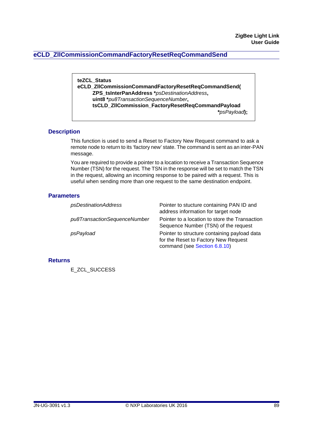# <span id="page-88-0"></span>**eCLD\_ZllCommissionCommandFactoryResetReqCommandSend**

**teZCL\_Status** 

**eCLD\_ZllCommissionCommandFactoryResetReqCommandSend( ZPS\_tsInterPanAddress \****psDestinationAddress***, uint8 \****pu8TransactionSequenceNumber***, tsCLD\_ZllCommission\_FactoryResetReqCommandPayload \****psPayload***);**

#### **Description**

This function is used to send a Reset to Factory New Request command to ask a remote node to return to its 'factory new' state. The command is sent as an inter-PAN message.

You are required to provide a pointer to a location to receive a Transaction Sequence Number (TSN) for the request. The TSN in the response will be set to match the TSN in the request, allowing an incoming response to be paired with a request. This is useful when sending more than one request to the same destination endpoint.

# **Parameters**

| psDestinationAddress         | Pointer to stucture containing PAN ID and<br>address information for target node                                     |
|------------------------------|----------------------------------------------------------------------------------------------------------------------|
| pu8TransactionSequenceNumber | Pointer to a location to store the Transaction<br>Sequence Number (TSN) of the request                               |
| psPayload                    | Pointer to structure containing payload data<br>for the Reset to Factory New Request<br>command (see Section 6.8.10) |

# **Returns**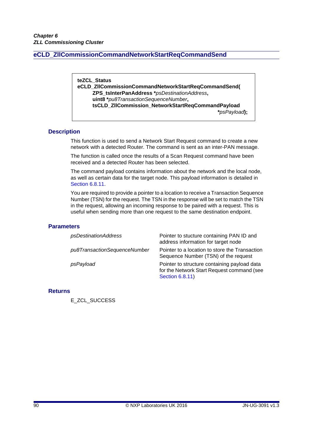# <span id="page-89-0"></span>**eCLD\_ZllCommissionCommandNetworkStartReqCommandSend**

**teZCL\_Status** 

**eCLD\_ZllCommissionCommandNetworkStartReqCommandSend( ZPS\_tsInterPanAddress \****psDestinationAddress***, uint8 \****pu8TransactionSequenceNumber***, tsCLD\_ZllCommission\_NetworkStartReqCommandPayload \****psPayload***);**

# **Description**

This function is used to send a Network Start Request command to create a new network with a detected Router. The command is sent as an inter-PAN message.

The function is called once the results of a Scan Request command have been received and a detected Router has been selected.

The command payload contains information about the network and the local node, as well as certain data for the target node. This payload information is detailed in [Section 6.8.11](#page-111-1).

You are required to provide a pointer to a location to receive a Transaction Sequence Number (TSN) for the request. The TSN in the response will be set to match the TSN in the request, allowing an incoming response to be paired with a request. This is useful when sending more than one request to the same destination endpoint.

#### **Parameters**

| psDestinationAddress         | Pointer to stucture containing PAN ID and<br>address information for target node                              |
|------------------------------|---------------------------------------------------------------------------------------------------------------|
| pu8TransactionSequenceNumber | Pointer to a location to store the Transaction<br>Sequence Number (TSN) of the request                        |
| psPayload                    | Pointer to structure containing payload data<br>for the Network Start Request command (see<br>Section 6.8.11) |

#### **Returns**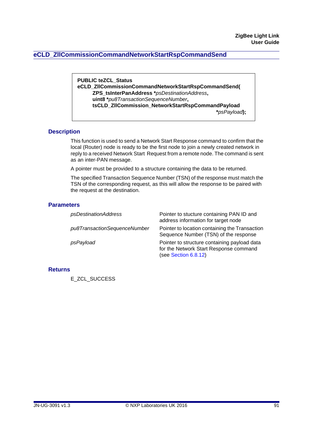# <span id="page-90-0"></span>**eCLD\_ZllCommissionCommandNetworkStartRspCommandSend**

**PUBLIC teZCL\_Status** 

**eCLD\_ZllCommissionCommandNetworkStartRspCommandSend( ZPS\_tsInterPanAddress \****psDestinationAddress***, uint8 \****pu8TransactionSequenceNumber***, tsCLD\_ZllCommission\_NetworkStartRspCommandPayload \****psPayload***);**

# **Description**

This function is used to send a Network Start Response command to confirm that the local (Router) node is ready to be the first node to join a newly created network in reply to a received Network Start Request from a remote node. The command is sent as an inter-PAN message.

A pointer must be provided to a structure containing the data to be returned.

The specified Transaction Sequence Number (TSN) of the response must match the TSN of the corresponding request, as this will allow the response to be paired with the request at the destination.

# **Parameters**

| psDestinationAddress         | Pointer to stucture containing PAN ID and<br>address information for target node                               |
|------------------------------|----------------------------------------------------------------------------------------------------------------|
| pu8TransactionSequenceNumber | Pointer to location containing the Transaction<br>Sequence Number (TSN) of the response                        |
| psPayload                    | Pointer to structure containing payload data<br>for the Network Start Response command<br>(see Section 6.8.12) |

# **Returns**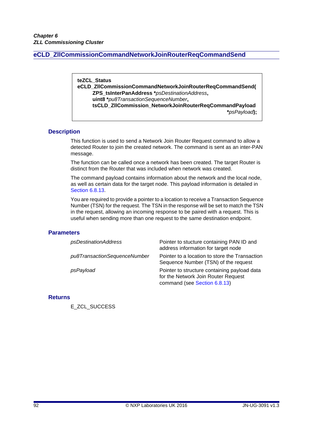# <span id="page-91-0"></span>**eCLD\_ZllCommissionCommandNetworkJoinRouterReqCommandSend**

**teZCL\_Status** 

**eCLD\_ZllCommissionCommandNetworkJoinRouterReqCommandSend( ZPS\_tsInterPanAddress \****psDestinationAddress***, uint8 \****pu8TransactionSequenceNumber***,**

**tsCLD\_ZllCommission\_NetworkJoinRouterReqCommandPayload \****psPayload***);**

# **Description**

This function is used to send a Network Join Router Request command to allow a detected Router to join the created network. The command is sent as an inter-PAN message.

The function can be called once a network has been created. The target Router is distinct from the Router that was included when network was created.

The command payload contains information about the network and the local node, as well as certain data for the target node. This payload information is detailed in [Section 6.8.13](#page-114-0).

You are required to provide a pointer to a location to receive a Transaction Sequence Number (TSN) for the request. The TSN in the response will be set to match the TSN in the request, allowing an incoming response to be paired with a request. This is useful when sending more than one request to the same destination endpoint.

#### **Parameters**

| psDestinationAddress         | Pointer to stucture containing PAN ID and<br>address information for target node                                    |
|------------------------------|---------------------------------------------------------------------------------------------------------------------|
| pu8TransactionSequenceNumber | Pointer to a location to store the Transaction<br>Sequence Number (TSN) of the request                              |
| psPayload                    | Pointer to structure containing payload data<br>for the Network Join Router Request<br>command (see Section 6.8.13) |

# **Returns**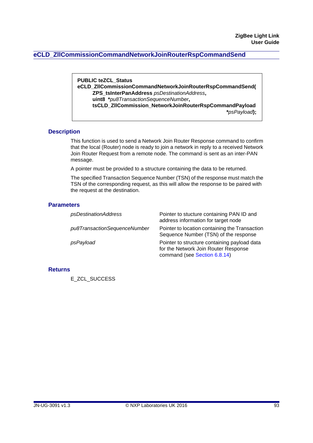# <span id="page-92-0"></span>**eCLD\_ZllCommissionCommandNetworkJoinRouterRspCommandSend**

**PUBLIC teZCL\_Status** 

**eCLD\_ZllCommissionCommandNetworkJoinRouterRspCommandSend( ZPS\_tsInterPanAddress** *psDestinationAddress***, uint8 \****pu8TransactionSequenceNumber***,**

**tsCLD\_ZllCommission\_NetworkJoinRouterRspCommandPayload \****psPayload***);**

# **Description**

This function is used to send a Network Join Router Response command to confirm that the local (Router) node is ready to join a network in reply to a received Network Join Router Request from a remote node. The command is sent as an inter-PAN message.

A pointer must be provided to a structure containing the data to be returned.

The specified Transaction Sequence Number (TSN) of the response must match the TSN of the corresponding request, as this will allow the response to be paired with the request at the destination.

# **Parameters**

| psDestinationAddress         | Pointer to stucture containing PAN ID and<br>address information for target node                                     |
|------------------------------|----------------------------------------------------------------------------------------------------------------------|
| pu8TransactionSequenceNumber | Pointer to location containing the Transaction<br>Sequence Number (TSN) of the response                              |
| psPayload                    | Pointer to structure containing payload data<br>for the Network Join Router Response<br>command (see Section 6.8.14) |

# **Returns**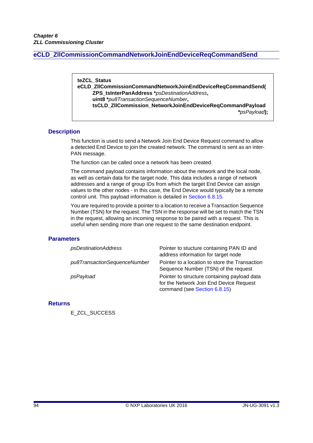# <span id="page-93-0"></span>**eCLD\_ZllCommissionCommandNetworkJoinEndDeviceReqCommandSend**

**teZCL\_Status** 

- **eCLD\_ZllCommissionCommandNetworkJoinEndDeviceReqCommandSend( ZPS\_tsInterPanAddress \****psDestinationAddress***, uint8 \****pu8TransactionSequenceNumber***,** 
	- **tsCLD\_ZllCommission\_NetworkJoinEndDeviceReqCommandPayload \****psPayload***);**

# **Description**

This function is used to send a Network Join End Device Request command to allow a detected End Device to join the created network. The command is sent as an inter-PAN message.

The function can be called once a network has been created.

The command payload contains information about the network and the local node, as well as certain data for the target node. This data includes a range of network addresses and a range of group IDs from which the target End Device can assign values to the other nodes - in this case, the End Device would typically be a remote control unit. This payload information is detailed in [Section 6.8.15.](#page-116-0)

You are required to provide a pointer to a location to receive a Transaction Sequence Number (TSN) for the request. The TSN in the response will be set to match the TSN in the request, allowing an incoming response to be paired with a request. This is useful when sending more than one request to the same destination endpoint.

# **Parameters**

| psDestinationAddress         | Pointer to stucture containing PAN ID and<br>address information for target node                                        |
|------------------------------|-------------------------------------------------------------------------------------------------------------------------|
| pu8TransactionSequenceNumber | Pointer to a location to store the Transaction<br>Sequence Number (TSN) of the request                                  |
| psPayload                    | Pointer to structure containing payload data<br>for the Network Join End Device Request<br>command (see Section 6.8.15) |

#### **Returns**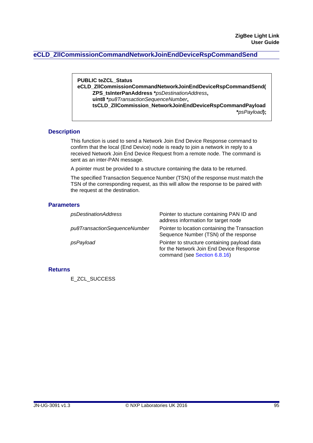# <span id="page-94-0"></span>**eCLD\_ZllCommissionCommandNetworkJoinEndDeviceRspCommandSend**

**PUBLIC teZCL\_Status** 

**eCLD\_ZllCommissionCommandNetworkJoinEndDeviceRspCommandSend( ZPS\_tsInterPanAddress \****psDestinationAddress***, uint8 \****pu8TransactionSequenceNumber***,** 

**tsCLD\_ZllCommission\_NetworkJoinEndDeviceRspCommandPayload \****psPayload***);**

# **Description**

This function is used to send a Network Join End Device Response command to confirm that the local (End Device) node is ready to join a network in reply to a received Network Join End Device Request from a remote node. The command is sent as an inter-PAN message.

A pointer must be provided to a structure containing the data to be returned.

The specified Transaction Sequence Number (TSN) of the response must match the TSN of the corresponding request, as this will allow the response to be paired with the request at the destination.

# **Parameters**

| psDestinationAddress         | Pointer to stucture containing PAN ID and<br>address information for target node                                         |
|------------------------------|--------------------------------------------------------------------------------------------------------------------------|
| pu8TransactionSequenceNumber | Pointer to location containing the Transaction<br>Sequence Number (TSN) of the response                                  |
| psPayload                    | Pointer to structure containing payload data<br>for the Network Join End Device Response<br>command (see Section 6.8.16) |

# **Returns**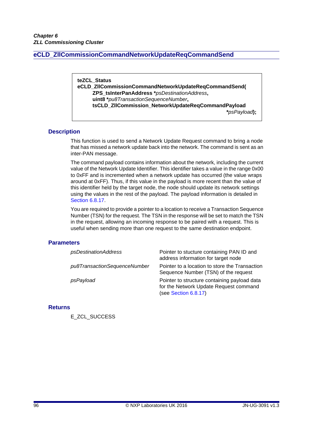# <span id="page-95-0"></span>**eCLD\_ZllCommissionCommandNetworkUpdateReqCommandSend**

**teZCL\_Status** 

**eCLD\_ZllCommissionCommandNetworkUpdateReqCommandSend( ZPS\_tsInterPanAddress \****psDestinationAddress***, uint8 \****pu8TransactionSequenceNumber***, tsCLD\_ZllCommission\_NetworkUpdateReqCommandPayload** 

 **\****psPayload***);**

# **Description**

This function is used to send a Network Update Request command to bring a node that has missed a network update back into the network. The command is sent as an inter-PAN message.

The command payload contains information about the network, including the current value of the Network Update Identifier. This identifier takes a value in the range 0x00 to 0xFF and is incremented when a network update has occurred (the value wraps around at 0xFF). Thus, if this value in the payload is more recent than the value of this identifier held by the target node, the node should update its network settings using the values in the rest of the payload. The payload information is detailed in [Section 6.8.17](#page-118-0)

You are required to provide a pointer to a location to receive a Transaction Sequence Number (TSN) for the request. The TSN in the response will be set to match the TSN in the request, allowing an incoming response to be paired with a request. This is useful when sending more than one request to the same destination endpoint.

# **Parameters**

| psDestinationAddress         | Pointer to stucture containing PAN ID and<br>address information for target node                               |
|------------------------------|----------------------------------------------------------------------------------------------------------------|
| pu8TransactionSequenceNumber | Pointer to a location to store the Transaction<br>Sequence Number (TSN) of the request                         |
| psPayload                    | Pointer to structure containing payload data<br>for the Network Update Request command<br>(see Section 6.8.17) |

#### **Returns**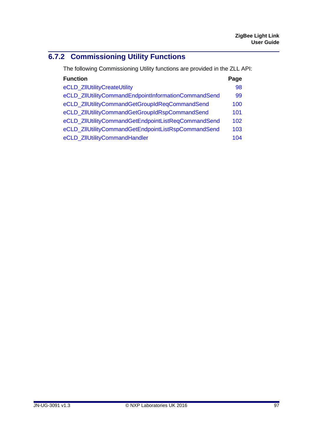# <span id="page-96-0"></span>**6.7.2 Commissioning Utility Functions**

The following Commissioning Utility functions are provided in the ZLL API:

| <b>Function</b>                                      | Page |
|------------------------------------------------------|------|
| eCLD ZIIUtilityCreateUtility                         | 98   |
| eCLD_ZIIUtilityCommandEndpointInformationCommandSend | 99   |
| eCLD ZIIUtilityCommandGetGroupIdReqCommandSend       | 100  |
| eCLD_ZIIUtilityCommandGetGroupIdRspCommandSend       | 101  |
| eCLD_ZIIUtilityCommandGetEndpointListReqCommandSend  | 102  |
| eCLD_ZIIUtilityCommandGetEndpointListRspCommandSend  | 103  |
| eCLD_ZIIUtilityCommandHandler                        | 104  |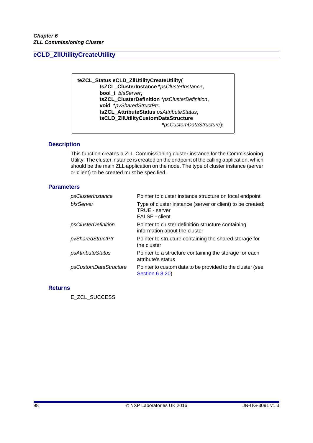# <span id="page-97-0"></span>**eCLD\_ZllUtilityCreateUtility**

| teZCL_Status eCLD_ZIIUtilityCreateUtility(    |
|-----------------------------------------------|
| tsZCL_ClusterInstance *psClusterInstance,     |
| bool t blsServer,                             |
| tsZCL_ClusterDefinition *psClusterDefinition, |
| void *pvSharedStructPtr,                      |
| tsZCL_AttributeStatus psAttributeStatus,      |
| tsCLD_ZIIUtilityCustomDataStructure           |
| *psCustomDataStructure);                      |
|                                               |

# **Description**

This function creates a ZLL Commissioning cluster instance for the Commissioning Utility. The cluster instance is created on the endpoint of the calling application, which should be the main ZLL application on the node. The type of cluster instance (server or client) to be created must be specified.

# **Parameters**

| psClusterInstance     | Pointer to cluster instance structure on local endpoint                                              |
|-----------------------|------------------------------------------------------------------------------------------------------|
| blsServer             | Type of cluster instance (server or client) to be created:<br><b>TRUE</b> - server<br>FALSE - client |
| psClusterDefinition   | Pointer to cluster definition structure containing<br>information about the cluster                  |
| pvSharedStructPtr     | Pointer to structure containing the shared storage for<br>the cluster                                |
| psAttributeStatus     | Pointer to a structure containing the storage for each<br>attribute's status                         |
| psCustomDataStructure | Pointer to custom data to be provided to the cluster (see<br>Section 6.8.20)                         |

# **Returns**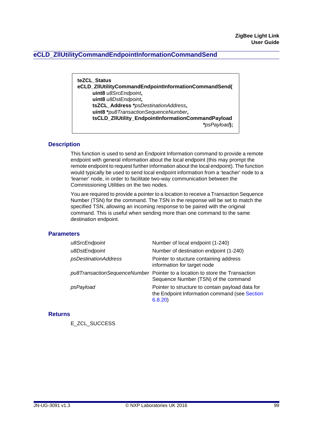# <span id="page-98-0"></span>**eCLD\_ZllUtilityCommandEndpointInformationCommandSend**

| eCLD_ZIIUtilityCommandEndpointInformationCommandSend( |
|-------------------------------------------------------|
|                                                       |
|                                                       |
|                                                       |
|                                                       |
| tsCLD_ZIIUtility_EndpointInformationCommandPayload    |
| *psPayload);                                          |
|                                                       |

#### **Description**

This function is used to send an Endpoint Information command to provide a remote endpoint with general information about the local endpoint (this may prompt the remote endpoint to request further information about the local endpoint). The function would typically be used to send local endpoint information from a 'teacher' node to a 'learner' node, in order to facilitate two-way communication between the Commissioning Utilities on the two nodes.

You are required to provide a pointer to a location to receive a Transaction Sequence Number (TSN) for the command. The TSN in the response will be set to match the specified TSN, allowing an incoming response to be paired with the original command. This is useful when sending more than one command to the same destination endpoint.

### **Parameters**

| u8SrcEndpoint        | Number of local endpoint (1-240)                                                                                    |
|----------------------|---------------------------------------------------------------------------------------------------------------------|
| u8DstEndpoint        | Number of destination endpoint (1-240)                                                                              |
| psDestinationAddress | Pointer to stucture containing address<br>information for target node                                               |
|                      | pu8TransactionSequenceNumber Pointer to a location to store the Transaction<br>Sequence Number (TSN) of the command |
| psPayload            | Pointer to structure to contain payload data for<br>the Endpoint Information command (see Section<br>6.8.20         |

# **Returns**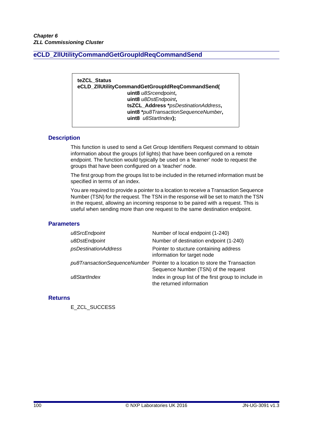# <span id="page-99-0"></span>**eCLD\_ZllUtilityCommandGetGroupIdReqCommandSend**

| teZCL Status<br>eCLD ZIIUtilityCommandGetGroupIdReqCommandSend( |  |
|-----------------------------------------------------------------|--|
| uint8 u8Srcendpoint,                                            |  |
| uint8 u8DstEndpoint,                                            |  |
| tsZCL_Address *psDestinationAddress,                            |  |
| uint8 *pu8TransactionSequenceNumber,                            |  |
| uint8 u8StartIndex);                                            |  |
|                                                                 |  |

# **Description**

This function is used to send a Get Group Identifiers Request command to obtain information about the groups (of lights) that have been configured on a remote endpoint. The function would typically be used on a 'learner' node to request the groups that have been configured on a 'teacher' node.

The first group from the groups list to be included in the returned information must be specified in terms of an index.

You are required to provide a pointer to a location to receive a Transaction Sequence Number (TSN) for the request. The TSN in the response will be set to match the TSN in the request, allowing an incoming response to be paired with a request. This is useful when sending more than one request to the same destination endpoint.

#### **Parameters**

| u8SrcEndpoint               | Number of local endpoint (1-240)                                                                                    |
|-----------------------------|---------------------------------------------------------------------------------------------------------------------|
| u8DstEndpoint               | Number of destination endpoint (1-240)                                                                              |
| <i>psDestinationAddress</i> | Pointer to stucture containing address<br>information for target node                                               |
|                             | pu8TransactionSequenceNumber Pointer to a location to store the Transaction<br>Sequence Number (TSN) of the request |
| u8StartIndex                | Index in group list of the first group to include in<br>the returned information                                    |

#### **Returns**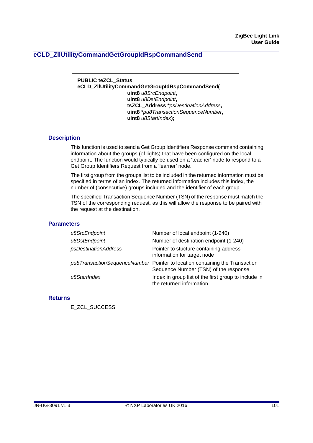# <span id="page-100-0"></span>**eCLD\_ZllUtilityCommandGetGroupIdRspCommandSend**

**PUBLIC teZCL\_Status eCLD\_ZllUtilityCommandGetGroupIdRspCommandSend( uint8** *u8SrcEndpoint***, uint8** *u8DstEndpoint***, tsZCL\_Address \****psDestinationAddress***, uint8 \****pu8TransactionSequenceNumber***, uint8** *u8StartIndex***);**

#### **Description**

This function is used to send a Get Group Identifiers Response command containing information about the groups (of lights) that have been configured on the local endpoint. The function would typically be used on a 'teacher' node to respond to a Get Group Identifiers Request from a 'learner' node.

The first group from the groups list to be included in the returned information must be specified in terms of an index. The returned information includes this index, the number of (consecutive) groups included and the identifier of each group.

The specified Transaction Sequence Number (TSN) of the response must match the TSN of the corresponding request, as this will allow the response to be paired with the request at the destination.

#### **Parameters**

| u8SrcEndpoint        | Number of local endpoint (1-240)                                                                                     |
|----------------------|----------------------------------------------------------------------------------------------------------------------|
| u8DstEndpoint        | Number of destination endpoint (1-240)                                                                               |
| psDestinationAddress | Pointer to stucture containing address<br>information for target node                                                |
|                      | pu8TransactionSequenceNumber Pointer to location containing the Transaction<br>Sequence Number (TSN) of the response |
| u8StartIndex         | Index in group list of the first group to include in<br>the returned information                                     |

#### **Returns**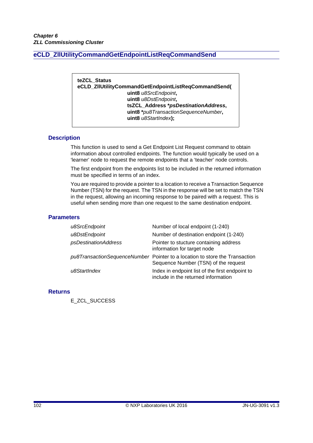# <span id="page-101-0"></span>**eCLD\_ZllUtilityCommandGetEndpointListReqCommandSend**

**teZCL\_Status eCLD\_ZllUtilityCommandGetEndpointListReqCommandSend( uint8** *u8SrcEndpoint***, uint8** *u8DstEndpoint***, tsZCL\_Address \****psDestinationAddress***, uint8 \****pu8TransactionSequenceNumber***, uint8** *u8StartIndex***);**

# **Description**

This function is used to send a Get Endpoint List Request command to obtain information about controlled endpoints. The function would typically be used on a 'learner' node to request the remote endpoints that a 'teacher' node controls.

The first endpoint from the endpoints list to be included in the returned information must be specified in terms of an index.

You are required to provide a pointer to a location to receive a Transaction Sequence Number (TSN) for the request. The TSN in the response will be set to match the TSN in the request, allowing an incoming response to be paired with a request. This is useful when sending more than one request to the same destination endpoint.

#### **Parameters**

| u8SrcEndpoint               | Number of local endpoint (1-240)                                                                                    |
|-----------------------------|---------------------------------------------------------------------------------------------------------------------|
| u8DstEndpoint               | Number of destination endpoint (1-240)                                                                              |
| <i>psDestinationAddress</i> | Pointer to stucture containing address<br>information for target node                                               |
|                             | pu8TransactionSequenceNumber Pointer to a location to store the Transaction<br>Sequence Number (TSN) of the request |
| u8StartIndex                | Index in endpoint list of the first endpoint to<br>include in the returned information                              |

#### **Returns**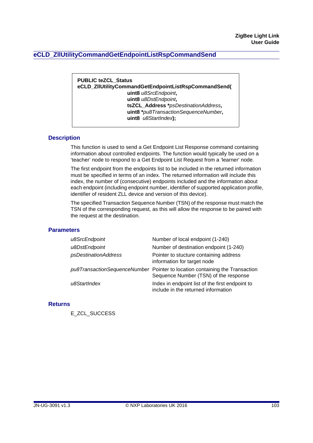# <span id="page-102-0"></span>**eCLD\_ZllUtilityCommandGetEndpointListRspCommandSend**

**PUBLIC teZCL\_Status eCLD\_ZllUtilityCommandGetEndpointListRspCommandSend( uint8** *u8SrcEndpoint***, uint8** *u8DstEndpoint***, tsZCL\_Address \****psDestinationAddress***, uint8 \****pu8TransactionSequenceNumber***, uint8** *u8StartIndex***);**

#### **Description**

This function is used to send a Get Endpoint List Response command containing information about controlled endpoints. The function would typically be used on a 'teacher' node to respond to a Get Endpoint List Request from a 'learner' node.

The first endpoint from the endpoints list to be included in the returned information must be specified in terms of an index. The returned information will include this index, the number of (consecutive) endpoints included and the information about each endpoint (including endpoint number, identifier of supported application profile, identifier of resident ZLL device and version of this device).

The specified Transaction Sequence Number (TSN) of the response must match the TSN of the corresponding request, as this will allow the response to be paired with the request at the destination.

#### **Parameters**

| u8SrcEndpoint               | Number of local endpoint (1-240)                                                                                     |
|-----------------------------|----------------------------------------------------------------------------------------------------------------------|
| u8DstEndpoint               | Number of destination endpoint (1-240)                                                                               |
| <i>psDestinationAddress</i> | Pointer to stucture containing address<br>information for target node                                                |
|                             | pu8TransactionSequenceNumber Pointer to location containing the Transaction<br>Sequence Number (TSN) of the response |
| u8StartIndex                | Index in endpoint list of the first endpoint to<br>include in the returned information                               |

#### **Returns**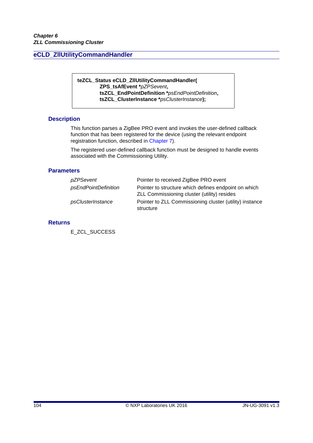# <span id="page-103-0"></span>**eCLD\_ZllUtilityCommandHandler**

**teZCL\_Status eCLD\_ZllUtilityCommandHandler( ZPS\_tsAfEvent \****pZPSevent***, tsZCL\_EndPointDefinition \****psEndPointDefinition***, tsZCL\_ClusterInstance \****psClusterInstance***);**

# **Description**

This function parses a ZigBee PRO event and invokes the user-defined callback function that has been registered for the device (using the relevant endpoint registration function, described in [Chapter 7\)](#page-126-0).

The registered user-defined callback function must be designed to handle events associated with the Commissioning Utility.

# **Parameters**

| pZPSevent            | Pointer to received ZigBee PRO event                                                                |
|----------------------|-----------------------------------------------------------------------------------------------------|
| psEndPointDefinition | Pointer to structure which defines endpoint on which<br>ZLL Commissioning cluster (utility) resides |
| psClusterInstance    | Pointer to ZLL Commissioning cluster (utility) instance<br>structure                                |

# **Returns**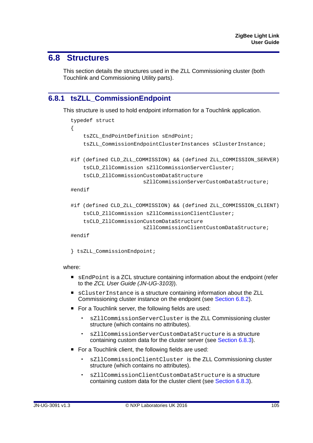# **6.8 Structures**

This section details the structures used in the ZLL Commissioning cluster (both Touchlink and Commissioning Utility parts).

# <span id="page-104-0"></span>**6.8.1 tsZLL\_CommissionEndpoint**

This structure is used to hold endpoint information for a Touchlink application.

```
typedef struct
{
     tsZCL_EndPointDefinition sEndPoint;
     tsZLL_CommissionEndpointClusterInstances sClusterInstance;
#if (defined CLD ZLL COMMISSION) && (defined ZLL COMMISSION SERVER)
     tsCLD_ZllCommission sZllCommissionServerCluster;
     tsCLD_ZllCommissionCustomDataStructure 
                        sZllCommissionServerCustomDataStructure;
#endif
#if (defined CLD_ZLL_COMMISSION) && (defined ZLL_COMMISSION_CLIENT)
     tsCLD_ZllCommission sZllCommissionClientCluster;
     tsCLD_ZllCommissionCustomDataStructure 
                        sZllCommissionClientCustomDataStructure;
```
#endif

} tsZLL\_CommissionEndpoint;

#### where:

- $\blacksquare$  sEndPoint is a ZCL structure containing information about the endpoint (refer to the *ZCL User Guide (JN-UG-3103)*).
- **SCLusterInstance is a structure containing information about the ZLL** Commissioning cluster instance on the endpoint (see [Section 6.8.2](#page-105-1)).
- For a Touchlink server, the following fields are used:
	- sZllCommissionServerCluster is the ZLL Commissioning cluster structure (which contains no attributes).
	- sZllCommissionServerCustomDataStructure is a structure containing custom data for the cluster server (see [Section 6.8.3\)](#page-105-0).
- For a Touchlink client, the following fields are used:
	- sZllCommissionClientCluster is the ZLL Commissioning cluster structure (which contains no attributes).
	- sZllCommissionClientCustomDataStructure is a structure containing custom data for the cluster client (see [Section 6.8.3\)](#page-105-0).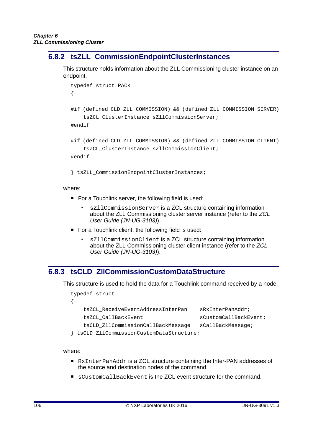# <span id="page-105-1"></span>**6.8.2 tsZLL\_CommissionEndpointClusterInstances**

This structure holds information about the ZLL Commissioning cluster instance on an endpoint.

```
typedef struct PACK
{
#if (defined CLD ZLL COMMISSION) && (defined ZLL COMMISSION SERVER)
     tsZCL_ClusterInstance sZllCommissionServer;
#endif
#if (defined CLD_ZLL_COMMISSION) && (defined ZLL_COMMISSION_CLIENT)
```
 tsZCL\_ClusterInstance sZllCommissionClient; #endif

} tsZLL\_CommissionEndpointClusterInstances;

where:

- For a Touchlink server, the following field is used:
	- sZllCommissionServer is a ZCL structure containing information about the ZLL Commissioning cluster server instance (refer to the *ZCL User Guide (JN-UG-3103)*).
- For a Touchlink client, the following field is used:
	- sZllCommissionClient is a ZCL structure containing information about the ZLL Commissioning cluster client instance (refer to the *ZCL User Guide (JN-UG-3103)*).

# <span id="page-105-0"></span>**6.8.3 tsCLD\_ZllCommissionCustomDataStructure**

This structure is used to hold the data for a Touchlink command received by a node.

```
typedef struct
{
   tsZCL ReceiveEventAddressInterPan sRxInterPanAddr;
   tsZCL CallBackEvent sCustomCallBackEvent;
    tsCLD_ZllCommissionCallBackMessage sCallBackMessage;
} tsCLD_ZllCommissionCustomDataStructure;
```
# where:

- RxInterPanAddr is a ZCL structure containing the Inter-PAN addresses of the source and destination nodes of the command.
- sCustomCallBackEvent is the ZCL event structure for the command.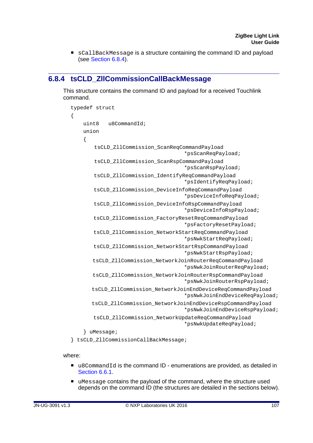$\Box$  sCallBackMessage is a structure containing the command ID and payload (see [Section 6.8.4](#page-106-0)).

# <span id="page-106-0"></span>**6.8.4 tsCLD\_ZllCommissionCallBackMessage**

This structure contains the command ID and payload for a received Touchlink command.

```
typedef struct
{
    uint8 u8CommandId;
     union
     {
        tsCLD_ZllCommission_ScanReqCommandPayload 
                                       *psScanReqPayload;
        tsCLD_ZllCommission_ScanRspCommandPayload 
                                       *psScanRspPayload;
        tsCLD_ZllCommission_IdentifyReqCommandPayload 
                                       *psIdentifyReqPayload;
        tsCLD_ZllCommission_DeviceInfoReqCommandPayload 
                                       *psDeviceInfoReqPayload;
        tsCLD_ZllCommission_DeviceInfoRspCommandPayload 
                                       *psDeviceInfoRspPayload;
        tsCLD_ZllCommission_FactoryResetReqCommandPayload 
                                       *psFactoryResetPayload;
        tsCLD_ZllCommission_NetworkStartReqCommandPayload 
                                       *psNwkStartReqPayload;
        tsCLD_ZllCommission_NetworkStartRspCommandPayload 
                                       *psNwkStartRspPayload;
        tsCLD_ZllCommission_NetworkJoinRouterReqCommandPayload 
                                       *psNwkJoinRouterReqPayload;
        tsCLD_ZllCommission_NetworkJoinRouterRspCommandPayload 
                                       *psNwkJoinRouterRspPayload;
        tsCLD_ZllCommission_NetworkJoinEndDeviceReqCommandPayload 
                                       *psNwkJoinEndDeviceReqPayload;
        tsCLD_ZllCommission_NetworkJoinEndDeviceRspCommandPayload 
                                       *psNwkJoinEndDeviceRspPayload;
        tsCLD_ZllCommission_NetworkUpdateReqCommandPayload 
                                       *psNwkUpdateReqPayload;
     } uMessage;
```
} tsCLD\_ZllCommissionCallBackMessage;

#### where:

- $\blacksquare$  u8CommandId is the command ID enumerations are provided, as detailed in Section 6.6.1
- $\blacksquare$  uMessage contains the payload of the command, where the structure used depends on the command ID (the structures are detailed in the sections below).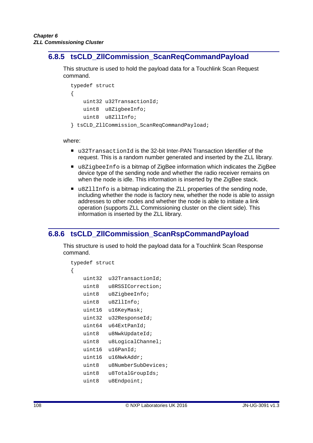# <span id="page-107-0"></span>**6.8.5 tsCLD\_ZllCommission\_ScanReqCommandPayload**

This structure is used to hold the payload data for a Touchlink Scan Request command.

```
typedef struct
{
    uint32 u32TransactionId;
   uint8 u8ZigbeeInfo;
    uint8 u8ZllInfo;
} tsCLD_ZllCommission_ScanReqCommandPayload;
```
where:

- $\Box$  u32Transaction Id is the 32-bit Inter-PAN Transaction Identifier of the request. This is a random number generated and inserted by the ZLL library.
- u8ZigbeeInfo is a bitmap of ZigBee information which indicates the ZigBee device type of the sending node and whether the radio receiver remains on when the node is idle. This information is inserted by the ZigBee stack.
- $\blacksquare$  u8ZllInfo is a bitmap indicating the ZLL properties of the sending node, including whether the node is factory new, whether the node is able to assign addresses to other nodes and whether the node is able to initiate a link operation (supports ZLL Commissioning cluster on the client side). This information is inserted by the ZLL library.

# <span id="page-107-1"></span>**6.8.6 tsCLD\_ZllCommission\_ScanRspCommandPayload**

This structure is used to hold the payload data for a Touchlink Scan Response command.

```
typedef struct
{
     uint32 u32TransactionId;
    uint8 u8RSSICorrection;
    uint8 u8ZigbeeInfo;
    uint8 u8ZllInfo;
    uint16 u16KeyMask;
    uint32 u32ResponseId;
    uint64 u64ExtPanId;
   uint8 u8NwkUpdateId;
    uint8 u8LogicalChannel;
    uint16 u16PanId;
    uint16 u16NwkAddr;
   uint8 u8NumberSubDevices;
    uint8 u8TotalGroupIds;
    uint8 u8Endpoint;
```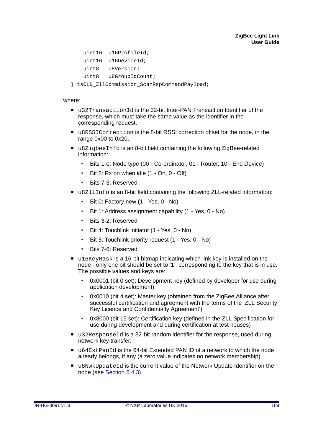```
 uint16 u16ProfileId;
    uint16 u16DeviceId;
    uint8 u8Version;
   uint8 u8GroupIdCount;
} tsCLD_ZllCommission_ScanRspCommandPayload;
```
- u32TransactionId is the 32-bit Inter-PAN Transaction Identifier of the response, which must take the same value as the identifier in the corresponding request.
- u8RSSICorrection is the 8-bit RSSI correction offset for the node, in the range 0x00 to 0x20.
- $\blacksquare$  u8ZigbeeInfo is an 8-bit field containing the following ZigBee-related information:
	- Bits 1-0: Node type (00 Co-ordinator, 01 Router, 10 End Device)
	- Bit 2: Rx on when idle  $(1 On, 0 Off)$
	- Bits 7-3: Reserved
- u8ZllInfo is an 8-bit field containing the following ZLL-related information:
	- Bit 0: Factory new (1 Yes, 0 No)
	- Bit 1: Address assignment capability (1 Yes, 0 No)
	- Bits 3-2: Reserved
	- Bit 4: Touchlink initiator (1 Yes, 0 No)
	- Bit 5: Touchlink priority request (1 Yes, 0 No)
	- Bits 7-6: Reserved
- u16KeyMask is a 16-bit bitmap indicating which link key is installed on the node - only one bit should be set to '1', corresponding to the key that is in use. The possible values and keys are:
	- 0x0001 (bit 0 set): Development key (defined by developer for use during application development)
	- 0x0010 (bit 4 set): Master key (obtained from the ZigBee Alliance after successful certification and agreement with the terms of the 'ZLL Security Key Licence and Confidentialty Agreement')
	- 0x8000 (bit 15 set): Certification key (defined in the ZLL Specification for use during development and during certification at test houses)
- u32ResponseId is a 32-bit random identifier for the response, used during network key transfer.
- u64ExtPanId is the 64-bit Extended PAN ID of a network to which the node already belongs, if any (a zero value indicates no network membership).
- u8NwkUpdateId is the current value of the Network Update Identifier on the node (see [Section 6.4.3\)](#page-72-0).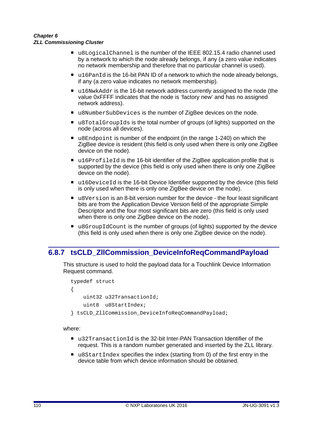- u8LogicalChannel is the number of the IEEE 802.15.4 radio channel used by a network to which the node already belongs, if any (a zero value indicates no network membership and therefore that no particular channel is used).
- $\blacksquare$  u16PanId is the 16-bit PAN ID of a network to which the node already belongs, if any (a zero value indicates no network membership).
- ul6NwkAddr is the 16-bit network address currently assigned to the node (the value 0xFFFF indicates that the node is 'factory new' and has no assigned network address).
- u8NumberSubDevices is the number of ZigBee devices on the node.
- u8TotalGroupIds is the total number of groups (of lights) supported on the node (across all devices).
- u8Endpoint is number of the endpoint (in the range 1-240) on which the ZigBee device is resident (this field is only used when there is only one ZigBee device on the node).
- ulferation is the 16-bit identifier of the ZigBee application profile that is supported by the device (this field is only used when there is only one ZigBee device on the node).
- u16DeviceId is the 16-bit Device Identifier supported by the device (this field is only used when there is only one ZigBee device on the node).
- u8Version is an 8-bit version number for the device the four least significant bits are from the Application Device Version field of the appropriate Simple Descriptor and the four most significant bits are zero (this field is only used when there is only one ZigBee device on the node).
- u8GroupIdCount is the number of groups (of lights) supported by the device (this field is only used when there is only one ZigBee device on the node).

# **6.8.7 tsCLD\_ZllCommission\_DeviceInfoReqCommandPayload**

This structure is used to hold the payload data for a Touchlink Device Information Request command.

```
typedef struct
{
    uint32 u32TransactionId;
     uint8 u8StartIndex;
} tsCLD_ZllCommission_DeviceInfoReqCommandPayload;
```
- u32TransactionId is the 32-bit Inter-PAN Transaction Identifier of the request. This is a random number generated and inserted by the ZLL library.
- $\blacksquare$  u8StartIndex specifies the index (starting from 0) of the first entry in the device table from which device information should be obtained.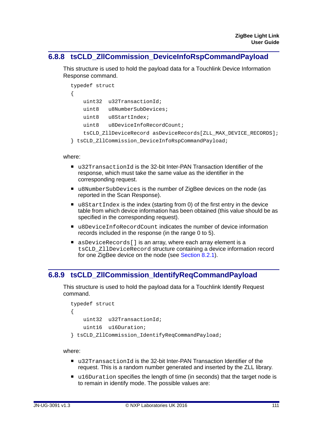# **6.8.8 tsCLD\_ZllCommission\_DeviceInfoRspCommandPayload**

This structure is used to hold the payload data for a Touchlink Device Information Response command.

```
typedef struct
{
    uint32 u32TransactionId;
   uint8 u8NumberSubDevices;
    uint8 u8StartIndex;
    uint8 u8DeviceInfoRecordCount;
     tsCLD_ZllDeviceRecord asDeviceRecords[ZLL_MAX_DEVICE_RECORDS];
} tsCLD_ZllCommission_DeviceInfoRspCommandPayload;
```
where:

- u32TransactionId is the 32-bit Inter-PAN Transaction Identifier of the response, which must take the same value as the identifier in the corresponding request.
- u8NumberSubDevices is the number of ZigBee devices on the node (as reported in the Scan Response).
- $\blacksquare$  u8StartIndex is the index (starting from 0) of the first entry in the device table from which device information has been obtained (this value should be as specified in the corresponding request).
- u8DeviceInfoRecordCount indicates the number of device information records included in the response (in the range 0 to 5).
- asDeviceRecords [] is an array, where each array element is a tsCLD\_ZllDeviceRecord structure containing a device information record for one ZigBee device on the node (see [Section 8.2.1](#page-177-0)).

# **6.8.9 tsCLD\_ZllCommission\_IdentifyReqCommandPayload**

This structure is used to hold the payload data for a Touchlink Identify Request command.

```
typedef struct
{
    uint32 u32TransactionId;
     uint16 u16Duration;
} tsCLD_ZllCommission_IdentifyReqCommandPayload;
```
- u32TransactionId is the 32-bit Inter-PAN Transaction Identifier of the request. This is a random number generated and inserted by the ZLL library.
- ul 6Duration specifies the length of time (in seconds) that the target node is to remain in identify mode. The possible values are: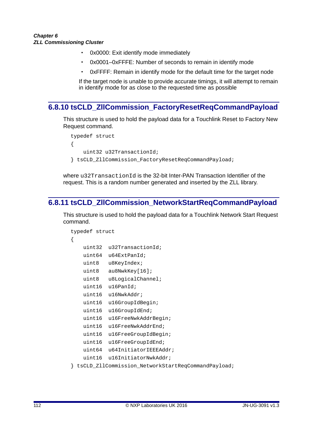- 0x0000: Exit identify mode immediately
- 0x0001–0xFFFE: Number of seconds to remain in identify mode
- 0xFFFF: Remain in identify mode for the default time for the target node

If the target node is unable to provide accurate timings, it will attempt to remain in identify mode for as close to the requested time as possible

# **6.8.10 tsCLD\_ZllCommission\_FactoryResetReqCommandPayload**

This structure is used to hold the payload data for a Touchlink Reset to Factory New Request command.

```
typedef struct
{
    uint32 u32TransactionId;
} tsCLD_ZllCommission_FactoryResetReqCommandPayload;
```
where u32TransactionId is the 32-bit Inter-PAN Transaction Identifier of the request. This is a random number generated and inserted by the ZLL library.

# **6.8.11 tsCLD\_ZllCommission\_NetworkStartReqCommandPayload**

This structure is used to hold the payload data for a Touchlink Network Start Request command.

```
typedef struct
{
    uint32 u32TransactionId;
    uint64 u64ExtPanId;
    uint8 u8KeyIndex;
   uint8 au8NwkKey[16];
   uint8 u8LoqicalChannel;
    uint16 u16PanId;
    uint16 u16NwkAddr;
    uint16 u16GroupIdBegin;
    uint16 u16GroupIdEnd;
   uint16 u16FreeNwkAddrBegin;
   uint16 u16FreeNwkAddrEnd;
    uint16 u16FreeGroupIdBegin;
    uint16 u16FreeGroupIdEnd;
    uint64 u64InitiatorIEEEAddr;
   uint16 u16InitiatorNwkAddr;
} tsCLD_ZllCommission_NetworkStartReqCommandPayload;
```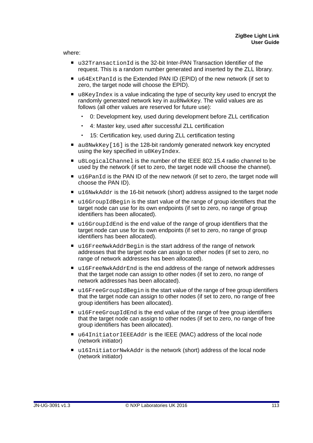- u32TransactionId is the 32-bit Inter-PAN Transaction Identifier of the request. This is a random number generated and inserted by the ZLL library.
- u64ExtPanId is the Extended PAN ID (EPID) of the new network (if set to zero, the target node will choose the EPID).
- $\Box$  u8KeyIndex is a value indicating the type of security key used to encrypt the randomly generated network key in au8NwkKey. The valid values are as follows (all other values are reserved for future use):
	- 0: Development key, used during development before ZLL certification
	- 4: Master key, used after successful ZLL certification
	- 15: Certification key, used during ZLL certification testing
- $\blacksquare$  au8NwkKey[16] is the 128-bit randomly generated network key encrypted using the key specified in u8KeyIndex.
- u8LogicalChannel is the number of the IEEE 802.15.4 radio channel to be used by the network (if set to zero, the target node will choose the channel).
- ulf Pan Id is the PAN ID of the new network (if set to zero, the target node will choose the PAN ID).
- u16NwkAddr is the 16-bit network (short) address assigned to the target node
- ulf Group Id Begin is the start value of the range of group identifiers that the target node can use for its own endpoints (if set to zero, no range of group identifiers has been allocated).
- ulf GroupIdEnd is the end value of the range of group identifiers that the target node can use for its own endpoints (if set to zero, no range of group identifiers has been allocated).
- u16FreeNwkAddrBegin is the start address of the range of network addresses that the target node can assign to other nodes (if set to zero, no range of network addresses has been allocated).
- u16FreeNwkAddrEnd is the end address of the range of network addresses that the target node can assign to other nodes (if set to zero, no range of network addresses has been allocated).
- u16FreeGroupIdBegin is the start value of the range of free group identifiers that the target node can assign to other nodes (if set to zero, no range of free group identifiers has been allocated).
- ulferst under the end value of the range of free group identifiers that the target node can assign to other nodes (if set to zero, no range of free group identifiers has been allocated).
- u64InitiatorIEEEAddr is the IEEE (MAC) address of the local node (network initiator)
- u16InitiatorNwkAddr is the network (short) address of the local node (network initiator)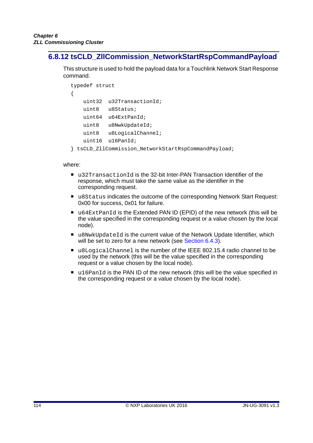# **6.8.12 tsCLD\_ZllCommission\_NetworkStartRspCommandPayload**

This structure is used to hold the payload data for a Touchlink Network Start Response command.

```
typedef struct
{
    uint32 u32TransactionId;
    uint8 u8Status;
    uint64 u64ExtPanId;
   uint8 u8NwkUpdateId;
   uint8 u8LogicalChannel;
    uint16 u16PanId;
} tsCLD_ZllCommission_NetworkStartRspCommandPayload;
```
- u32TransactionId is the 32-bit Inter-PAN Transaction Identifier of the response, which must take the same value as the identifier in the corresponding request.
- u8Status indicates the outcome of the corresponding Network Start Request: 0x00 for success, 0x01 for failure.
- u64ExtPanId is the Extended PAN ID (EPID) of the new network (this will be the value specified in the corresponding request or a value chosen by the local node).
- u8NwkUpdateId is the current value of the Network Update Identifier, which will be set to zero for a new network (see [Section 6.4.3\)](#page-72-0).
- u8LogicalChannel is the number of the IEEE 802.15.4 radio channel to be used by the network (this will be the value specified in the corresponding request or a value chosen by the local node).
- $\blacksquare$  u16PanId is the PAN ID of the new network (this will be the value specified in the corresponding request or a value chosen by the local node).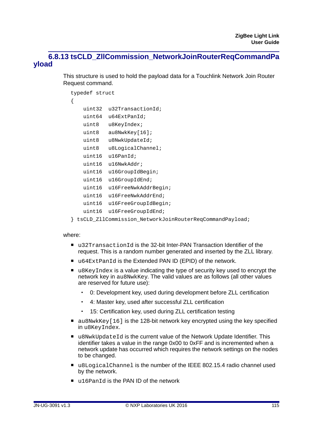# **6.8.13 tsCLD\_ZllCommission\_NetworkJoinRouterReqCommandPa yload**

This structure is used to hold the payload data for a Touchlink Network Join Router Request command.

```
typedef struct
{
    uint32 u32TransactionId;
    uint64 u64ExtPanId;
    uint8 u8KeyIndex;
   uint8 au8NwkKey[16];
   uint8 u8NwkUpdateId;
    uint8 u8LogicalChannel;
    uint16 u16PanId;
    uint16 u16NwkAddr;
    uint16 u16GroupIdBegin;
    uint16 u16GroupIdEnd;
    uint16 u16FreeNwkAddrBegin;
    uint16 u16FreeNwkAddrEnd;
    uint16 u16FreeGroupIdBegin;
    uint16 u16FreeGroupIdEnd;
} tsCLD_ZllCommission_NetworkJoinRouterReqCommandPayload;
```
- u32TransactionId is the 32-bit Inter-PAN Transaction Identifier of the request. This is a random number generated and inserted by the ZLL library.
- u64ExtPanId is the Extended PAN ID (EPID) of the network.
- u8KeyIndex is a value indicating the type of security key used to encrypt the network key in au8NwkKey. The valid values are as follows (all other values are reserved for future use):
	- 0: Development key, used during development before ZLL certification
	- 4: Master key, used after successful ZLL certification
	- 15: Certification key, used during ZLL certification testing
- au8NwkKey[16] is the 128-bit network key encrypted using the key specified in u8KeyIndex.
- u8NwkUpdateId is the current value of the Network Update Identifier. This identifier takes a value in the range 0x00 to 0xFF and is incremented when a network update has occurred which requires the network settings on the nodes to be changed.
- u8LogicalChannel is the number of the IEEE 802.15.4 radio channel used by the network.
- ul 6 Pan Id is the PAN ID of the network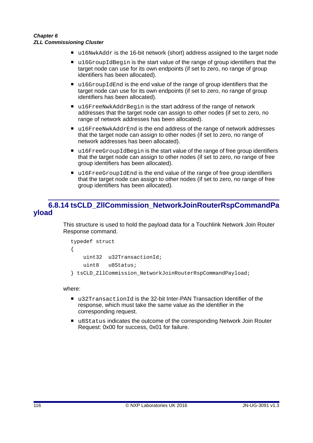- u16NwkAddr is the 16-bit network (short) address assigned to the target node
- ulf GroupId Begin is the start value of the range of group identifiers that the target node can use for its own endpoints (if set to zero, no range of group identifiers has been allocated).
- u16GroupIdEnd is the end value of the range of group identifiers that the target node can use for its own endpoints (if set to zero, no range of group identifiers has been allocated).
- u16FreeNwkAddrBegin is the start address of the range of network addresses that the target node can assign to other nodes (if set to zero, no range of network addresses has been allocated).
- u16FreeNwkAddrEnd is the end address of the range of network addresses that the target node can assign to other nodes (if set to zero, no range of network addresses has been allocated).
- u16FreeGroupIdBegin is the start value of the range of free group identifiers that the target node can assign to other nodes (if set to zero, no range of free group identifiers has been allocated).
- ulferst under the end value of the range of free group identifiers that the target node can assign to other nodes (if set to zero, no range of free group identifiers has been allocated).

# **6.8.14 tsCLD\_ZllCommission\_NetworkJoinRouterRspCommandPa yload**

This structure is used to hold the payload data for a Touchlink Network Join Router Response command.

```
typedef struct
{
    uint32 u32TransactionId;
     uint8 u8Status;
} tsCLD_ZllCommission_NetworkJoinRouterRspCommandPayload;
```
- u32TransactionId is the 32-bit Inter-PAN Transaction Identifier of the response, which must take the same value as the identifier in the corresponding request.
- u8Status indicates the outcome of the corresponding Network Join Router Request: 0x00 for success, 0x01 for failure.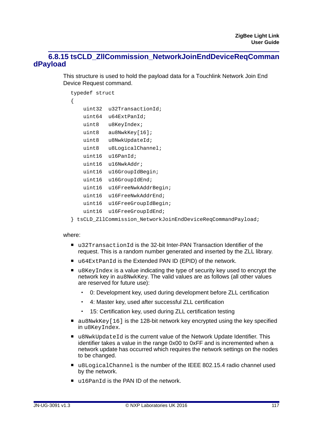# **6.8.15 tsCLD\_ZllCommission\_NetworkJoinEndDeviceReqComman dPayload**

This structure is used to hold the payload data for a Touchlink Network Join End Device Request command.

```
typedef struct
{
    uint32 u32TransactionId;
    uint64 u64ExtPanId;
    uint8 u8KeyIndex;
   uint8 au8NwkKey[16];
   uint8 u8NwkUpdateId;
    uint8 u8LogicalChannel;
    uint16 u16PanId;
    uint16 u16NwkAddr;
    uint16 u16GroupIdBegin;
    uint16 u16GroupIdEnd;
    uint16 u16FreeNwkAddrBegin;
    uint16 u16FreeNwkAddrEnd;
    uint16 u16FreeGroupIdBegin;
    uint16 u16FreeGroupIdEnd;
} tsCLD_ZllCommission_NetworkJoinEndDeviceReqCommandPayload;
```
- u32TransactionId is the 32-bit Inter-PAN Transaction Identifier of the request. This is a random number generated and inserted by the ZLL library.
- u64ExtPanId is the Extended PAN ID (EPID) of the network.
- u8KeyIndex is a value indicating the type of security key used to encrypt the network key in au8NwkKey. The valid values are as follows (all other values are reserved for future use):
	- 0: Development key, used during development before ZLL certification
	- 4: Master key, used after successful ZLL certification
	- 15: Certification key, used during ZLL certification testing
- au8NwkKey[16] is the 128-bit network key encrypted using the key specified in u8KeyIndex.
- u8NwkUpdateId is the current value of the Network Update Identifier. This identifier takes a value in the range 0x00 to 0xFF and is incremented when a network update has occurred which requires the network settings on the nodes to be changed.
- u8LogicalChannel is the number of the IEEE 802.15.4 radio channel used by the network.
- ul 6PanId is the PAN ID of the network.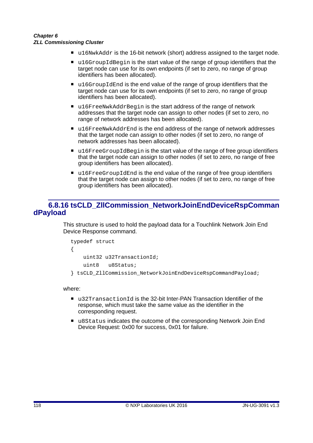- u16NwkAddr is the 16-bit network (short) address assigned to the target node.
- ulf GroupIdBegin is the start value of the range of group identifiers that the target node can use for its own endpoints (if set to zero, no range of group identifiers has been allocated).
- ul 6GroupIdEnd is the end value of the range of group identifiers that the target node can use for its own endpoints (if set to zero, no range of group identifiers has been allocated).
- u16FreeNwkAddrBegin is the start address of the range of network addresses that the target node can assign to other nodes (if set to zero, no range of network addresses has been allocated).
- u16FreeNwkAddrEnd is the end address of the range of network addresses that the target node can assign to other nodes (if set to zero, no range of network addresses has been allocated).
- u16FreeGroupIdBegin is the start value of the range of free group identifiers that the target node can assign to other nodes (if set to zero, no range of free group identifiers has been allocated).
- ulferst under the end value of the range of free group identifiers that the target node can assign to other nodes (if set to zero, no range of free group identifiers has been allocated).

# **6.8.16 tsCLD\_ZllCommission\_NetworkJoinEndDeviceRspComman dPayload**

This structure is used to hold the payload data for a Touchlink Network Join End Device Response command.

```
typedef struct
{
    uint32 u32TransactionId;
     uint8 u8Status;
} tsCLD_ZllCommission_NetworkJoinEndDeviceRspCommandPayload;
```
- u32TransactionId is the 32-bit Inter-PAN Transaction Identifier of the response, which must take the same value as the identifier in the corresponding request.
- u8Status indicates the outcome of the corresponding Network Join End Device Request: 0x00 for success, 0x01 for failure.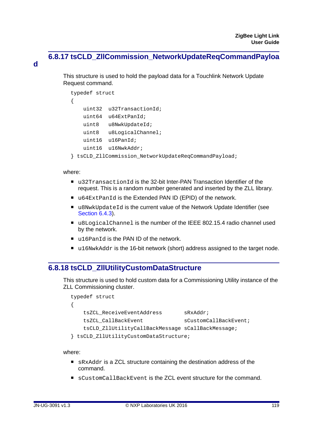# **6.8.17 tsCLD\_ZllCommission\_NetworkUpdateReqCommandPayloa**

**d**

This structure is used to hold the payload data for a Touchlink Network Update Request command.

```
typedef struct
{
    uint32 u32TransactionId;
    uint64 u64ExtPanId;
   uint8 u8NwkUpdateId;
    uint8 u8LogicalChannel;
    uint16 u16PanId;
    uint16 u16NwkAddr;
} tsCLD_ZllCommission_NetworkUpdateReqCommandPayload;
```
where:

- u32TransactionId is the 32-bit Inter-PAN Transaction Identifier of the request. This is a random number generated and inserted by the ZLL library.
- u64ExtPanId is the Extended PAN ID (EPID) of the network.
- u8NwkUpdateId is the current value of the Network Update Identifier (see [Section 6.4.3\)](#page-72-0).
- u8LogicalChannel is the number of the IEEE 802.15.4 radio channel used by the network.
- u16PanId is the PAN ID of the network.
- u16NwkAddr is the 16-bit network (short) address assigned to the target node.

# **6.8.18 tsCLD\_ZllUtilityCustomDataStructure**

This structure is used to hold custom data for a Commissioning Utility instance of the ZLL Commissioning cluster.

```
typedef struct
{
   tsZCL ReceiveEventAddress sRxAddr;
   tsZCL CallBackEvent sCustomCallBackEvent;
    tsCLD_ZllUtilityCallBackMessage sCallBackMessage;
} tsCLD_ZllUtilityCustomDataStructure;
```
- $\blacksquare$  sRxAddr is a ZCL structure containing the destination address of the command.
- sCustomCallBackEvent is the ZCL event structure for the command.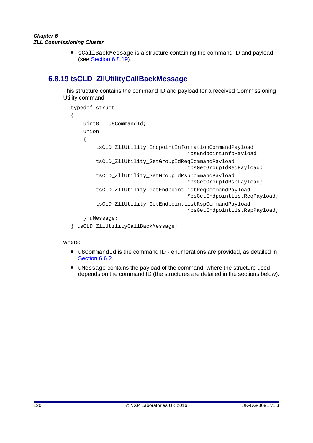■ sCallBackMessage is a structure containing the command ID and payload (see [Section 6.8.19](#page-119-0)).

# <span id="page-119-0"></span>**6.8.19 tsCLD\_ZllUtilityCallBackMessage**

This structure contains the command ID and payload for a received Commissioning Utility command.

```
typedef struct
{
   uint8 u8CommandId;
     union
     {
         tsCLD_ZllUtility_EndpointInformationCommandPayload 
                                        *psEndpointInfoPayload;
         tsCLD_ZllUtility_GetGroupIdReqCommandPayload 
                                        *psGetGroupIdReqPayload;
         tsCLD_ZllUtility_GetGroupIdRspCommandPayload 
                                        *psGetGroupIdRspPayload;
         tsCLD_ZllUtility_GetEndpointListReqCommandPayload 
                                        *psGetEndpointlistReqPayload;
         tsCLD_ZllUtility_GetEndpointListRspCommandPayload 
                                        *psGetEndpointListRspPayload;
     } uMessage;
```
} tsCLD\_ZllUtilityCallBackMessage;

- u8CommandId is the command ID enumerations are provided, as detailed in [Section 6.6.2.](#page-79-0)
- uMessage contains the payload of the command, where the structure used depends on the command ID (the structures are detailed in the sections below).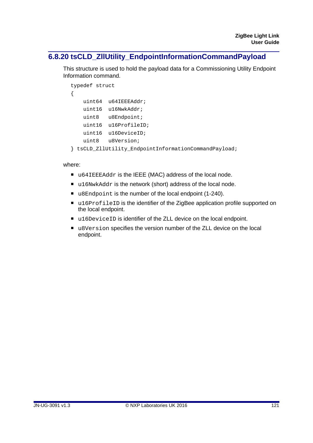# **6.8.20 tsCLD\_ZllUtility\_EndpointInformationCommandPayload**

This structure is used to hold the payload data for a Commissioning Utility Endpoint Information command.

```
typedef struct
{
   uint64 u64IEEEAddr;
    uint16 u16NwkAddr;
   uint8 u8Endpoint;
    uint16 u16ProfileID;
    uint16 u16DeviceID;
    uint8 u8Version;
} tsCLD_ZllUtility_EndpointInformationCommandPayload;
```
- u64IEEEAddr is the IEEE (MAC) address of the local node.
- u16NwkAddr is the network (short) address of the local node.
- u8Endpoint is the number of the local endpoint (1-240).
- ulferofileID is the identifier of the ZigBee application profile supported on the local endpoint.
- u16DeviceID is identifier of the ZLL device on the local endpoint.
- u8Version specifies the version number of the ZLL device on the local endpoint.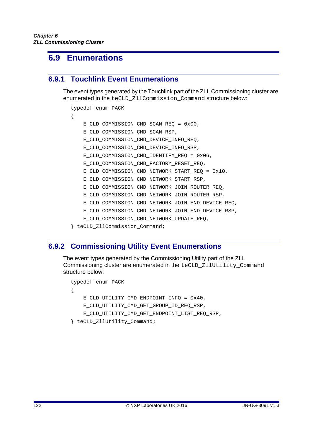# **6.9 Enumerations**

# **6.9.1 Touchlink Event Enumerations**

The event types generated by the Touchlink part of the ZLL Commissioning cluster are enumerated in the teCLD\_ZllCommission\_Command structure below:

```
typedef enum PACK
{
    E_CLD_COMMISSION_CMD_SCAN_REQ = 0x00,
     E_CLD_COMMISSION_CMD_SCAN_RSP,
     E_CLD_COMMISSION_CMD_DEVICE_INFO_REQ,
     E_CLD_COMMISSION_CMD_DEVICE_INFO_RSP,
    E_CLD_COMMISSION_CMD_IDENTIFY_REQ = 0x06,
     E_CLD_COMMISSION_CMD_FACTORY_RESET_REQ,
    E_CLD_COMMISSION_CMD_NETWORK_START_REQ = 0x10,
     E_CLD_COMMISSION_CMD_NETWORK_START_RSP,
     E_CLD_COMMISSION_CMD_NETWORK_JOIN_ROUTER_REQ,
     E_CLD_COMMISSION_CMD_NETWORK_JOIN_ROUTER_RSP,
     E_CLD_COMMISSION_CMD_NETWORK_JOIN_END_DEVICE_REQ,
     E_CLD_COMMISSION_CMD_NETWORK_JOIN_END_DEVICE_RSP,
    E_CLD_COMMISSION_CMD_NETWORK_UPDATE_REQ,
} teCLD_ZllCommission_Command;
```
# **6.9.2 Commissioning Utility Event Enumerations**

The event types generated by the Commissioning Utility part of the ZLL Commissioning cluster are enumerated in the teCLD ZllUtility Command structure below:

```
typedef enum PACK
{
     E_CLD_UTILITY_CMD_ENDPOINT_INFO = 0x40,
     E_CLD_UTILITY_CMD_GET_GROUP_ID_REQ_RSP,
     E_CLD_UTILITY_CMD_GET_ENDPOINT_LIST_REQ_RSP,
} teCLD_ZllUtility_Command;
```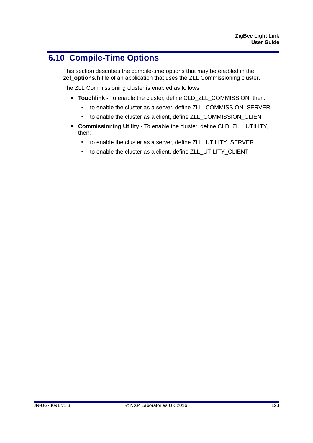# **6.10 Compile-Time Options**

This section describes the compile-time options that may be enabled in the **zcl\_options.h** file of an application that uses the ZLL Commissioning cluster.

The ZLL Commissioning cluster is enabled as follows:

- **Touchlink -** To enable the cluster, define CLD\_ZLL\_COMMISSION, then:
	- to enable the cluster as a server, define ZLL\_COMMISSION\_SERVER
	- to enable the cluster as a client, define ZLL\_COMMISSION\_CLIENT
- **E** Commissioning Utility To enable the cluster, define CLD ZLL UTILITY, then:
	- to enable the cluster as a server, define ZLL\_UTILITY\_SERVER
	- to enable the cluster as a client, define ZLL\_UTILITY\_CLIENT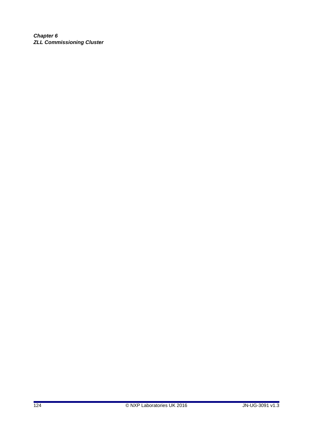*Chapter 6 ZLL Commissioning Cluster*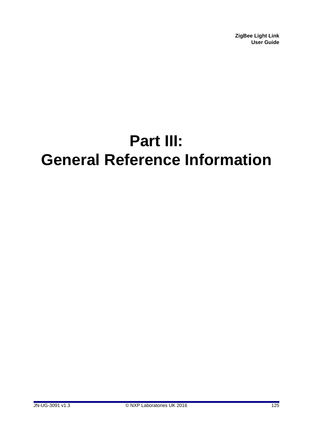# **Part III: General Reference Information**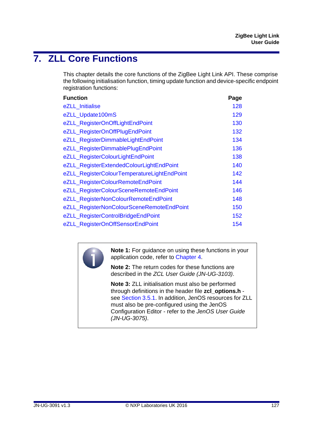# **7. ZLL Core Functions**

This chapter details the core functions of the ZigBee Light Link API. These comprise the following initialisation function, timing update function and device-specific endpoint registration functions:

| <b>Function</b>                             | Page |
|---------------------------------------------|------|
| eZLL_Initialise                             | 128  |
| eZLL_Update100mS                            | 129  |
| eZLL_RegisterOnOffLightEndPoint             | 130  |
| eZLL_RegisterOnOffPlugEndPoint              | 132  |
| eZLL_RegisterDimmableLightEndPoint          | 134  |
| eZLL_RegisterDimmablePlugEndPoint           | 136  |
| eZLL_RegisterColourLightEndPoint            | 138  |
| eZLL_RegisterExtendedColourLightEndPoint    | 140  |
| eZLL_RegisterColourTemperatureLightEndPoint | 142  |
| eZLL_RegisterColourRemoteEndPoint           | 144  |
| eZLL_RegisterColourSceneRemoteEndPoint      | 146  |
| eZLL_RegisterNonColourRemoteEndPoint        | 148  |
| eZLL_RegisterNonColourSceneRemoteEndPoint   | 150  |
| eZLL_RegisterControlBridgeEndPoint          | 152  |
| eZLL_RegisterOnOffSensorEndPoint            | 154  |

**Note 1:** For guidance on using these functions in your application code, refer to [Chapter 4](#page-38-0).

**Note 2:** The return codes for these functions are described in the *ZCL User Guide (JN-UG-3103)*.

**Note 3:** ZLL initialisation must also be performed through definitions in the header file **zcl\_options.h** see [Section 3.5.1](#page-35-0). In addition, JenOS resources for ZLL must also be pre-configured using the JenOS Configuration Editor - refer to the *JenOS User Guide (JN-UG-3075)*.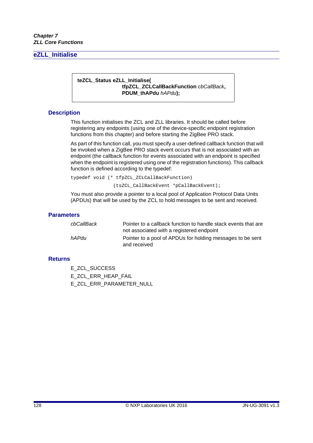## <span id="page-127-0"></span>**eZLL\_Initialise**

**teZCL\_Status eZLL\_Initialise( tfpZCL\_ZCLCallBackFunction** *cbCallBack***, PDUM\_thAPdu** *hAPdu***);**

#### **Description**

This function initialises the ZCL and ZLL libraries. It should be called before registering any endpoints (using one of the device-specific endpoint registration functions from this chapter) and before starting the ZigBee PRO stack.

As part of this function call, you must specify a user-defined callback function that will be invoked when a ZigBee PRO stack event occurs that is not associated with an endpoint (the callback function for events associated with an endpoint is specified when the endpoint is registered using one of the registration functions). This callback function is defined according to the typedef:

typedef void (\* tfpZCL\_ZCLCallBackFunction)

(tsZCL\_CallBackEvent \*pCallBackEvent);

You must also provide a pointer to a local pool of Application Protocol Data Units (APDUs) that will be used by the ZCL to hold messages to be sent and received.

#### **Parameters**

| cbCallBack | Pointer to a callback function to handle stack events that are<br>not associated with a registered endpoint |
|------------|-------------------------------------------------------------------------------------------------------------|
| hAPdu      | Pointer to a pool of APDUs for holding messages to be sent<br>and received                                  |

#### **Returns**

E\_ZCL\_SUCCESS E\_ZCL\_ERR\_HEAP\_FAIL E\_ZCL\_ERR\_PARAMETER\_NULL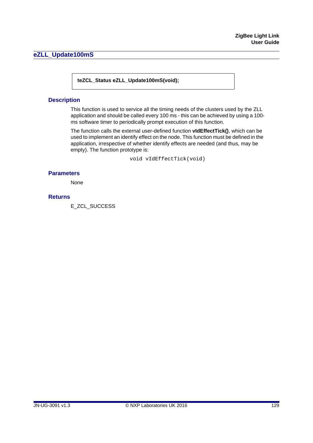#### <span id="page-128-0"></span>**eZLL\_Update100mS**

#### **teZCL\_Status eZLL\_Update100mS(void);**

#### **Description**

This function is used to service all the timing needs of the clusters used by the ZLL application and should be called every 100 ms - this can be achieved by using a 100 ms software timer to periodically prompt execution of this function.

The function calls the external user-defined function **vIdEffectTick()**, which can be used to implement an identify effect on the node. This function must be defined in the application, irrespective of whether identify effects are needed (and thus, may be empty). The function prototype is:

void vIdEffectTick(void)

#### **Parameters**

None

#### **Returns**

E\_ZCL\_SUCCESS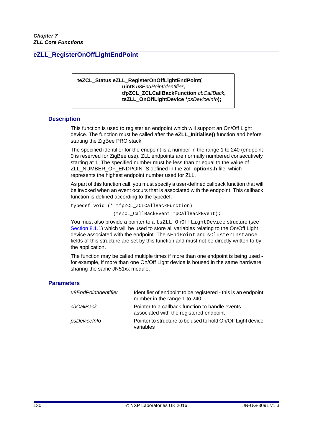#### <span id="page-129-0"></span>**eZLL\_RegisterOnOffLightEndPoint**

**teZCL\_Status eZLL\_RegisterOnOffLightEndPoint( uint8** *u8EndPointIdentifier***, tfpZCL\_ZCLCallBackFunction** *cbCallBack***, tsZLL\_OnOffLightDevice \****psDeviceInfo***);**

#### **Description**

This function is used to register an endpoint which will support an On/Off Light device. The function must be called after the **eZLL\_Initialise()** function and before starting the ZigBee PRO stack.

The specified identifier for the endpoint is a number in the range 1 to 240 (endpoint 0 is reserved for ZigBee use). ZLL endpoints are normally numbered consecutively starting at 1. The specified number must be less than or equal to the value of ZLL\_NUMBER\_OF\_ENDPOINTS defined in the **zcl\_options.h** file, which represents the highest endpoint number used for ZLL.

As part of this function call, you must specify a user-defined callback function that will be invoked when an event occurs that is associated with the endpoint. This callback function is defined according to the typedef:

typedef void (\* tfpZCL\_ZCLCallBackFunction) (tsZCL\_CallBackEvent \*pCallBackEvent);

You must also provide a pointer to a tsZLL\_OnOffLightDevice structure (see [Section 8.1.1\)](#page-156-0) which will be used to store all variables relating to the On/Off Light device associated with the endpoint. The sEndPoint and sClusterInstance fields of this structure are set by this function and must not be directly written to by the application.

The function may be called multiple times if more than one endpoint is being used for example, if more than one On/Off Light device is housed in the same hardware, sharing the same JN51xx module.

| u8EndPointIdentifier | Identifier of endpoint to be registered - this is an endpoint<br>number in the range 1 to 240 |
|----------------------|-----------------------------------------------------------------------------------------------|
| cbCallBack           | Pointer to a callback function to handle events<br>associated with the registered endpoint    |
| psDeviceInfo         | Pointer to structure to be used to hold On/Off Light device<br>variables                      |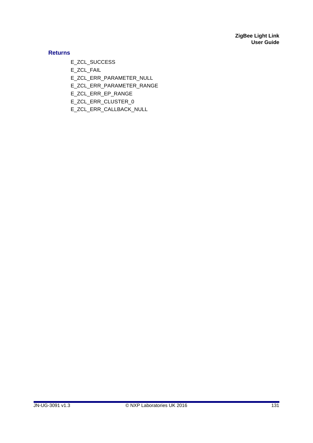- E\_ZCL\_SUCCESS
- E\_ZCL\_FAIL
- E\_ZCL\_ERR\_PARAMETER\_NULL
- E\_ZCL\_ERR\_PARAMETER\_RANGE
- E\_ZCL\_ERR\_EP\_RANGE
- E\_ZCL\_ERR\_CLUSTER\_0
- E\_ZCL\_ERR\_CALLBACK\_NULL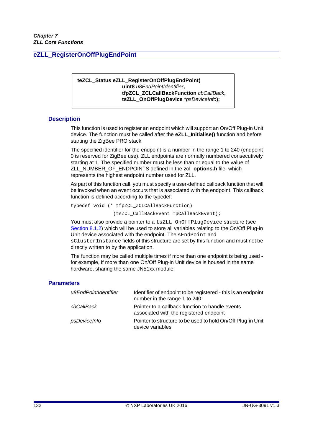#### <span id="page-131-0"></span>**eZLL\_RegisterOnOffPlugEndPoint**

**teZCL\_Status eZLL\_RegisterOnOffPlugEndPoint( uint8** *u8EndPointIdentifier***, tfpZCL\_ZCLCallBackFunction** *cbCallBack***, tsZLL\_OnOffPlugDevice \****psDeviceInfo***);**

#### **Description**

This function is used to register an endpoint which will support an On/Off Plug-in Unit device. The function must be called after the **eZLL\_Initialise()** function and before starting the ZigBee PRO stack.

The specified identifier for the endpoint is a number in the range 1 to 240 (endpoint 0 is reserved for ZigBee use). ZLL endpoints are normally numbered consecutively starting at 1. The specified number must be less than or equal to the value of ZLL\_NUMBER\_OF\_ENDPOINTS defined in the **zcl\_options.h** file, which represents the highest endpoint number used for ZLL.

As part of this function call, you must specify a user-defined callback function that will be invoked when an event occurs that is associated with the endpoint. This callback function is defined according to the typedef:

typedef void (\* tfpZCL\_ZCLCallBackFunction)

(tsZCL\_CallBackEvent \*pCallBackEvent);

You must also provide a pointer to a tsZLL\_OnOffPlugDevice structure (see [Section 8.1.2\)](#page-157-0) which will be used to store all variables relating to the On/Off Plug-in Unit device associated with the endpoint. The sEndPoint and sClusterInstance fields of this structure are set by this function and must not be directly written to by the application.

The function may be called multiple times if more than one endpoint is being used for example, if more than one On/Off Plug-in Unit device is housed in the same hardware, sharing the same JN51xx module.

| u8EndPointIdentifier | Identifier of endpoint to be registered - this is an endpoint<br>number in the range 1 to 240 |
|----------------------|-----------------------------------------------------------------------------------------------|
| cbCallBack           | Pointer to a callback function to handle events<br>associated with the registered endpoint    |
| psDeviceInfo         | Pointer to structure to be used to hold On/Off Plug-in Unit<br>device variables               |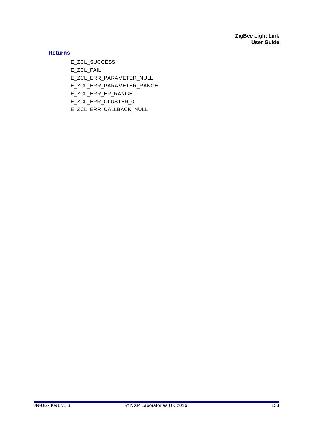- E\_ZCL\_SUCCESS
- E\_ZCL\_FAIL
- E\_ZCL\_ERR\_PARAMETER\_NULL
- E\_ZCL\_ERR\_PARAMETER\_RANGE
- E\_ZCL\_ERR\_EP\_RANGE
- E\_ZCL\_ERR\_CLUSTER\_0
- E\_ZCL\_ERR\_CALLBACK\_NULL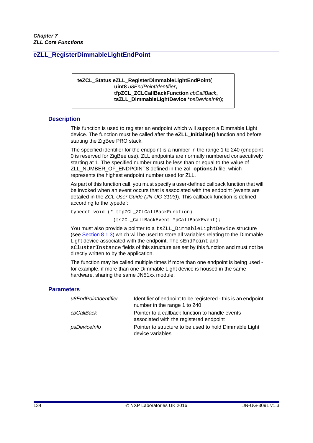#### <span id="page-133-0"></span>**eZLL\_RegisterDimmableLightEndPoint**

**teZCL\_Status eZLL\_RegisterDimmableLightEndPoint( uint8** *u8EndPointIdentifier***, tfpZCL\_ZCLCallBackFunction** *cbCallBack***, tsZLL\_DimmableLightDevice \****psDeviceInfo***);**

#### **Description**

This function is used to register an endpoint which will support a Dimmable Light device. The function must be called after the **eZLL\_Initialise()** function and before starting the ZigBee PRO stack.

The specified identifier for the endpoint is a number in the range 1 to 240 (endpoint 0 is reserved for ZigBee use). ZLL endpoints are normally numbered consecutively starting at 1. The specified number must be less than or equal to the value of ZLL\_NUMBER\_OF\_ENDPOINTS defined in the **zcl\_options.h** file, which represents the highest endpoint number used for ZLL.

As part of this function call, you must specify a user-defined callback function that will be invoked when an event occurs that is associated with the endpoint (events are detailed in the *ZCL User Guide (JN-UG-3103)*). This callback function is defined according to the typedef:

typedef void (\* tfpZCL\_ZCLCallBackFunction) (tsZCL\_CallBackEvent \*pCallBackEvent);

You must also provide a pointer to a tsZLL\_DimmableLightDevice structure (see [Section 8.1.3](#page-159-0)) which will be used to store all variables relating to the Dimmable Light device associated with the endpoint. The sEndPoint and sClusterInstance fields of this structure are set by this function and must not be directly written to by the application.

The function may be called multiple times if more than one endpoint is being used for example, if more than one Dimmable Light device is housed in the same hardware, sharing the same JN51xx module.

| u8EndPointIdentifier | Identifier of endpoint to be registered - this is an endpoint<br>number in the range 1 to 240 |
|----------------------|-----------------------------------------------------------------------------------------------|
| cbCallBack           | Pointer to a callback function to handle events<br>associated with the registered endpoint    |
| psDeviceInfo         | Pointer to structure to be used to hold Dimmable Light<br>device variables                    |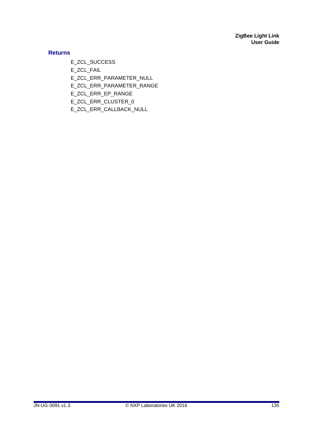- E\_ZCL\_SUCCESS
- E\_ZCL\_FAIL
- E\_ZCL\_ERR\_PARAMETER\_NULL
- E\_ZCL\_ERR\_PARAMETER\_RANGE
- E\_ZCL\_ERR\_EP\_RANGE
- E\_ZCL\_ERR\_CLUSTER\_0
- E\_ZCL\_ERR\_CALLBACK\_NULL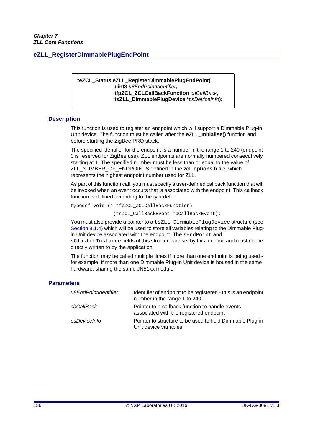#### <span id="page-135-0"></span>**eZLL\_RegisterDimmablePlugEndPoint**

**teZCL\_Status eZLL\_RegisterDimmablePlugEndPoint( uint8** *u8EndPointIdentifier***, tfpZCL\_ZCLCallBackFunction** *cbCallBack***, tsZLL\_DimmablePlugDevice \****psDeviceInfo***);**

#### **Description**

This function is used to register an endpoint which will support a Dimmable Plug-in Unit device. The function must be called after the **eZLL\_Initialise()** function and before starting the ZigBee PRO stack.

The specified identifier for the endpoint is a number in the range 1 to 240 (endpoint 0 is reserved for ZigBee use). ZLL endpoints are normally numbered consecutively starting at 1. The specified number must be less than or equal to the value of ZLL\_NUMBER\_OF\_ENDPOINTS defined in the **zcl\_options.h** file, which represents the highest endpoint number used for ZLL.

As part of this function call, you must specify a user-defined callback function that will be invoked when an event occurs that is associated with the endpoint. This callback function is defined according to the typedef:

typedef void (\* tfpZCL\_ZCLCallBackFunction)

(tsZCL\_CallBackEvent \*pCallBackEvent);

You must also provide a pointer to a tsZLL\_DimmablePlugDevice structure (see [Section 8.1.4](#page-160-0)) which will be used to store all variables relating to the Dimmable Plugin Unit device associated with the endpoint. The sEndPoint and sClusterInstance fields of this structure are set by this function and must not be directly written to by the application.

The function may be called multiple times if more than one endpoint is being used for example, if more than one Dimmable Plug-in Unit device is housed in the same hardware, sharing the same JN51xx module.

| u8EndPointIdentifier | Identifier of endpoint to be registered - this is an endpoint<br>number in the range 1 to 240 |
|----------------------|-----------------------------------------------------------------------------------------------|
| cbCallBack           | Pointer to a callback function to handle events<br>associated with the registered endpoint    |
| psDeviceInfo         | Pointer to structure to be used to hold Dimmable Plug-in<br>Unit device variables             |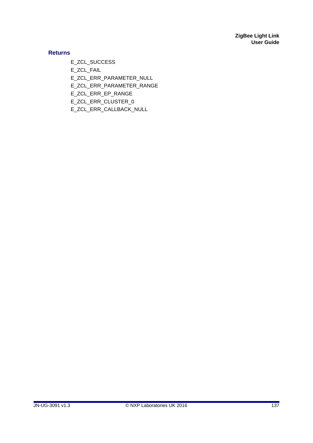- E\_ZCL\_SUCCESS
- E\_ZCL\_FAIL
- E\_ZCL\_ERR\_PARAMETER\_NULL
- E\_ZCL\_ERR\_PARAMETER\_RANGE
- E\_ZCL\_ERR\_EP\_RANGE
- E\_ZCL\_ERR\_CLUSTER\_0
- E\_ZCL\_ERR\_CALLBACK\_NULL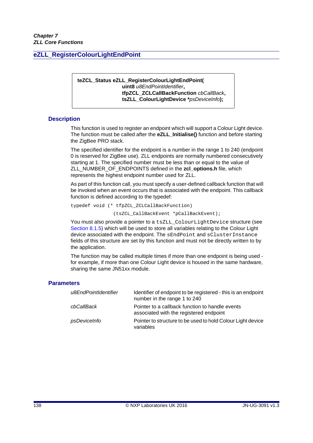#### <span id="page-137-0"></span>**eZLL\_RegisterColourLightEndPoint**

**teZCL\_Status eZLL\_RegisterColourLightEndPoint( uint8** *u8EndPointIdentifier***, tfpZCL\_ZCLCallBackFunction** *cbCallBack***, tsZLL\_ColourLightDevice \****psDeviceInfo***);**

#### **Description**

This function is used to register an endpoint which will support a Colour Light device. The function must be called after the **eZLL\_Initialise()** function and before starting the ZigBee PRO stack.

The specified identifier for the endpoint is a number in the range 1 to 240 (endpoint 0 is reserved for ZigBee use). ZLL endpoints are normally numbered consecutively starting at 1. The specified number must be less than or equal to the value of ZLL\_NUMBER\_OF\_ENDPOINTS defined in the **zcl\_options.h** file, which represents the highest endpoint number used for ZLL.

As part of this function call, you must specify a user-defined callback function that will be invoked when an event occurs that is associated with the endpoint. This callback function is defined according to the typedef:

typedef void (\* tfpZCL\_ZCLCallBackFunction) (tsZCL\_CallBackEvent \*pCallBackEvent);

You must also provide a pointer to a tsZLL\_ColourLightDevice structure (see [Section 8.1.5\)](#page-161-0) which will be used to store all variables relating to the Colour Light device associated with the endpoint. The sEndPoint and sClusterInstance fields of this structure are set by this function and must not be directly written to by the application.

The function may be called multiple times if more than one endpoint is being used for example, if more than one Colour Light device is housed in the same hardware, sharing the same JN51xx module.

| u8EndPointIdentifier | Identifier of endpoint to be registered - this is an endpoint<br>number in the range 1 to 240 |
|----------------------|-----------------------------------------------------------------------------------------------|
| cbCallBack           | Pointer to a callback function to handle events<br>associated with the registered endpoint    |
| psDeviceInfo         | Pointer to structure to be used to hold Colour Light device<br>variables                      |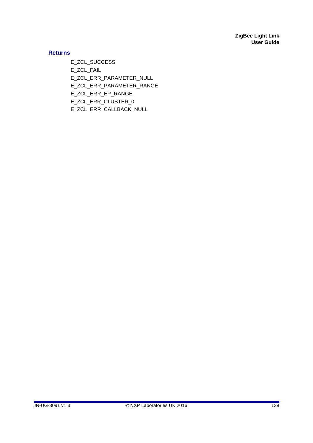- E\_ZCL\_SUCCESS
- E\_ZCL\_FAIL
- E\_ZCL\_ERR\_PARAMETER\_NULL
- E\_ZCL\_ERR\_PARAMETER\_RANGE
- E\_ZCL\_ERR\_EP\_RANGE
- E\_ZCL\_ERR\_CLUSTER\_0
- E\_ZCL\_ERR\_CALLBACK\_NULL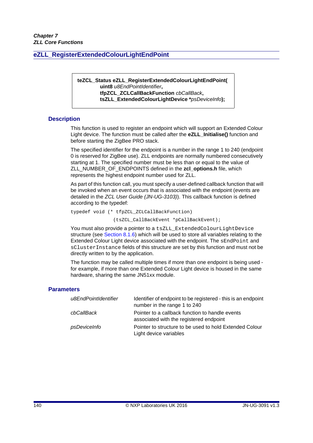## <span id="page-139-0"></span>**eZLL\_RegisterExtendedColourLightEndPoint**

**teZCL\_Status eZLL\_RegisterExtendedColourLightEndPoint( uint8** *u8EndPointIdentifier***, tfpZCL\_ZCLCallBackFunction** *cbCallBack***, tsZLL\_ExtendedColourLightDevice \****psDeviceInfo***);**

#### **Description**

This function is used to register an endpoint which will support an Extended Colour Light device. The function must be called after the **eZLL\_Initialise()** function and before starting the ZigBee PRO stack.

The specified identifier for the endpoint is a number in the range 1 to 240 (endpoint 0 is reserved for ZigBee use). ZLL endpoints are normally numbered consecutively starting at 1. The specified number must be less than or equal to the value of ZLL\_NUMBER\_OF\_ENDPOINTS defined in the **zcl\_options.h** file, which represents the highest endpoint number used for ZLL.

As part of this function call, you must specify a user-defined callback function that will be invoked when an event occurs that is associated with the endpoint (events are detailed in the *ZCL User Guide (JN-UG-3103)*). This callback function is defined according to the typedef:

```
typedef void (* tfpZCL_ZCLCallBackFunction)
                (tsZCL_CallBackEvent *pCallBackEvent);
```
You must also provide a pointer to a tsZLL\_ExtendedColourLightDevice structure (see [Section 8.1.6\)](#page-162-0) which will be used to store all variables relating to the Extended Colour Light device associated with the endpoint. The sEndPoint and sClusterInstance fields of this structure are set by this function and must not be directly written to by the application.

The function may be called multiple times if more than one endpoint is being used for example, if more than one Extended Colour Light device is housed in the same hardware, sharing the same JN51xx module.

| u8EndPointIdentifier | Identifier of endpoint to be registered - this is an endpoint<br>number in the range 1 to 240 |
|----------------------|-----------------------------------------------------------------------------------------------|
| cbCallBack           | Pointer to a callback function to handle events<br>associated with the registered endpoint    |
| psDeviceInfo         | Pointer to structure to be used to hold Extended Colour<br>Light device variables             |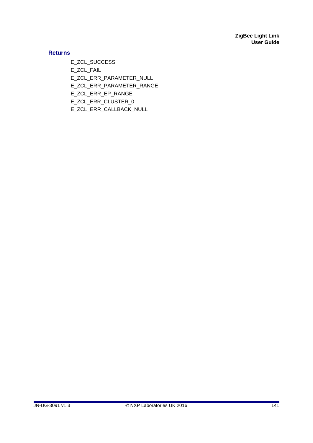- E\_ZCL\_SUCCESS
- E\_ZCL\_FAIL
- E\_ZCL\_ERR\_PARAMETER\_NULL
- E\_ZCL\_ERR\_PARAMETER\_RANGE
- E\_ZCL\_ERR\_EP\_RANGE
- E\_ZCL\_ERR\_CLUSTER\_0
- E\_ZCL\_ERR\_CALLBACK\_NULL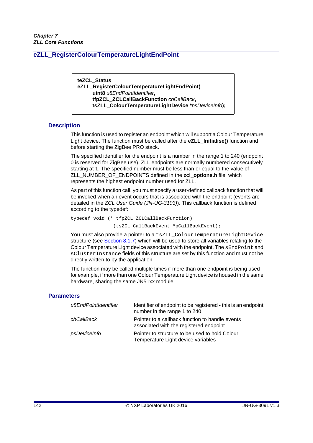## <span id="page-141-0"></span>**eZLL\_RegisterColourTemperatureLightEndPoint**

**teZCL\_Status** 

**eZLL\_RegisterColourTemperatureLightEndPoint( uint8** *u8EndPointIdentifier***, tfpZCL\_ZCLCallBackFunction** *cbCallBack***, tsZLL\_ColourTemperatureLightDevice \****psDeviceInfo***);**

#### **Description**

This function is used to register an endpoint which will support a Colour Temperature Light device. The function must be called after the **eZLL\_Initialise()** function and before starting the ZigBee PRO stack.

The specified identifier for the endpoint is a number in the range 1 to 240 (endpoint 0 is reserved for ZigBee use). ZLL endpoints are normally numbered consecutively starting at 1. The specified number must be less than or equal to the value of ZLL\_NUMBER\_OF\_ENDPOINTS defined in the **zcl\_options.h** file, which represents the highest endpoint number used for ZLL.

As part of this function call, you must specify a user-defined callback function that will be invoked when an event occurs that is associated with the endpoint (events are detailed in the *ZCL User Guide (JN-UG-3103)*). This callback function is defined according to the typedef:

typedef void (\* tfpZCL\_ZCLCallBackFunction)

(tsZCL\_CallBackEvent \*pCallBackEvent);

You must also provide a pointer to a tsZLL\_ColourTemperatureLightDevice structure (see [Section 8.1.7\)](#page-165-0) which will be used to store all variables relating to the Colour Temperature Light device associated with the endpoint. The sEndPoint and sClusterInstance fields of this structure are set by this function and must not be directly written to by the application.

The function may be called multiple times if more than one endpoint is being used for example, if more than one Colour Temperature Light device is housed in the same hardware, sharing the same JN51xx module.

| u8EndPointIdentifier | Identifier of endpoint to be registered - this is an endpoint<br>number in the range 1 to 240 |
|----------------------|-----------------------------------------------------------------------------------------------|
| cbCallBack           | Pointer to a callback function to handle events<br>associated with the registered endpoint    |
| psDeviceInfo         | Pointer to structure to be used to hold Colour<br>Temperature Light device variables          |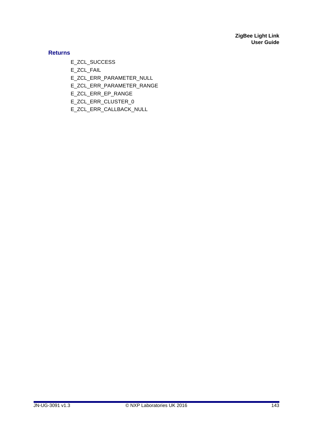- E\_ZCL\_SUCCESS
- E\_ZCL\_FAIL
- E\_ZCL\_ERR\_PARAMETER\_NULL
- E\_ZCL\_ERR\_PARAMETER\_RANGE
- E\_ZCL\_ERR\_EP\_RANGE
- E\_ZCL\_ERR\_CLUSTER\_0
- E\_ZCL\_ERR\_CALLBACK\_NULL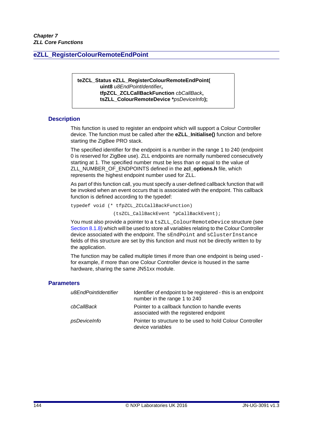#### <span id="page-143-0"></span>**eZLL\_RegisterColourRemoteEndPoint**

**teZCL\_Status eZLL\_RegisterColourRemoteEndPoint( uint8** *u8EndPointIdentifier***, tfpZCL\_ZCLCallBackFunction** *cbCallBack***, tsZLL\_ColourRemoteDevice \****psDeviceInfo***);**

#### **Description**

This function is used to register an endpoint which will support a Colour Controller device. The function must be called after the **eZLL\_Initialise()** function and before starting the ZigBee PRO stack.

The specified identifier for the endpoint is a number in the range 1 to 240 (endpoint 0 is reserved for ZigBee use). ZLL endpoints are normally numbered consecutively starting at 1. The specified number must be less than or equal to the value of ZLL\_NUMBER\_OF\_ENDPOINTS defined in the **zcl\_options.h** file, which represents the highest endpoint number used for ZLL.

As part of this function call, you must specify a user-defined callback function that will be invoked when an event occurs that is associated with the endpoint. This callback function is defined according to the typedef:

```
typedef void (* tfpZCL_ZCLCallBackFunction)
                (tsZCL_CallBackEvent *pCallBackEvent);
```
You must also provide a pointer to a tsZLL\_ColourRemoteDevice structure (see [Section 8.1.8](#page-166-0)) which will be used to store all variables relating to the Colour Controller device associated with the endpoint. The sEndPoint and sClusterInstance fields of this structure are set by this function and must not be directly written to by the application.

The function may be called multiple times if more than one endpoint is being used for example, if more than one Colour Controller device is housed in the same hardware, sharing the same JN51xx module.

| u8EndPointIdentifier | Identifier of endpoint to be registered - this is an endpoint<br>number in the range 1 to 240 |
|----------------------|-----------------------------------------------------------------------------------------------|
| cbCallBack           | Pointer to a callback function to handle events<br>associated with the registered endpoint    |
| psDeviceInfo         | Pointer to structure to be used to hold Colour Controller<br>device variables                 |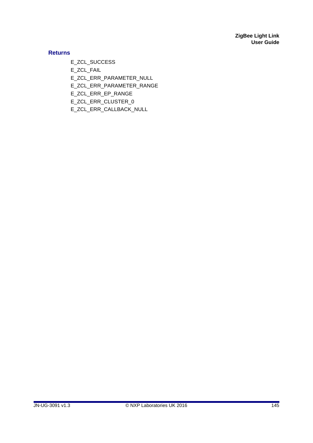## **Returns**

- E\_ZCL\_SUCCESS
- E\_ZCL\_FAIL
- E\_ZCL\_ERR\_PARAMETER\_NULL
- E\_ZCL\_ERR\_PARAMETER\_RANGE
- E\_ZCL\_ERR\_EP\_RANGE
- E\_ZCL\_ERR\_CLUSTER\_0
- E\_ZCL\_ERR\_CALLBACK\_NULL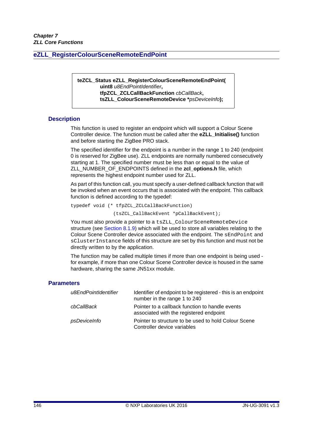## **eZLL\_RegisterColourSceneRemoteEndPoint**

**teZCL\_Status eZLL\_RegisterColourSceneRemoteEndPoint( uint8** *u8EndPointIdentifier***, tfpZCL\_ZCLCallBackFunction** *cbCallBack***, tsZLL\_ColourSceneRemoteDevice \****psDeviceInfo***);**

#### **Description**

This function is used to register an endpoint which will support a Colour Scene Controller device. The function must be called after the **eZLL\_Initialise()** function and before starting the ZigBee PRO stack.

The specified identifier for the endpoint is a number in the range 1 to 240 (endpoint 0 is reserved for ZigBee use). ZLL endpoints are normally numbered consecutively starting at 1. The specified number must be less than or equal to the value of ZLL\_NUMBER\_OF\_ENDPOINTS defined in the **zcl\_options.h** file, which represents the highest endpoint number used for ZLL.

As part of this function call, you must specify a user-defined callback function that will be invoked when an event occurs that is associated with the endpoint. This callback function is defined according to the typedef:

```
typedef void (* tfpZCL_ZCLCallBackFunction)
                (tsZCL_CallBackEvent *pCallBackEvent);
```
You must also provide a pointer to a tsZLL\_ColourSceneRemoteDevice structure (see [Section 8.1.9\)](#page-168-0) which will be used to store all variables relating to the Colour Scene Controller device associated with the endpoint. The sEndPoint and sClusterInstance fields of this structure are set by this function and must not be directly written to by the application.

The function may be called multiple times if more than one endpoint is being used for example, if more than one Colour Scene Controller device is housed in the same hardware, sharing the same JN51xx module.

#### **Parameters**

| u8EndPointIdentifier | Identifier of endpoint to be registered - this is an endpoint<br>number in the range 1 to 240 |
|----------------------|-----------------------------------------------------------------------------------------------|
| cbCallBack           | Pointer to a callback function to handle events<br>associated with the registered endpoint    |
| psDeviceInfo         | Pointer to structure to be used to hold Colour Scene<br>Controller device variables           |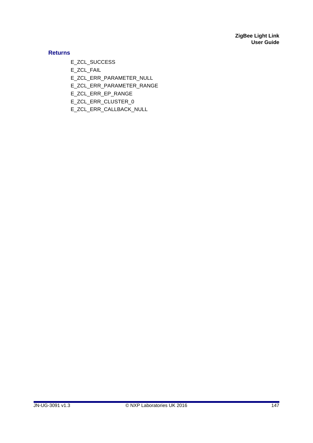## **Returns**

- E\_ZCL\_SUCCESS
- E\_ZCL\_FAIL
- E\_ZCL\_ERR\_PARAMETER\_NULL
- E\_ZCL\_ERR\_PARAMETER\_RANGE
- E\_ZCL\_ERR\_EP\_RANGE
- E\_ZCL\_ERR\_CLUSTER\_0
- E\_ZCL\_ERR\_CALLBACK\_NULL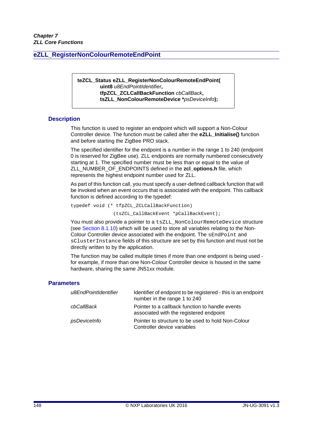## **eZLL\_RegisterNonColourRemoteEndPoint**

**teZCL\_Status eZLL\_RegisterNonColourRemoteEndPoint( uint8** *u8EndPointIdentifier***, tfpZCL\_ZCLCallBackFunction** *cbCallBack***, tsZLL\_NonColourRemoteDevice \****psDeviceInfo***);**

#### **Description**

This function is used to register an endpoint which will support a Non-Colour Controller device. The function must be called after the **eZLL\_Initialise()** function and before starting the ZigBee PRO stack.

The specified identifier for the endpoint is a number in the range 1 to 240 (endpoint 0 is reserved for ZigBee use). ZLL endpoints are normally numbered consecutively starting at 1. The specified number must be less than or equal to the value of ZLL\_NUMBER\_OF\_ENDPOINTS defined in the **zcl\_options.h** file, which represents the highest endpoint number used for ZLL.

As part of this function call, you must specify a user-defined callback function that will be invoked when an event occurs that is associated with the endpoint. This callback function is defined according to the typedef:

```
typedef void (* tfpZCL_ZCLCallBackFunction)
                (tsZCL_CallBackEvent *pCallBackEvent);
```
You must also provide a pointer to a tsZLL\_NonColourRemoteDevice structure (see [Section 8.1.10\)](#page-169-0) which will be used to store all variables relating to the Non-Colour Controller device associated with the endpoint. The sEndPoint and sClusterInstance fields of this structure are set by this function and must not be directly written to by the application.

The function may be called multiple times if more than one endpoint is being used for example, if more than one Non-Colour Controller device is housed in the same hardware, sharing the same JN51xx module.

#### **Parameters**

| u8EndPointIdentifier | Identifier of endpoint to be registered - this is an endpoint<br>number in the range 1 to 240 |
|----------------------|-----------------------------------------------------------------------------------------------|
| cbCallBack           | Pointer to a callback function to handle events<br>associated with the registered endpoint    |
| psDeviceInfo         | Pointer to structure to be used to hold Non-Colour<br>Controller device variables             |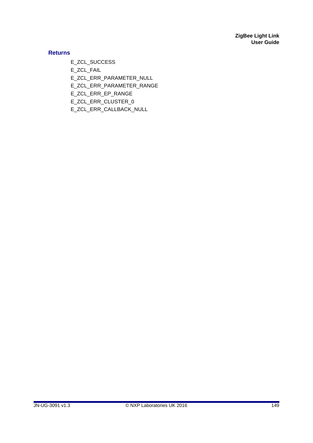## **Returns**

- E\_ZCL\_SUCCESS
- E\_ZCL\_FAIL
- E\_ZCL\_ERR\_PARAMETER\_NULL
- E\_ZCL\_ERR\_PARAMETER\_RANGE
- E\_ZCL\_ERR\_EP\_RANGE
- E\_ZCL\_ERR\_CLUSTER\_0
- E\_ZCL\_ERR\_CALLBACK\_NULL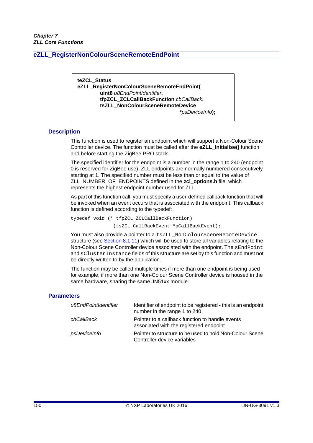## **eZLL\_RegisterNonColourSceneRemoteEndPoint**

**teZCL\_Status eZLL\_RegisterNonColourSceneRemoteEndPoint( uint8** *u8EndPointIdentifier***, tfpZCL\_ZCLCallBackFunction** *cbCallBack***, tsZLL\_NonColourSceneRemoteDevice \****psDeviceInfo***);**

#### **Description**

This function is used to register an endpoint which will support a Non-Colour Scene Controller device. The function must be called after the **eZLL\_Initialise()** function and before starting the ZigBee PRO stack.

The specified identifier for the endpoint is a number in the range 1 to 240 (endpoint 0 is reserved for ZigBee use). ZLL endpoints are normally numbered consecutively starting at 1. The specified number must be less than or equal to the value of ZLL\_NUMBER\_OF\_ENDPOINTS defined in the **zcl\_options.h** file, which represents the highest endpoint number used for ZLL.

As part of this function call, you must specify a user-defined callback function that will be invoked when an event occurs that is associated with the endpoint. This callback function is defined according to the typedef:

typedef void (\* tfpZCL\_ZCLCallBackFunction)

(tsZCL\_CallBackEvent \*pCallBackEvent);

You must also provide a pointer to a tsZLL\_NonColourSceneRemoteDevice structure (see [Section 8.1.11\)](#page-171-0) which will be used to store all variables relating to the Non-Colour Scene Controller device associated with the endpoint. The sEndPoint and sClusterInstance fields of this structure are set by this function and must not be directly written to by the application.

The function may be called multiple times if more than one endpoint is being used for example, if more than one Non-Colour Scene Controller device is housed in the same hardware, sharing the same JN51xx module.

#### **Parameters**

| u8EndPointIdentifier | Identifier of endpoint to be registered - this is an endpoint<br>number in the range 1 to 240 |
|----------------------|-----------------------------------------------------------------------------------------------|
| cbCallBack           | Pointer to a callback function to handle events<br>associated with the registered endpoint    |
| psDeviceInfo         | Pointer to structure to be used to hold Non-Colour Scene<br>Controller device variables       |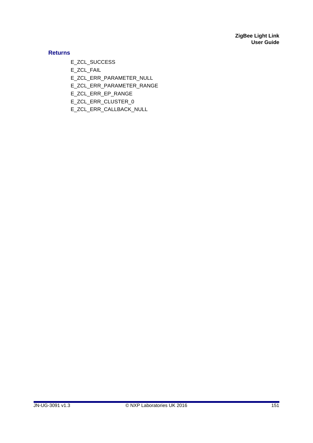## **Returns**

- E\_ZCL\_SUCCESS
- E\_ZCL\_FAIL
- E\_ZCL\_ERR\_PARAMETER\_NULL
- E\_ZCL\_ERR\_PARAMETER\_RANGE
- E\_ZCL\_ERR\_EP\_RANGE
- E\_ZCL\_ERR\_CLUSTER\_0
- E\_ZCL\_ERR\_CALLBACK\_NULL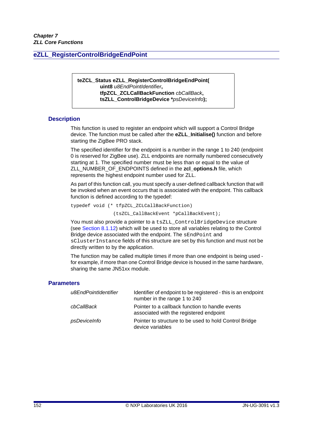## **eZLL\_RegisterControlBridgeEndPoint**

**teZCL\_Status eZLL\_RegisterControlBridgeEndPoint( uint8** *u8EndPointIdentifier***, tfpZCL\_ZCLCallBackFunction** *cbCallBack***, tsZLL\_ControlBridgeDevice \****psDeviceInfo***);**

#### **Description**

This function is used to register an endpoint which will support a Control Bridge device. The function must be called after the **eZLL\_Initialise()** function and before starting the ZigBee PRO stack.

The specified identifier for the endpoint is a number in the range 1 to 240 (endpoint 0 is reserved for ZigBee use). ZLL endpoints are normally numbered consecutively starting at 1. The specified number must be less than or equal to the value of ZLL\_NUMBER\_OF\_ENDPOINTS defined in the **zcl\_options.h** file, which represents the highest endpoint number used for ZLL.

As part of this function call, you must specify a user-defined callback function that will be invoked when an event occurs that is associated with the endpoint. This callback function is defined according to the typedef:

```
typedef void (* tfpZCL_ZCLCallBackFunction)
                (tsZCL_CallBackEvent *pCallBackEvent);
```
You must also provide a pointer to a tsZLL\_ControlBridgeDevice structure (see [Section 8.1.12\)](#page-172-0) which will be used to store all variables relating to the Control Bridge device associated with the endpoint. The sEndPoint and sClusterInstance fields of this structure are set by this function and must not be directly written to by the application.

The function may be called multiple times if more than one endpoint is being used for example, if more than one Control Bridge device is housed in the same hardware, sharing the same JN51xx module.

#### **Parameters**

| u8EndPointIdentifier | Identifier of endpoint to be registered - this is an endpoint<br>number in the range 1 to 240 |
|----------------------|-----------------------------------------------------------------------------------------------|
| cbCallBack           | Pointer to a callback function to handle events<br>associated with the registered endpoint    |
| psDeviceInfo         | Pointer to structure to be used to hold Control Bridge<br>device variables                    |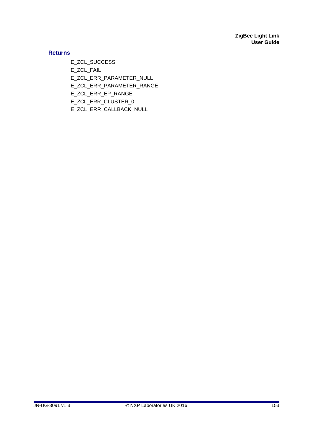## **Returns**

- E\_ZCL\_SUCCESS
- E\_ZCL\_FAIL
- E\_ZCL\_ERR\_PARAMETER\_NULL
- E\_ZCL\_ERR\_PARAMETER\_RANGE
- E\_ZCL\_ERR\_EP\_RANGE
- E\_ZCL\_ERR\_CLUSTER\_0
- E\_ZCL\_ERR\_CALLBACK\_NULL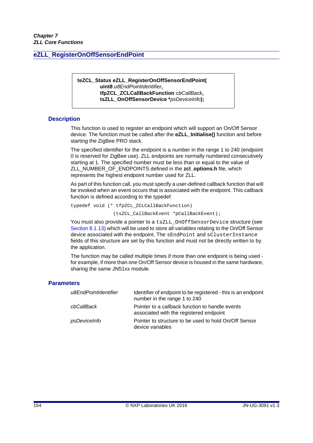## **eZLL\_RegisterOnOffSensorEndPoint**

**teZCL\_Status eZLL\_RegisterOnOffSensorEndPoint( uint8** *u8EndPointIdentifier***, tfpZCL\_ZCLCallBackFunction** *cbCallBack***, tsZLL\_OnOffSensorDevice \****psDeviceInfo***);**

#### **Description**

This function is used to register an endpoint which will support an On/Off Sensor device. The function must be called after the **eZLL\_Initialise()** function and before starting the ZigBee PRO stack.

The specified identifier for the endpoint is a number in the range 1 to 240 (endpoint 0 is reserved for ZigBee use). ZLL endpoints are normally numbered consecutively starting at 1. The specified number must be less than or equal to the value of ZLL\_NUMBER\_OF\_ENDPOINTS defined in the **zcl\_options.h** file, which represents the highest endpoint number used for ZLL.

As part of this function call, you must specify a user-defined callback function that will be invoked when an event occurs that is associated with the endpoint. This callback function is defined according to the typedef:

typedef void (\* tfpZCL\_ZCLCallBackFunction) (tsZCL\_CallBackEvent \*pCallBackEvent);

You must also provide a pointer to a tsZLL\_OnOffSensorDevice structure (see [Section 8.1.13\)](#page-174-0) which will be used to store all variables relating to the On/Off Sensor device associated with the endpoint. The sEndPoint and sClusterInstance fields of this structure are set by this function and must not be directly written to by the application.

The function may be called multiple times if more than one endpoint is being used for example, if more than one On/Off Sensor device is housed in the same hardware, sharing the same JN51xx module.

#### **Parameters**

| u8EndPointIdentifier | Identifier of endpoint to be registered - this is an endpoint<br>number in the range 1 to 240 |
|----------------------|-----------------------------------------------------------------------------------------------|
| cbCallBack           | Pointer to a callback function to handle events<br>associated with the registered endpoint    |
| psDeviceInfo         | Pointer to structure to be used to hold On/Off Sensor<br>device variables                     |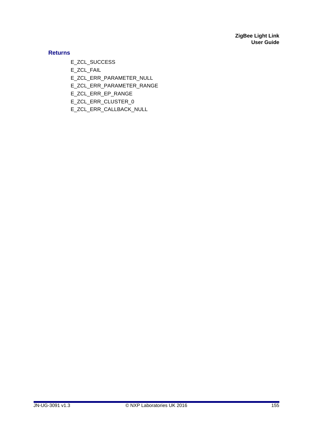## **Returns**

- E\_ZCL\_SUCCESS
- E\_ZCL\_FAIL
- E\_ZCL\_ERR\_PARAMETER\_NULL
- E\_ZCL\_ERR\_PARAMETER\_RANGE
- E\_ZCL\_ERR\_EP\_RANGE
- E\_ZCL\_ERR\_CLUSTER\_0
- E\_ZCL\_ERR\_CALLBACK\_NULL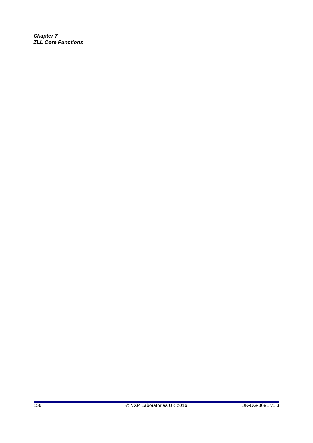*Chapter 7 ZLL Core Functions*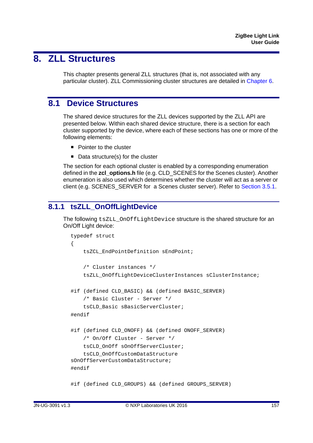# **8. ZLL Structures**

This chapter presents general ZLL structures (that is, not associated with any particular cluster). ZLL Commissioning cluster structures are detailed in [Chapter 6.](#page-66-0)

# **8.1 Device Structures**

The shared device structures for the ZLL devices supported by the ZLL API are presented below. Within each shared device structure, there is a section for each cluster supported by the device, where each of these sections has one or more of the following elements:

- Pointer to the cluster
- Data structure(s) for the cluster

The section for each optional cluster is enabled by a corresponding enumeration defined in the **zcl\_options.h** file (e.g. CLD\_SCENES for the Scenes cluster). Another enumeration is also used which determines whether the cluster will act as a server or client (e.g. SCENES SERVER for a Scenes cluster server). Refer to [Section 3.5.1](#page-35-0).

## **8.1.1 tsZLL\_OnOffLightDevice**

The following tsZLL\_OnOffLightDevice structure is the shared structure for an On/Off Light device:

```
typedef struct
{
     tsZCL_EndPointDefinition sEndPoint;
     /* Cluster instances */
     tsZLL_OnOffLightDeviceClusterInstances sClusterInstance;
#if (defined CLD_BASIC) && (defined BASIC_SERVER)
     /* Basic Cluster - Server */
     tsCLD_Basic sBasicServerCluster;
#endif
#if (defined CLD_ONOFF) && (defined ONOFF_SERVER)
     /* On/Off Cluster - Server */
    tsCLD OnOff sOnOffServerCluster;
     tsCLD_OnOffCustomDataStructure 
sOnOffServerCustomDataStructure;
#endif
```
#if (defined CLD GROUPS) && (defined GROUPS SERVER)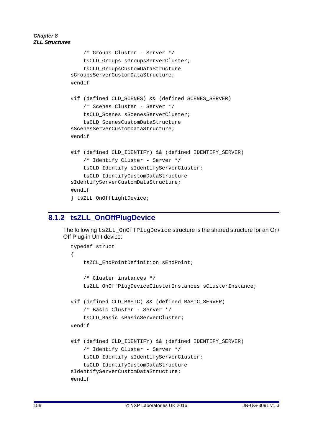```
 /* Groups Cluster - Server */
     tsCLD_Groups sGroupsServerCluster;
     tsCLD_GroupsCustomDataStructure 
sGroupsServerCustomDataStructure;
#endif
#if (defined CLD_SCENES) && (defined SCENES_SERVER)
     /* Scenes Cluster - Server */
    tsCLD Scenes sScenesServerCluster;
     tsCLD_ScenesCustomDataStructure 
sScenesServerCustomDataStructure;
#endif
#if (defined CLD_IDENTIFY) && (defined IDENTIFY_SERVER)
     /* Identify Cluster - Server */
     tsCLD_Identify sIdentifyServerCluster;
     tsCLD_IdentifyCustomDataStructure 
sIdentifyServerCustomDataStructure;
#endif
} tsZLL_OnOffLightDevice;
```
# **8.1.2 tsZLL\_OnOffPlugDevice**

The following tsZLL\_OnOffPlugDevice structure is the shared structure for an On/ Off Plug-in Unit device:

```
typedef struct
{
    tsZCL EndPointDefinition sEndPoint;
     /* Cluster instances */
     tsZLL_OnOffPlugDeviceClusterInstances sClusterInstance;
#if (defined CLD_BASIC) && (defined BASIC_SERVER)
     /* Basic Cluster - Server */
    tsCLD Basic sBasicServerCluster;
#endif
#if (defined CLD_IDENTIFY) && (defined IDENTIFY_SERVER)
     /* Identify Cluster - Server */
     tsCLD_Identify sIdentifyServerCluster;
     tsCLD_IdentifyCustomDataStructure 
sIdentifyServerCustomDataStructure;
#endif
```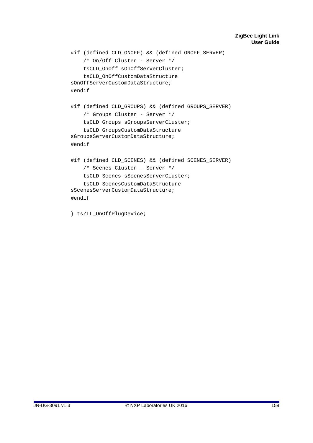```
#if (defined CLD_ONOFF) && (defined ONOFF_SERVER)
     /* On/Off Cluster - Server */
    tsCLD OnOff sOnOffServerCluster;
     tsCLD_OnOffCustomDataStructure 
sOnOffServerCustomDataStructure;
#endif
```
#if (defined CLD\_GROUPS) && (defined GROUPS\_SERVER) /\* Groups Cluster - Server \*/ tsCLD\_Groups sGroupsServerCluster; tsCLD\_GroupsCustomDataStructure sGroupsServerCustomDataStructure; #endif

```
#if (defined CLD_SCENES) && (defined SCENES_SERVER)
     /* Scenes Cluster - Server */
    tsCLD Scenes sScenesServerCluster;
     tsCLD_ScenesCustomDataStructure 
sScenesServerCustomDataStructure;
#endif
```
} tsZLL\_OnOffPlugDevice;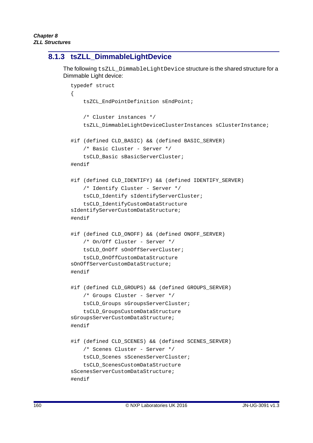# **8.1.3 tsZLL\_DimmableLightDevice**

The following tsZLL\_DimmableLightDevice structure is the shared structure for a Dimmable Light device:

```
typedef struct
{
    tsZCL EndPointDefinition sEndPoint;
     /* Cluster instances */
     tsZLL_DimmableLightDeviceClusterInstances sClusterInstance;
#if (defined CLD_BASIC) && (defined BASIC_SERVER)
     /* Basic Cluster - Server */
    tsCLD Basic sBasicServerCluster;
#endif
#if (defined CLD_IDENTIFY) && (defined IDENTIFY_SERVER)
     /* Identify Cluster - Server */
    tsCLD Identify sIdentifyServerCluster;
     tsCLD_IdentifyCustomDataStructure 
sIdentifyServerCustomDataStructure;
#endif
#if (defined CLD ONOFF) && (defined ONOFF SERVER)
     /* On/Off Cluster - Server */
    tsCLD OnOff sOnOffServerCluster;
     tsCLD_OnOffCustomDataStructure 
sOnOffServerCustomDataStructure;
#endif
#if (defined CLD_GROUPS) && (defined GROUPS_SERVER)
     /* Groups Cluster - Server */
    tsCLD Groups sGroupsServerCluster;
     tsCLD_GroupsCustomDataStructure 
sGroupsServerCustomDataStructure;
#endif
#if (defined CLD SCENES) && (defined SCENES SERVER)
     /* Scenes Cluster - Server */
     tsCLD_Scenes sScenesServerCluster;
     tsCLD_ScenesCustomDataStructure 
sScenesServerCustomDataStructure;
#endif
```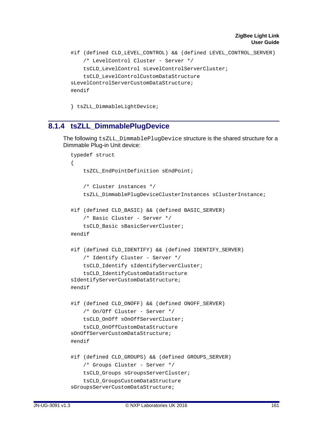```
#if (defined CLD_LEVEL_CONTROL) && (defined LEVEL_CONTROL_SERVER)
     /* LevelControl Cluster - Server */
     tsCLD_LevelControl sLevelControlServerCluster;
     tsCLD_LevelControlCustomDataStructure 
sLevelControlServerCustomDataStructure;
#endif
```
} tsZLL\_DimmableLightDevice;

## **8.1.4 tsZLL\_DimmablePlugDevice**

The following tsZLL\_DimmablePlugDevice structure is the shared structure for a Dimmable Plug-in Unit device:

```
typedef struct
{
    tsZCL EndPointDefinition sEndPoint;
     /* Cluster instances */
     tsZLL_DimmablePlugDeviceClusterInstances sClusterInstance;
#if (defined CLD_BASIC) && (defined BASIC_SERVER)
     /* Basic Cluster - Server */
    tsCLD Basic sBasicServerCluster;
#endif
#if (defined CLD_IDENTIFY) && (defined IDENTIFY_SERVER)
     /* Identify Cluster - Server */
    tsCLD Identify sIdentifyServerCluster;
     tsCLD_IdentifyCustomDataStructure 
sIdentifyServerCustomDataStructure;
#endif
#if (defined CLD ONOFF) && (defined ONOFF SERVER)
     /* On/Off Cluster - Server */
    tsCLD OnOff sOnOffServerCluster;
     tsCLD_OnOffCustomDataStructure 
sOnOffServerCustomDataStructure;
#endif
#if (defined CLD_GROUPS) && (defined GROUPS_SERVER)
     /* Groups Cluster - Server */
    tsCLD Groups sGroupsServerCluster;
     tsCLD_GroupsCustomDataStructure 
sGroupsServerCustomDataStructure;
```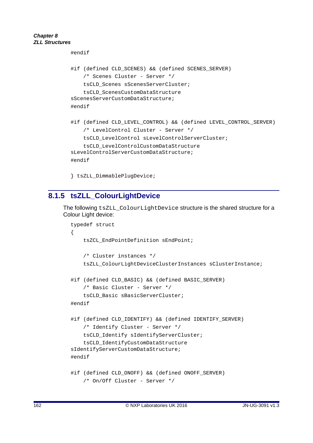```
#endif
#if (defined CLD SCENES) && (defined SCENES SERVER)
     /* Scenes Cluster - Server */
    tsCLD Scenes sScenesServerCluster;
     tsCLD_ScenesCustomDataStructure 
sScenesServerCustomDataStructure;
#endif
#if (defined CLD_LEVEL_CONTROL) && (defined LEVEL_CONTROL_SERVER)
     /* LevelControl Cluster - Server */
     tsCLD_LevelControl sLevelControlServerCluster;
     tsCLD_LevelControlCustomDataStructure 
sLevelControlServerCustomDataStructure;
#endif
```
} tsZLL\_DimmablePlugDevice;

# **8.1.5 tsZLL\_ColourLightDevice**

The following tsZLL\_ColourLightDevice structure is the shared structure for a Colour Light device:

```
typedef struct
{
    tsZCL EndPointDefinition sEndPoint;
     /* Cluster instances */
     tsZLL_ColourLightDeviceClusterInstances sClusterInstance;
#if (defined CLD_BASIC) && (defined BASIC_SERVER)
     /* Basic Cluster - Server */
    tsCLD Basic sBasicServerCluster;
#endif
#if (defined CLD_IDENTIFY) && (defined IDENTIFY_SERVER)
     /* Identify Cluster - Server */
    tsCLD Identify sIdentifyServerCluster;
     tsCLD_IdentifyCustomDataStructure 
sIdentifyServerCustomDataStructure;
#endif
#if (defined CLD ONOFF) && (defined ONOFF SERVER)
     /* On/Off Cluster - Server */
```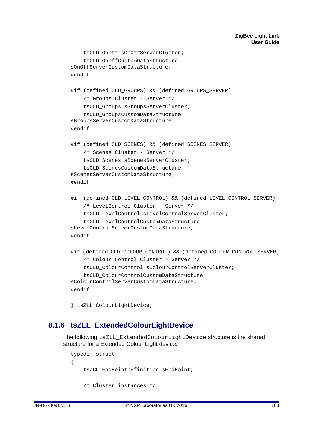```
 tsCLD_OnOff sOnOffServerCluster;
     tsCLD_OnOffCustomDataStructure 
sOnOffServerCustomDataStructure;
#endif
#if (defined CLD GROUPS) && (defined GROUPS SERVER)
     /* Groups Cluster - Server */
     tsCLD_Groups sGroupsServerCluster;
     tsCLD_GroupsCustomDataStructure 
sGroupsServerCustomDataStructure;
#endif
#if (defined CLD_SCENES) && (defined SCENES_SERVER)
     /* Scenes Cluster - Server */
    tsCLD Scenes sScenesServerCluster;
     tsCLD_ScenesCustomDataStructure 
sScenesServerCustomDataStructure;
#endif
#if (defined CLD_LEVEL_CONTROL) && (defined LEVEL_CONTROL_SERVER)
     /* LevelControl Cluster - Server */
     tsCLD_LevelControl sLevelControlServerCluster;
     tsCLD_LevelControlCustomDataStructure 
sLevelControlServerCustomDataStructure;
#endif
#if (defined CLD_COLOUR_CONTROL) && (defined COLOUR_CONTROL_SERVER)
     /* Colour Control Cluster - Server */
     tsCLD_ColourControl sColourControlServerCluster;
     tsCLD_ColourControlCustomDataStructure 
sColourControlServerCustomDataStructure;
#endif
```
} tsZLL\_ColourLightDevice;

# **8.1.6 tsZLL\_ExtendedColourLightDevice**

The following tsZLL\_ExtendedColourLightDevice structure is the shared structure for a Extended Colour Light device:

```
typedef struct
{
    tsZCL EndPointDefinition sEndPoint;
     /* Cluster instances */
```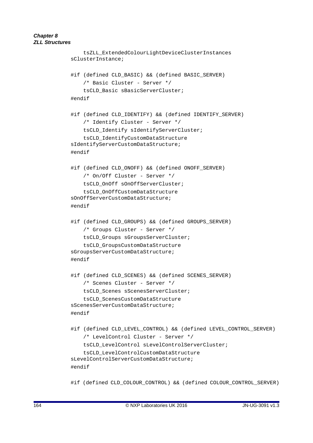```
 tsZLL_ExtendedColourLightDeviceClusterInstances 
sClusterInstance;
#if (defined CLD_BASIC) && (defined BASIC_SERVER)
     /* Basic Cluster - Server */
    tsCLD Basic sBasicServerCluster;
#endif
#if (defined CLD_IDENTIFY) && (defined IDENTIFY_SERVER)
     /* Identify Cluster - Server */
     tsCLD_Identify sIdentifyServerCluster;
     tsCLD_IdentifyCustomDataStructure 
sIdentifyServerCustomDataStructure;
#endif
#if (defined CLD_ONOFF) && (defined ONOFF_SERVER)
     /* On/Off Cluster - Server */
    tsCLD OnOff sOnOffServerCluster;
     tsCLD_OnOffCustomDataStructure 
sOnOffServerCustomDataStructure;
#endif
#if (defined CLD_GROUPS) && (defined GROUPS_SERVER)
     /* Groups Cluster - Server */
     tsCLD_Groups sGroupsServerCluster;
     tsCLD_GroupsCustomDataStructure 
sGroupsServerCustomDataStructure;
#endif
#if (defined CLD_SCENES) && (defined SCENES_SERVER)
     /* Scenes Cluster - Server */
     tsCLD_Scenes sScenesServerCluster;
     tsCLD_ScenesCustomDataStructure 
sScenesServerCustomDataStructure;
#endif
#if (defined CLD_LEVEL_CONTROL) && (defined LEVEL_CONTROL_SERVER)
     /* LevelControl Cluster - Server */
     tsCLD_LevelControl sLevelControlServerCluster;
     tsCLD_LevelControlCustomDataStructure 
sLevelControlServerCustomDataStructure;
#endif
```
#if (defined CLD\_COLOUR\_CONTROL) && (defined COLOUR\_CONTROL\_SERVER)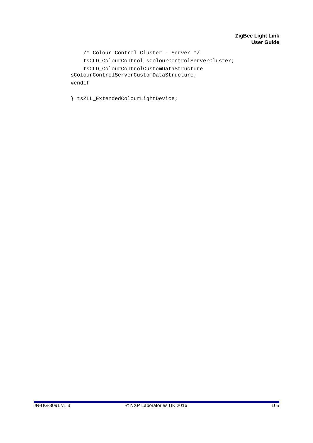```
 /* Colour Control Cluster - Server */
     tsCLD_ColourControl sColourControlServerCluster;
     tsCLD_ColourControlCustomDataStructure 
sColourControlServerCustomDataStructure;
#endif
```
} tsZLL\_ExtendedColourLightDevice;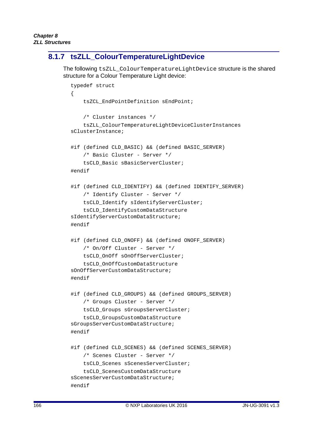# **8.1.7 tsZLL\_ColourTemperatureLightDevice**

The following tsZLL\_ColourTemperatureLightDevice structure is the shared structure for a Colour Temperature Light device:

```
typedef struct
{
    tsZCL EndPointDefinition sEndPoint;
     /* Cluster instances */
     tsZLL_ColourTemperatureLightDeviceClusterInstances 
sClusterInstance;
#if (defined CLD_BASIC) && (defined BASIC_SERVER)
     /* Basic Cluster - Server */
    tsCLD Basic sBasicServerCluster;
#endif
#if (defined CLD_IDENTIFY) && (defined IDENTIFY_SERVER)
     /* Identify Cluster - Server */
    tsCLD Identify sIdentifyServerCluster;
     tsCLD_IdentifyCustomDataStructure 
sIdentifyServerCustomDataStructure;
#endif
#if (defined CLD ONOFF) && (defined ONOFF SERVER)
     /* On/Off Cluster - Server */
    tsCLD OnOff sOnOffServerCluster;
     tsCLD_OnOffCustomDataStructure 
sOnOffServerCustomDataStructure;
#endif
#if (defined CLD_GROUPS) && (defined GROUPS_SERVER)
     /* Groups Cluster - Server */
    tsCLD Groups sGroupsServerCluster;
     tsCLD_GroupsCustomDataStructure 
sGroupsServerCustomDataStructure;
#endif
#if (defined CLD_SCENES) && (defined SCENES_SERVER)
     /* Scenes Cluster - Server */
    tsCLD Scenes sScenesServerCluster;
     tsCLD_ScenesCustomDataStructure 
sScenesServerCustomDataStructure;
#endif
```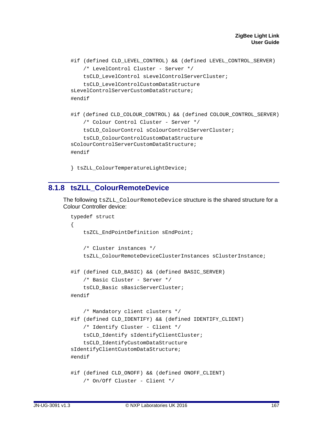```
#if (defined CLD_LEVEL_CONTROL) && (defined LEVEL_CONTROL_SERVER)
     /* LevelControl Cluster - Server */
    tsCLD LevelControl sLevelControlServerCluster;
     tsCLD_LevelControlCustomDataStructure 
sLevelControlServerCustomDataStructure;
#endif
#if (defined CLD_COLOUR_CONTROL) && (defined COLOUR_CONTROL_SERVER)
```

```
 /* Colour Control Cluster - Server */
    tsCLD ColourControl sColourControlServerCluster;
     tsCLD_ColourControlCustomDataStructure 
sColourControlServerCustomDataStructure;
#endif
```
} tsZLL\_ColourTemperatureLightDevice;

# **8.1.8 tsZLL\_ColourRemoteDevice**

The following tsZLL\_ColourRemoteDevice structure is the shared structure for a Colour Controller device:

```
typedef struct
{
    tsZCL EndPointDefinition sEndPoint;
     /* Cluster instances */
     tsZLL_ColourRemoteDeviceClusterInstances sClusterInstance;
#if (defined CLD_BASIC) && (defined BASIC_SERVER)
     /* Basic Cluster - Server */
    tsCLD Basic sBasicServerCluster;
#endif
     /* Mandatory client clusters */
#if (defined CLD_IDENTIFY) && (defined IDENTIFY_CLIENT)
     /* Identify Cluster - Client */
    tsCLD Identify sIdentifyClientCluster;
     tsCLD_IdentifyCustomDataStructure 
sIdentifyClientCustomDataStructure;
#endif
#if (defined CLD_ONOFF) && (defined ONOFF_CLIENT)
     /* On/Off Cluster - Client */
```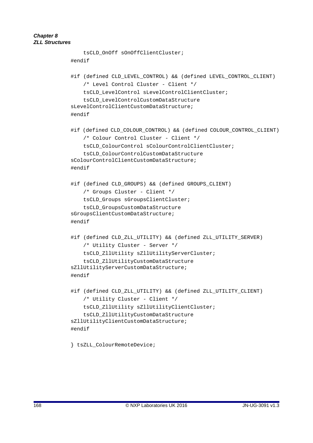```
tsCLD OnOff sOnOffClientCluster;
#endif
#if (defined CLD_LEVEL_CONTROL) && (defined LEVEL_CONTROL_CLIENT)
     /* Level Control Cluster - Client */
     tsCLD_LevelControl sLevelControlClientCluster;
     tsCLD_LevelControlCustomDataStructure 
sLevelControlClientCustomDataStructure;
#endif
#if (defined CLD_COLOUR_CONTROL) && (defined COLOUR_CONTROL_CLIENT)
     /* Colour Control Cluster - Client */
     tsCLD_ColourControl sColourControlClientCluster;
     tsCLD_ColourControlCustomDataStructure 
sColourControlClientCustomDataStructure;
#endif
#if (defined CLD_GROUPS) && (defined GROUPS_CLIENT)
     /* Groups Cluster - Client */
     tsCLD_Groups sGroupsClientCluster;
     tsCLD_GroupsCustomDataStructure 
sGroupsClientCustomDataStructure;
#endif
#if (defined CLD_ZLL_UTILITY) && (defined ZLL_UTILITY_SERVER)
     /* Utility Cluster - Server */
     tsCLD_ZllUtility sZllUtilityServerCluster;
     tsCLD_ZllUtilityCustomDataStructure 
sZllUtilityServerCustomDataStructure;
#endif
#if (defined CLD_ZLL_UTILITY) && (defined ZLL_UTILITY_CLIENT)
     /* Utility Cluster - Client */
     tsCLD_ZllUtility sZllUtilityClientCluster;
     tsCLD_ZllUtilityCustomDataStructure 
sZllUtilityClientCustomDataStructure;
#endif
```

```
} tsZLL_ColourRemoteDevice;
```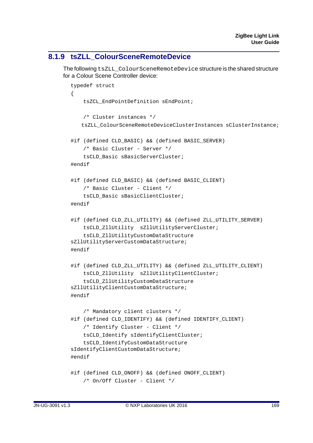## **8.1.9 tsZLL\_ColourSceneRemoteDevice**

<span id="page-168-0"></span>The following tsZLL\_ColourSceneRemoteDevice structure is the shared structure for a Colour Scene Controller device:

```
typedef struct
{
    tsZCL EndPointDefinition sEndPoint;
     /* Cluster instances */
    tsZLL_ColourSceneRemoteDeviceClusterInstances sClusterInstance;
#if (defined CLD_BASIC) && (defined BASIC_SERVER)
     /* Basic Cluster - Server */
    tsCLD Basic sBasicServerCluster;
#endif
#if (defined CLD_BASIC) && (defined BASIC_CLIENT)
     /* Basic Cluster - Client */
    tsCLD Basic sBasicClientCluster;
#endif
#if (defined CLD ZLL UTILITY) && (defined ZLL UTILITY SERVER)
     tsCLD_ZllUtility sZllUtilityServerCluster;
     tsCLD_ZllUtilityCustomDataStructure 
sZllUtilityServerCustomDataStructure;
#endif
#if (defined CLD_ZLL_UTILITY) && (defined ZLL_UTILITY_CLIENT)
     tsCLD_ZllUtility sZllUtilityClientCluster;
     tsCLD_ZllUtilityCustomDataStructure 
sZllUtilityClientCustomDataStructure;
#endif
     /* Mandatory client clusters */
#if (defined CLD_IDENTIFY) && (defined IDENTIFY_CLIENT)
     /* Identify Cluster - Client */
    tsCLD Identify sIdentifyClientCluster;
     tsCLD_IdentifyCustomDataStructure 
sIdentifyClientCustomDataStructure;
#endif
#if (defined CLD_ONOFF) && (defined ONOFF_CLIENT)
     /* On/Off Cluster - Client */
```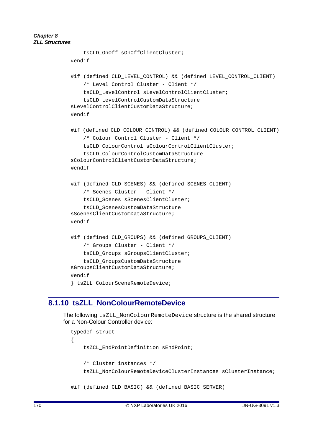```
tsCLD OnOff sOnOffClientCluster;
#endif
#if (defined CLD_LEVEL_CONTROL) && (defined LEVEL_CONTROL_CLIENT)
     /* Level Control Cluster - Client */
     tsCLD_LevelControl sLevelControlClientCluster;
     tsCLD_LevelControlCustomDataStructure 
sLevelControlClientCustomDataStructure;
#endif
#if (defined CLD_COLOUR_CONTROL) && (defined COLOUR_CONTROL_CLIENT)
     /* Colour Control Cluster - Client */
     tsCLD_ColourControl sColourControlClientCluster;
     tsCLD_ColourControlCustomDataStructure 
sColourControlClientCustomDataStructure;
#endif
#if (defined CLD_SCENES) && (defined SCENES_CLIENT)
     /* Scenes Cluster - Client */
    tsCLD Scenes sScenesClientCluster;
     tsCLD_ScenesCustomDataStructure 
sScenesClientCustomDataStructure;
#endif
#if (defined CLD_GROUPS) && (defined GROUPS_CLIENT)
     /* Groups Cluster - Client */
     tsCLD_Groups sGroupsClientCluster;
     tsCLD_GroupsCustomDataStructure 
sGroupsClientCustomDataStructure;
#endif
} tsZLL_ColourSceneRemoteDevice;
```
# **8.1.10 tsZLL\_NonColourRemoteDevice**

<span id="page-169-0"></span>The following tsZLL\_NonColourRemoteDevice structure is the shared structure for a Non-Colour Controller device:

```
typedef struct
{
    tsZCL EndPointDefinition sEndPoint;
     /* Cluster instances */
     tsZLL_NonColourRemoteDeviceClusterInstances sClusterInstance;
#if (defined CLD_BASIC) && (defined BASIC_SERVER)
```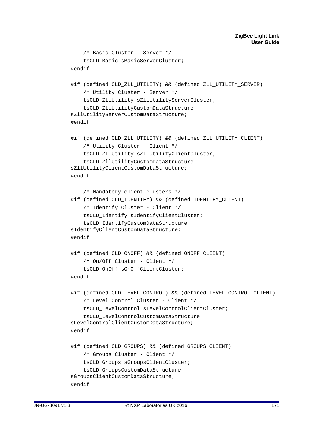```
 /* Basic Cluster - Server */
    tsCLD Basic sBasicServerCluster;
#endif
#if (defined CLD_ZLL_UTILITY) && (defined ZLL_UTILITY_SERVER)
     /* Utility Cluster - Server */
     tsCLD_ZllUtility sZllUtilityServerCluster;
     tsCLD_ZllUtilityCustomDataStructure 
sZllUtilityServerCustomDataStructure;
#endif
#if (defined CLD_ZLL_UTILITY) && (defined ZLL_UTILITY_CLIENT)
     /* Utility Cluster - Client */
     tsCLD_ZllUtility sZllUtilityClientCluster;
     tsCLD_ZllUtilityCustomDataStructure 
sZllUtilityClientCustomDataStructure;
#endif
     /* Mandatory client clusters */
#if (defined CLD_IDENTIFY) && (defined IDENTIFY_CLIENT)
     /* Identify Cluster - Client */
     tsCLD_Identify sIdentifyClientCluster;
     tsCLD_IdentifyCustomDataStructure 
sIdentifyClientCustomDataStructure;
#endif
#if (defined CLD_ONOFF) && (defined ONOFF_CLIENT)
     /* On/Off Cluster - Client */
    tsCLD_OnOff sOnOffClientCluster;
#endif
#if (defined CLD_LEVEL_CONTROL) && (defined LEVEL_CONTROL_CLIENT)
     /* Level Control Cluster - Client */
     tsCLD_LevelControl sLevelControlClientCluster;
     tsCLD_LevelControlCustomDataStructure 
sLevelControlClientCustomDataStructure;
#endif
#if (defined CLD_GROUPS) && (defined GROUPS_CLIENT)
     /* Groups Cluster - Client */
     tsCLD_Groups sGroupsClientCluster;
     tsCLD_GroupsCustomDataStructure 
sGroupsClientCustomDataStructure;
#endif
```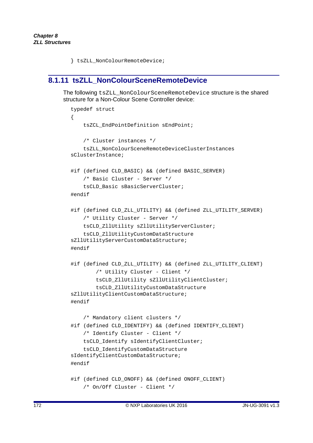<span id="page-171-0"></span>} tsZLL\_NonColourRemoteDevice;

# **8.1.11 tsZLL\_NonColourSceneRemoteDevice**

The following tsZLL\_NonColourSceneRemoteDevice structure is the shared structure for a Non-Colour Scene Controller device:

```
typedef struct
{
    tsZCL EndPointDefinition sEndPoint;
     /* Cluster instances */
     tsZLL_NonColourSceneRemoteDeviceClusterInstances 
sClusterInstance;
#if (defined CLD_BASIC) && (defined BASIC_SERVER)
     /* Basic Cluster - Server */
    tsCLD Basic sBasicServerCluster;
#endif
#if (defined CLD_ZLL_UTILITY) && (defined ZLL_UTILITY_SERVER)
     /* Utility Cluster - Server */
     tsCLD_ZllUtility sZllUtilityServerCluster;
     tsCLD_ZllUtilityCustomDataStructure 
sZllUtilityServerCustomDataStructure;
#endif
#if (defined CLD_ZLL_UTILITY) && (defined ZLL_UTILITY_CLIENT)
         /* Utility Cluster - Client */
         tsCLD_ZllUtility sZllUtilityClientCluster;
         tsCLD_ZllUtilityCustomDataStructure 
sZllUtilityClientCustomDataStructure;
#endif
     /* Mandatory client clusters */
#if (defined CLD_IDENTIFY) && (defined IDENTIFY_CLIENT)
     /* Identify Cluster - Client */
    tsCLD Identify sIdentifyClientCluster;
     tsCLD_IdentifyCustomDataStructure 
sIdentifyClientCustomDataStructure;
#endif
#if (defined CLD_ONOFF) && (defined ONOFF_CLIENT)
```
/\* On/Off Cluster - Client \*/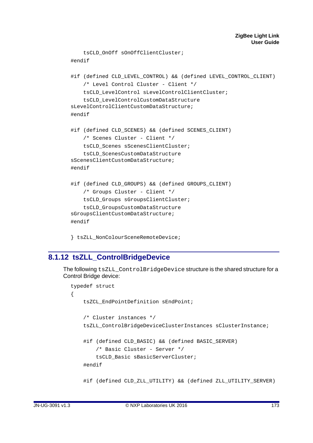```
tsCLD OnOff sOnOffClientCluster;
#endif
#if (defined CLD_LEVEL_CONTROL) && (defined LEVEL_CONTROL_CLIENT)
     /* Level Control Cluster - Client */
     tsCLD_LevelControl sLevelControlClientCluster;
     tsCLD_LevelControlCustomDataStructure 
sLevelControlClientCustomDataStructure;
#endif
#if (defined CLD SCENES) && (defined SCENES CLIENT)
     /* Scenes Cluster - Client */
     tsCLD_Scenes sScenesClientCluster;
     tsCLD_ScenesCustomDataStructure 
sScenesClientCustomDataStructure;
#endif
#if (defined CLD_GROUPS) && (defined GROUPS_CLIENT)
     /* Groups Cluster - Client */
     tsCLD_Groups sGroupsClientCluster;
     tsCLD_GroupsCustomDataStructure 
sGroupsClientCustomDataStructure;
#endif
```
<span id="page-172-0"></span>} tsZLL\_NonColourSceneRemoteDevice;

## **8.1.12 tsZLL\_ControlBridgeDevice**

The following tsZLL\_ControlBridgeDevice structure is the shared structure for a Control Bridge device:

```
typedef struct
{
    tsZCL EndPointDefinition sEndPoint;
     /* Cluster instances */
     tsZLL_ControlBridgeDeviceClusterInstances sClusterInstance;
     #if (defined CLD_BASIC) && (defined BASIC_SERVER)
         /* Basic Cluster - Server */
        tsCLD Basic sBasicServerCluster;
     #endif
     #if (defined CLD_ZLL_UTILITY) && (defined ZLL_UTILITY_SERVER)
```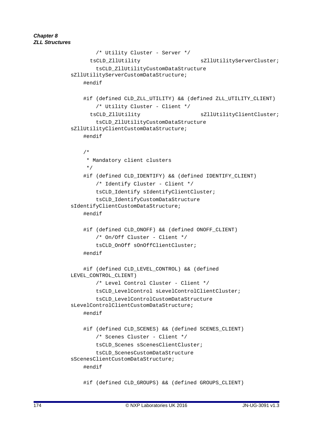```
 /* Utility Cluster - Server */
       tsCLD_ZllUtility sZllUtilityServerCluster;
         tsCLD_ZllUtilityCustomDataStructure 
sZllUtilityServerCustomDataStructure;
     #endif
     #if (defined CLD_ZLL_UTILITY) && (defined ZLL_UTILITY_CLIENT)
         /* Utility Cluster - Client */
      tsCLD ZllUtility sZ11UtilityClientCluster;
         tsCLD_ZllUtilityCustomDataStructure 
sZllUtilityClientCustomDataStructure;
     #endif
     /*
      * Mandatory client clusters
      */
    #if (defined CLD IDENTIFY) && (defined IDENTIFY CLIENT)
         /* Identify Cluster - Client */
         tsCLD_Identify sIdentifyClientCluster;
         tsCLD_IdentifyCustomDataStructure 
sIdentifyClientCustomDataStructure;
     #endif
     #if (defined CLD_ONOFF) && (defined ONOFF_CLIENT)
         /* On/Off Cluster - Client */
        tsCLD OnOff sOnOffClientCluster;
     #endif
    #if (defined CLD LEVEL CONTROL) && (defined
LEVEL_CONTROL_CLIENT)
         /* Level Control Cluster - Client */
         tsCLD_LevelControl sLevelControlClientCluster;
         tsCLD_LevelControlCustomDataStructure 
sLevelControlClientCustomDataStructure;
     #endif
     #if (defined CLD_SCENES) && (defined SCENES_CLIENT)
         /* Scenes Cluster - Client */
        tsCLD Scenes sScenesClientCluster;
         tsCLD_ScenesCustomDataStructure 
sScenesClientCustomDataStructure;
     #endif
     #if (defined CLD_GROUPS) && (defined GROUPS_CLIENT)
```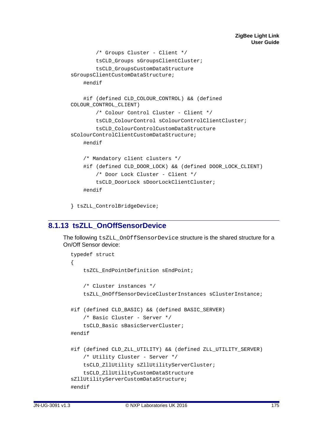```
 /* Groups Cluster - Client */
         tsCLD_Groups sGroupsClientCluster;
         tsCLD_GroupsCustomDataStructure 
sGroupsClientCustomDataStructure;
     #endif
     #if (defined CLD_COLOUR_CONTROL) && (defined 
COLOUR_CONTROL_CLIENT)
         /* Colour Control Cluster - Client */
         tsCLD_ColourControl sColourControlClientCluster;
         tsCLD_ColourControlCustomDataStructure 
sColourControlClientCustomDataStructure;
     #endif
     /* Mandatory client clusters */
     #if (defined CLD_DOOR_LOCK) && (defined DOOR_LOCK_CLIENT)
         /* Door Lock Cluster - Client */
         tsCLD_DoorLock sDoorLockClientCluster;
     #endif
```
<span id="page-174-0"></span>} tsZLL\_ControlBridgeDevice;

## **8.1.13 tsZLL\_OnOffSensorDevice**

The following tsZLL\_OnOffSensorDevice structure is the shared structure for a On/Off Sensor device:

```
typedef struct
{
    tsZCL EndPointDefinition sEndPoint;
     /* Cluster instances */
     tsZLL_OnOffSensorDeviceClusterInstances sClusterInstance;
#if (defined CLD_BASIC) && (defined BASIC_SERVER)
     /* Basic Cluster - Server */
    tsCLD Basic sBasicServerCluster;
#endif
#if (defined CLD_ZLL_UTILITY) && (defined ZLL_UTILITY_SERVER)
     /* Utility Cluster - Server */
     tsCLD_ZllUtility sZllUtilityServerCluster;
     tsCLD_ZllUtilityCustomDataStructure 
sZllUtilityServerCustomDataStructure;
#endif
```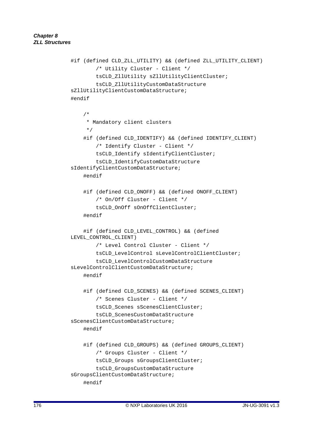```
#if (defined CLD_ZLL_UTILITY) && (defined ZLL_UTILITY_CLIENT)
         /* Utility Cluster - Client */
         tsCLD_ZllUtility sZllUtilityClientCluster;
         tsCLD_ZllUtilityCustomDataStructure 
sZllUtilityClientCustomDataStructure;
#endif
     /*
      * Mandatory client clusters
      */
     #if (defined CLD_IDENTIFY) && (defined IDENTIFY_CLIENT)
         /* Identify Cluster - Client */
         tsCLD_Identify sIdentifyClientCluster;
         tsCLD_IdentifyCustomDataStructure 
sIdentifyClientCustomDataStructure;
     #endif
     #if (defined CLD_ONOFF) && (defined ONOFF_CLIENT)
         /* On/Off Cluster - Client */
        tsCLD OnOff sOnOffClientCluster;
     #endif
    #if (defined CLD LEVEL CONTROL) && (defined
LEVEL_CONTROL_CLIENT)
         /* Level Control Cluster - Client */
         tsCLD_LevelControl sLevelControlClientCluster;
         tsCLD_LevelControlCustomDataStructure 
sLevelControlClientCustomDataStructure;
     #endif
     #if (defined CLD_SCENES) && (defined SCENES_CLIENT)
         /* Scenes Cluster - Client */
        tsCLD Scenes sScenesClientCluster;
         tsCLD_ScenesCustomDataStructure 
sScenesClientCustomDataStructure;
     #endif
     #if (defined CLD_GROUPS) && (defined GROUPS_CLIENT)
         /* Groups Cluster - Client */
         tsCLD_Groups sGroupsClientCluster;
         tsCLD_GroupsCustomDataStructure 
sGroupsClientCustomDataStructure;
     #endif
```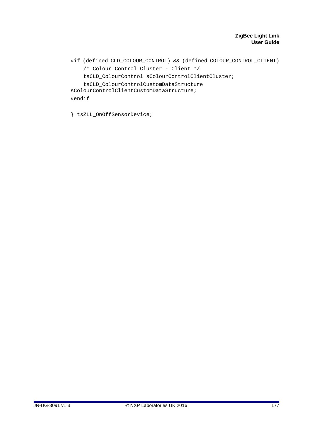#if (defined CLD\_COLOUR\_CONTROL) && (defined COLOUR\_CONTROL\_CLIENT) /\* Colour Control Cluster - Client \*/ tsCLD\_ColourControl sColourControlClientCluster; tsCLD\_ColourControlCustomDataStructure sColourControlClientCustomDataStructure; #endif

} tsZLL\_OnOffSensorDevice;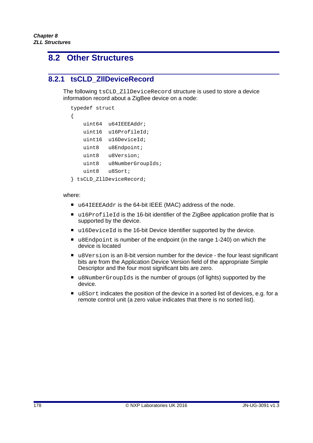# **8.2 Other Structures**

# **8.2.1 tsCLD\_ZllDeviceRecord**

The following tsCLD\_ZllDeviceRecord structure is used to store a device information record about a ZigBee device on a node:

```
typedef struct
{
   uint64 u64IEEEAddr;
    uint16 u16ProfileId;
    uint16 u16DeviceId;
    uint8 u8Endpoint;
    uint8 u8Version;
   uint8 u8NumberGroupIds;
    uint8 u8Sort;
} tsCLD_ZllDeviceRecord;
```
#### where:

- u64IEEEAddr is the 64-bit IEEE (MAC) address of the node.
- ulferation is the 16-bit identifier of the ZigBee application profile that is supported by the device.
- u16DeviceId is the 16-bit Device Identifier supported by the device.
- u8Endpoint is number of the endpoint (in the range 1-240) on which the device is located
- u8Version is an 8-bit version number for the device the four least significant bits are from the Application Device Version field of the appropriate Simple Descriptor and the four most significant bits are zero.
- u8NumberGroupIds is the number of groups (of lights) supported by the device.
- $\blacksquare$  u8Sort indicates the position of the device in a sorted list of devices, e.g. for a remote control unit (a zero value indicates that there is no sorted list).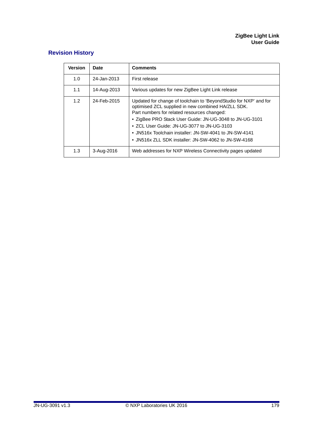## **Revision History**

| <b>Version</b> | Date        | <b>Comments</b>                                                                                                                                                                                                                                                                                                                                                                                   |
|----------------|-------------|---------------------------------------------------------------------------------------------------------------------------------------------------------------------------------------------------------------------------------------------------------------------------------------------------------------------------------------------------------------------------------------------------|
| 1.0            | 24-Jan-2013 | First release                                                                                                                                                                                                                                                                                                                                                                                     |
| 1.1            | 14-Aug-2013 | Various updates for new ZigBee Light Link release                                                                                                                                                                                                                                                                                                                                                 |
| 1.2            | 24-Feb-2015 | Updated for change of toolchain to 'BeyondStudio for NXP' and for<br>optimised ZCL supplied in new combined HA/ZLL SDK.<br>Part numbers for related resources changed:<br>• ZigBee PRO Stack User Guide: JN-UG-3048 to JN-UG-3101<br>• ZCL User Guide: JN-UG-3077 to JN-UG-3103<br>• JN516x Toolchain installer: JN-SW-4041 to JN-SW-4141<br>• JN516x ZLL SDK installer: JN-SW-4062 to JN-SW-4168 |
| 1.3            | 3-Aug-2016  | Web addresses for NXP Wireless Connectivity pages updated                                                                                                                                                                                                                                                                                                                                         |